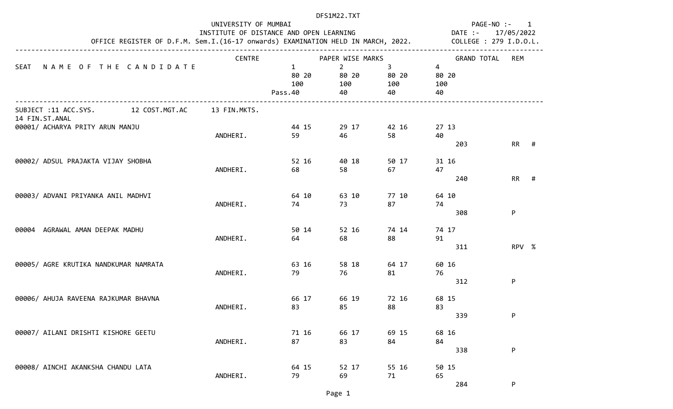|                |                                       |               | PAGE-NO :- 1<br>17/05/2022<br>DATE :-<br>OFFICE REGISTER OF D.F.M. Sem.I.(16-17 onwards) EXAMINATION HELD IN MARCH, 2022. COLLEGE : 279 I.D.O.L. |                                   |                         |                         |       |  |
|----------------|---------------------------------------|---------------|--------------------------------------------------------------------------------------------------------------------------------------------------|-----------------------------------|-------------------------|-------------------------|-------|--|
|                |                                       |               |                                                                                                                                                  | PAPER WISE MARKS                  |                         | <b>GRAND TOTAL</b>      |       |  |
| SEAT           | NAME OF THE CANDIDATE                 | <b>CENTRE</b> | $\mathbf{1}$<br>80 20<br>100<br>Pass.40                                                                                                          | $2^{\circ}$<br>80 20<br>100<br>40 | 3<br>80 20<br>100<br>40 | 4<br>80 20<br>100<br>40 | REM   |  |
| 14 FIN.ST.ANAL | SUBJECT :11 ACC.SYS. 12 COST.MGT.AC   | 13 FIN.MKTS.  |                                                                                                                                                  |                                   |                         |                         |       |  |
|                | 00001/ ACHARYA PRITY ARUN MANJU       | ANDHERI.      | 44 15<br>59                                                                                                                                      | 29 17<br>46                       | 42 16<br>58             | 27 13<br>40<br>203      | RR #  |  |
|                | 00002/ ADSUL PRAJAKTA VIJAY SHOBHA    | ANDHERI.      | 52 16<br>68                                                                                                                                      | 40 18<br>58                       | 50 17<br>67             | 31 16<br>47<br>240      | RR #  |  |
|                | 00003/ ADVANI PRIYANKA ANIL MADHVI    | ANDHERI.      | 64 10<br>74                                                                                                                                      | 63 10<br>73                       | 77 10<br>87             | 64 10<br>74<br>308      | P     |  |
| 00004          | AGRAWAL AMAN DEEPAK MADHU             | ANDHERI.      | 50 14<br>64                                                                                                                                      | 52 16<br>68                       | 74 14<br>88             | 74 17<br>91<br>311      | RPV % |  |
|                | 00005/ AGRE KRUTIKA NANDKUMAR NAMRATA | ANDHERI.      | 63 16<br>79                                                                                                                                      | 58 18<br>76                       | 64 17<br>81             | 60 16<br>76<br>312      | P     |  |
|                | 00006/ AHUJA RAVEENA RAJKUMAR BHAVNA  | ANDHERI.      | 66 17<br>83                                                                                                                                      | 66 19<br>85                       | 72 16<br>88             | 68 15<br>83<br>339      | P     |  |
|                | 00007/ AILANI DRISHTI KISHORE GEETU   | ANDHERI.      | 71 16<br>87                                                                                                                                      | 66 17<br>83                       | 69 15<br>84             | 68 16<br>84<br>338      | P     |  |
|                | 00008/ AINCHI AKANKSHA CHANDU LATA    | ANDHERI.      | 64 15<br>79                                                                                                                                      | 52 17<br>69                       | 55 16<br>71             | 50 15<br>65<br>284      | P     |  |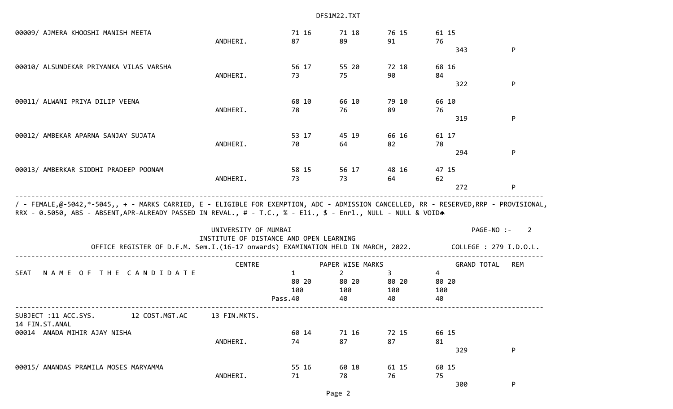00009/ AJMERA KHOOSHI MANISH MEETA 71 16 71 18 76 15 61 15 ANDHERI. 87 89 91 76  $343$  P 00010/ ALSUNDEKAR PRIYANKA VILAS VARSHA 56 17 55 20 72 18 68 16 ANDHERI. 73 75 90 84  $322$  P 00011/ ALWANI PRIYA DILIP VEENA 68 10 66 10 79 10 66 10 ANDHERI. 78 76 89 76  $319$  P 00012/ AMBEKAR APARNA SANJAY SUJATA 53 17 45 19 66 16 61 17 ANDHERI. 70 64 82 78 294 P 00013/ AMBERKAR SIDDHI PRADEEP POONAM 58 15 56 17 48 16 47 15 ANDHERI. 73 73 64 62 272 P ------------------------------------------------------------------------------------------------------------------------------------ / - FEMALE,@-5042,\*-5045,, + - MARKS CARRIED, E - ELIGIBLE FOR EXEMPTION, ADC - ADMISSION CANCELLED, RR - RESERVED,RRP - PROVISIONAL, RRX - 0.5050, ABS - ABSENT,APR-ALREADY PASSED IN REVAL., # - T.C., % - Eli., \$ - Enrl., NULL - NULL & VOIDA UNIVERSITY OF MUMBAI PAGE-NO :- 2 INSTITUTE OF DISTANCE AND OPEN LEARNING OFFICE REGISTER OF D.F.M. Sem.I.(16-17 onwards) EXAMINATION HELD IN MARCH, 2022. COLLEGE : 279 I.D.O.L. ------------------------------------------------------------------------------------------------------------------------------------ CENTRE PAPER WISE MARKS GRAND TOTAL REM SEAT NAME OF THE CANDIDATE 1 2 34 80 20 80 20 80 20 80 20 100 100 100 100 Pass.40 40 40 40 ------------------------------------------------------------------------------------------------------------------------------------ SUBJECT :11 ACC.SYS. 12 COST.MGT.AC 13 FIN.MKTS. 14 FIN.ST.ANAL 00014 ANADA MIHIR AJAY NISHA 60 14 71 16 72 15 66 15 ANDHERI. 74 87 87 81  $329$  P 00015/ ANANDAS PRAMILA MOSES MARYAMMA 55 16 60 18 61 15 60 15 ANDHERI. 71 78 76 75  $300$  P

Page 2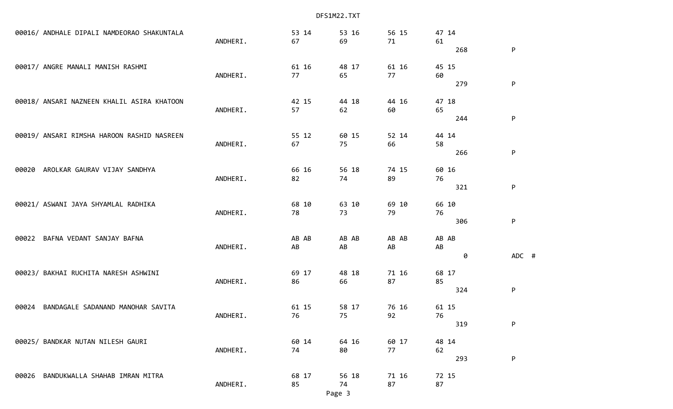|       | 00016/ ANDHALE DIPALI NAMDEORAO SHAKUNTALA | ANDHERI. | 53 14<br>67 | 53 16<br>69 | 56 15<br>71 | 47 14<br>61 |       |
|-------|--------------------------------------------|----------|-------------|-------------|-------------|-------------|-------|
|       |                                            |          |             |             |             | 268         | P     |
|       | 00017/ ANGRE MANALI MANISH RASHMI          |          | 61 16       | 48 17       | 61 16       | 45 15       |       |
|       |                                            | ANDHERI. | 77          | 65          | 77          | 60<br>279   | P     |
|       | 00018/ ANSARI NAZNEEN KHALIL ASIRA KHATOON |          | 42 15       | 44 18       | 44 16       | 47 18       |       |
|       |                                            | ANDHERI. | 57          | 62          | 60          | 65          |       |
|       |                                            |          |             |             |             | 244         | P     |
|       | 00019/ ANSARI RIMSHA HAROON RASHID NASREEN |          | 55 12       | 60 15       | 52 14       | 44 14       |       |
|       |                                            | ANDHERI. | 67          | 75          | 66          | 58<br>266   | P     |
|       |                                            |          |             |             |             |             |       |
| 00020 | AROLKAR GAURAV VIJAY SANDHYA               |          | 66 16       | 56 18       | 74 15       | 60 16       |       |
|       |                                            | ANDHERI. | 82          | 74          | 89          | 76<br>321   | P     |
|       | 00021/ ASWANI JAYA SHYAMLAL RADHIKA        |          | 68 10       | 63 10       | 69 10       | 66 10       |       |
|       |                                            | ANDHERI. | 78          | 73          | 79          | 76          |       |
|       |                                            |          |             |             |             | 306         | P     |
| 00022 | BAFNA VEDANT SANJAY BAFNA                  |          | AB AB       | AB AB       | AB AB       | AB AB       |       |
|       |                                            | ANDHERI. | AB          | AB          | AB          | AB<br>0     | ADC # |
|       |                                            |          |             |             |             |             |       |
|       | 00023/ BAKHAI RUCHITA NARESH ASHWINI       |          | 69 17       | 48 18       | 71 16       | 68 17       |       |
|       |                                            | ANDHERI. | 86          | 66          | 87          | 85<br>324   | P     |
|       |                                            |          |             |             |             |             |       |
| 00024 | BANDAGALE SADANAND MANOHAR SAVITA          | ANDHERI. | 61 15<br>76 | 58 17<br>75 | 76 16<br>92 | 61 15<br>76 |       |
|       |                                            |          |             |             |             | 319         | P     |
|       | 00025/ BANDKAR NUTAN NILESH GAURI          |          | 60 14       | 64 16       | 60 17       | 48 14       |       |
|       |                                            | ANDHERI. | 74          | 80          | 77          | 62          |       |
|       |                                            |          |             |             |             | 293         | P     |
| 00026 | BANDUKWALLA SHAHAB IMRAN MITRA             |          | 68 17       | 56 18       | 71 16       | 72 15       |       |

ANDHERI. 85 74 87 87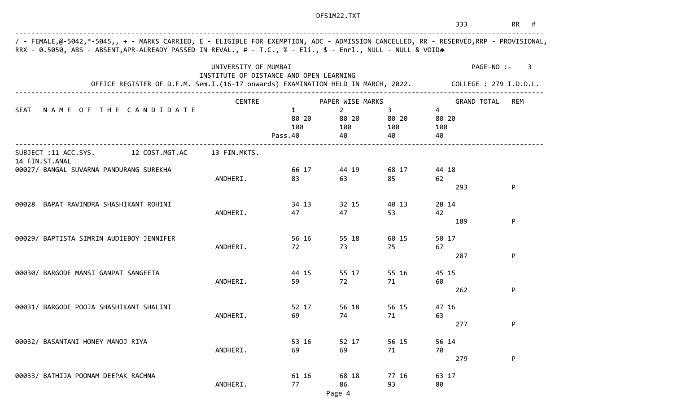| <b>Example 18 RR</b> #<br>333 |  |  |  |
|-------------------------------|--|--|--|
|-------------------------------|--|--|--|

| OFFICE REGISTER OF D.F.M. Sem.I.(16-17 onwards) EXAMINATION HELD IN MARCH, 2022. COLLEGE : 279 I.D.O.L. | UNIVERSITY OF MUMBAI<br>INSTITUTE OF DISTANCE AND OPEN LEARNING |                                         |                                   |                                   | PAGE-NO :-<br>3                      |     |  |  |  |
|---------------------------------------------------------------------------------------------------------|-----------------------------------------------------------------|-----------------------------------------|-----------------------------------|-----------------------------------|--------------------------------------|-----|--|--|--|
|                                                                                                         | <b>CENTRE</b>                                                   |                                         | PAPER WISE MARKS                  |                                   | <b>GRAND TOTAL</b>                   | REM |  |  |  |
| NAME OF THE CANDIDATE<br>SEAT                                                                           |                                                                 | $\mathbf{1}$<br>80 20<br>100<br>Pass.40 | $2^{\circ}$<br>80 20<br>100<br>40 | $3^{\circ}$<br>80 20<br>100<br>40 | $\overline{4}$<br>80 20<br>100<br>40 |     |  |  |  |
| SUBJECT :11 ACC.SYS. 12 COST.MGT.AC                                                                     | 13 FIN.MKTS.                                                    |                                         |                                   |                                   |                                      |     |  |  |  |
| 14 FIN.ST.ANAL<br>00027/ BANGAL SUVARNA PANDURANG SUREKHA                                               | ANDHERI.                                                        | 66 17<br>83                             | 44 19<br>63                       | 68 17<br>85                       | 44 18<br>62<br>293                   | P   |  |  |  |
| BAPAT RAVINDRA SHASHIKANT ROHINI<br>00028                                                               | ANDHERI.                                                        | 34 13<br>47                             | 32 15<br>47                       | 40 13<br>53                       | 28 14<br>42<br>189                   | P   |  |  |  |
| 00029/ BAPTISTA SIMRIN AUDIEBOY JENNIFER                                                                | ANDHERI.                                                        | 56 16<br>72                             | 55 18<br>73                       | 60 15<br>75                       | 50 17<br>67<br>287                   | P   |  |  |  |
| 00030/ BARGODE MANSI GANPAT SANGEETA                                                                    | ANDHERI.                                                        | 44 15<br>59                             | 55 17<br>72                       | 55 16<br>71                       | 45 15<br>60                          |     |  |  |  |
| 00031/ BARGODE POOJA SHASHIKANT SHALINI                                                                 | ANDHERI.                                                        | 52 17<br>69                             | 56 18<br>74                       | 56 15<br>71                       | 262<br>47 16<br>63                   | P   |  |  |  |
| 00032/ BASANTANI HONEY MANOJ RIYA                                                                       | ANDHERI.                                                        | 53 16<br>69                             | 52 17<br>69                       | 56 15<br>71                       | 277<br>56 14<br>70                   | P   |  |  |  |
| 00033/ BATHIJA POONAM DEEPAK RACHNA                                                                     | ANDHERI.                                                        | 61 16<br>77                             | 68 18<br>86                       | 77 16<br>93                       | 279<br>63 17<br>80                   | P   |  |  |  |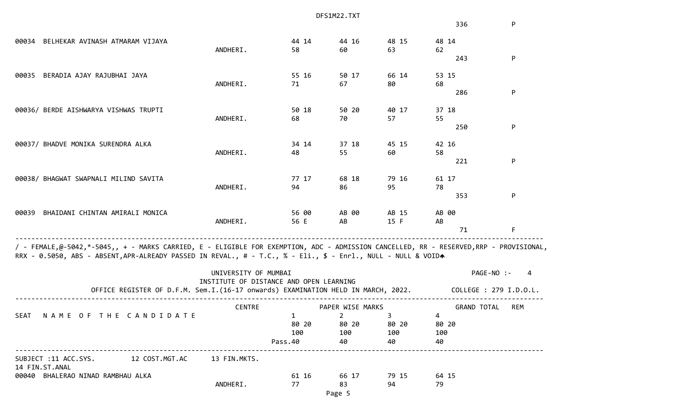|                                                                                                                                                                                                                                                        |                                         |              | DFS1M22.TXT      |             |                    |                        |
|--------------------------------------------------------------------------------------------------------------------------------------------------------------------------------------------------------------------------------------------------------|-----------------------------------------|--------------|------------------|-------------|--------------------|------------------------|
|                                                                                                                                                                                                                                                        |                                         |              |                  |             | 336                | P                      |
| 00034 BELHEKAR AVINASH ATMARAM VIJAYA                                                                                                                                                                                                                  |                                         | 44 14        | 44 16            | 48 15       | 48 14              |                        |
|                                                                                                                                                                                                                                                        | ANDHERI.                                | 58           | 60               | 63          | 62                 |                        |
|                                                                                                                                                                                                                                                        |                                         |              |                  |             | 243                | P                      |
| BERADIA AJAY RAJUBHAI JAYA<br>00035                                                                                                                                                                                                                    |                                         | 55 16        | 50 17            | 66 14       | 53 15              |                        |
|                                                                                                                                                                                                                                                        | ANDHERI.                                | 71           | 67               | 80          | 68                 |                        |
|                                                                                                                                                                                                                                                        |                                         |              |                  |             | 286                | P                      |
| 00036/ BERDE AISHWARYA VISHWAS TRUPTI                                                                                                                                                                                                                  |                                         | 50 18        | 50 20            | 40 17       | 37 18              |                        |
|                                                                                                                                                                                                                                                        | ANDHERI.                                | 68           | 70               | 57          | 55                 |                        |
|                                                                                                                                                                                                                                                        |                                         |              |                  |             | 250                | P                      |
| 00037/ BHADVE MONIKA SURENDRA ALKA                                                                                                                                                                                                                     |                                         | 34 14        | 37 18            | 45 15       | 42 16              |                        |
|                                                                                                                                                                                                                                                        | ANDHERI.                                | 48           | 55               | 60          | 58                 |                        |
|                                                                                                                                                                                                                                                        |                                         |              |                  |             | 221                | P                      |
| 00038/ BHAGWAT SWAPNALI MILIND SAVITA                                                                                                                                                                                                                  |                                         | 77 17        | 68 18            | 79 16       | 61 17              |                        |
|                                                                                                                                                                                                                                                        | ANDHERI.                                | 94           | 86               | 95          | 78                 |                        |
|                                                                                                                                                                                                                                                        |                                         |              |                  |             | 353                | P                      |
| BHAIDANI CHINTAN AMIRALI MONICA<br>00039                                                                                                                                                                                                               |                                         | 56 00        | AB 00            | AB 15       | AB 00              |                        |
|                                                                                                                                                                                                                                                        | ANDHERI.                                | 56 E         | AB               | 15 F        | AB                 |                        |
|                                                                                                                                                                                                                                                        |                                         |              |                  |             | 71                 | F.                     |
| / - FEMALE,@-5042,*-5045,, + - MARKS CARRIED, E - ELIGIBLE FOR EXEMPTION, ADC - ADMISSION CANCELLED, RR - RESERVED,RRP - PROVISIONAL,<br>RRX - 0.5050, ABS - ABSENT, APR-ALREADY PASSED IN REVAL., # - T.C., % - Eli., \$ - Enrl., NULL - NULL & VOIDA |                                         |              |                  |             |                    |                        |
|                                                                                                                                                                                                                                                        | UNIVERSITY OF MUMBAI                    |              |                  |             |                    | PAGE-NO :-<br>4        |
| OFFICE REGISTER OF D.F.M. Sem.I.(16-17 onwards) EXAMINATION HELD IN MARCH, 2022.                                                                                                                                                                       | INSTITUTE OF DISTANCE AND OPEN LEARNING |              |                  |             |                    | COLLEGE : 279 I.D.O.L. |
|                                                                                                                                                                                                                                                        | <b>CENTRE</b>                           |              | PAPER WISE MARKS |             | <b>GRAND TOTAL</b> | REM                    |
| NAME OF THE CANDIDATE<br>SEAT                                                                                                                                                                                                                          |                                         | $\mathbf{1}$ | $2^{\circ}$      | $3^{\circ}$ | 4                  |                        |
|                                                                                                                                                                                                                                                        |                                         | 80 20        | 80 20            | 80 20       | 80 20              |                        |
|                                                                                                                                                                                                                                                        |                                         | 100          | 100              | 100         | 100                |                        |
| -----------------                                                                                                                                                                                                                                      |                                         | Pass.40      | 40               | 40          | 40                 |                        |
| SUBJECT :11 ACC.SYS. 12 COST.MGT.AC<br>14 FIN.ST.ANAL                                                                                                                                                                                                  | 13 FIN.MKTS.                            |              |                  |             |                    |                        |
| 00040 BHALERAO NINAD RAMBHAU ALKA                                                                                                                                                                                                                      |                                         | 61 16        | 66 17            | 79 15       | 64 15              |                        |
|                                                                                                                                                                                                                                                        | ANDHERI.                                | 77           | 83               | 94          | 79                 |                        |
|                                                                                                                                                                                                                                                        |                                         |              | $Diag \sim$      |             |                    |                        |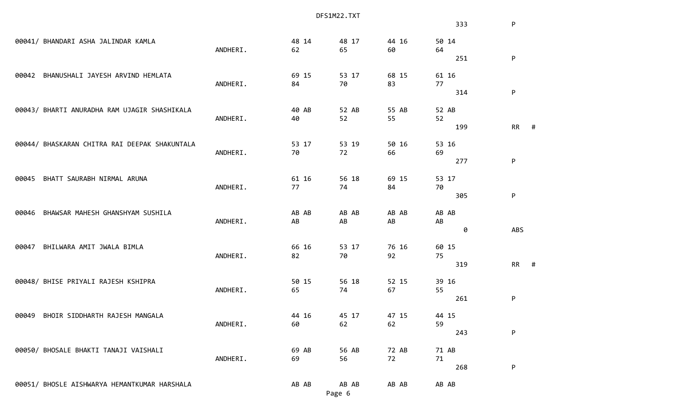|       |                                               |          |       | DFS1M22.TXT |       |       |           |   |
|-------|-----------------------------------------------|----------|-------|-------------|-------|-------|-----------|---|
|       |                                               |          |       |             |       | 333   | P         |   |
|       | 00041/ BHANDARI ASHA JALINDAR KAMLA           |          | 48 14 | 48 17       | 44 16 | 50 14 |           |   |
|       |                                               | ANDHERI. | 62    | 65          | 60    | 64    |           |   |
|       |                                               |          |       |             |       | 251   | P         |   |
| 00042 | BHANUSHALI JAYESH ARVIND HEMLATA              |          | 69 15 | 53 17       | 68 15 | 61 16 |           |   |
|       |                                               | ANDHERI. | 84    | 70          | 83    | 77    |           |   |
|       |                                               |          |       |             |       | 314   | P         |   |
|       | 00043/ BHARTI ANURADHA RAM UJAGIR SHASHIKALA  |          | 40 AB | 52 AB       | 55 AB | 52 AB |           |   |
|       |                                               | ANDHERI. | 40    | 52          | 55    | 52    |           |   |
|       |                                               |          |       |             |       | 199   | <b>RR</b> | # |
|       | 00044/ BHASKARAN CHITRA RAI DEEPAK SHAKUNTALA |          | 53 17 | 53 19       | 50 16 | 53 16 |           |   |
|       |                                               | ANDHERI. | 70    | 72          | 66    | 69    |           |   |
|       |                                               |          |       |             |       | 277   | P         |   |
| 00045 | BHATT SAURABH NIRMAL ARUNA                    |          | 61 16 | 56 18       | 69 15 | 53 17 |           |   |
|       |                                               | ANDHERI. | 77    | 74          | 84    | 70    |           |   |
|       |                                               |          |       |             |       | 305   | P         |   |
| 00046 | BHAWSAR MAHESH GHANSHYAM SUSHILA              |          | AB AB | AB AB       | AB AB | AB AB |           |   |
|       |                                               | ANDHERI. | AB    | AB          | AB    | AB    |           |   |
|       |                                               |          |       |             |       | 0     | ABS       |   |
| 00047 | BHILWARA AMIT JWALA BIMLA                     |          | 66 16 | 53 17       | 76 16 | 60 15 |           |   |
|       |                                               | ANDHERI. | 82    | 70          | 92    | 75    |           |   |
|       |                                               |          |       |             |       | 319   | <b>RR</b> | # |
|       | 00048/ BHISE PRIYALI RAJESH KSHIPRA           |          | 50 15 | 56 18       | 52 15 | 39 16 |           |   |
|       |                                               | ANDHERI. | 65    | 74          | 67    | 55    |           |   |
|       |                                               |          |       |             |       | 261   | P         |   |
| 00049 | BHOIR SIDDHARTH RAJESH MANGALA                |          | 44 16 | 45 17       | 47 15 | 44 15 |           |   |
|       |                                               | ANDHERI. | 60    | 62          | 62    | 59    |           |   |
|       |                                               |          |       |             |       | 243   | P         |   |
|       | 00050/ BHOSALE BHAKTI TANAJI VAISHALI         |          | 69 AB | 56 AB       | 72 AB | 71 AB |           |   |
|       |                                               | ANDHERI. | 69    | 56          | 72    | 71    |           |   |
|       |                                               |          |       |             |       | 268   | P         |   |
|       | 00051/ BHOSLE AISHWARYA HEMANTKUMAR HARSHALA  |          | AB AB | AB AB       | AB AB | AB AB |           |   |
|       |                                               |          |       |             |       |       |           |   |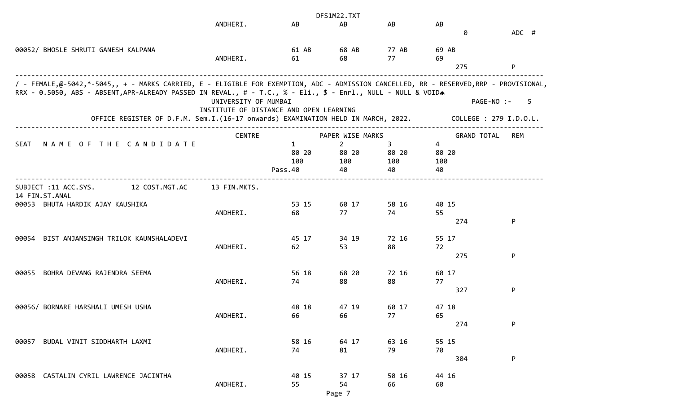|                                                                                                                                                                                                                                                        |                                                                 |                                         | DFS1M22.TXT                                              |                         |                                               |                        |
|--------------------------------------------------------------------------------------------------------------------------------------------------------------------------------------------------------------------------------------------------------|-----------------------------------------------------------------|-----------------------------------------|----------------------------------------------------------|-------------------------|-----------------------------------------------|------------------------|
|                                                                                                                                                                                                                                                        | ANDHERI.                                                        | AB                                      | AB                                                       | AB                      | AB<br>0                                       | ADC #                  |
| 00052/ BHOSLE SHRUTI GANESH KALPANA                                                                                                                                                                                                                    | ANDHERI.                                                        | 61 AB<br>61                             | 68 AB<br>68                                              | 77 AB<br>77             | 69 AB<br>69<br>275                            | P                      |
| / - FEMALE,@-5042,*-5045,, + - MARKS CARRIED, E - ELIGIBLE FOR EXEMPTION, ADC - ADMISSION CANCELLED, RR - RESERVED,RRP - PROVISIONAL,<br>RRX - 0.5050, ABS - ABSENT, APR-ALREADY PASSED IN REVAL., # - T.C., % - Eli., \$ - Enrl., NULL - NULL & VOIDA | UNIVERSITY OF MUMBAI<br>INSTITUTE OF DISTANCE AND OPEN LEARNING |                                         |                                                          |                         | PAGE-NO :-                                    | 5                      |
| OFFICE REGISTER OF D.F.M. Sem.I.(16-17 onwards) EXAMINATION HELD IN MARCH, 2022.                                                                                                                                                                       |                                                                 |                                         |                                                          |                         |                                               | COLLEGE : 279 I.D.O.L. |
| NAME OF THE CANDIDATE<br>SEAT                                                                                                                                                                                                                          | <b>CENTRE</b>                                                   | $\mathbf{1}$<br>80 20<br>100<br>Pass.40 | PAPER WISE MARKS<br>$\overline{2}$<br>80 20<br>100<br>40 | 3<br>80 20<br>100<br>40 | <b>GRAND TOTAL</b><br>4<br>80 20<br>100<br>40 | REM                    |
| 12 COST.MGT.AC<br>SUBJECT :11 ACC.SYS.<br>14 FIN.ST.ANAL                                                                                                                                                                                               | 13 FIN.MKTS.                                                    |                                         |                                                          |                         |                                               |                        |
| 00053 BHUTA HARDIK AJAY KAUSHIKA                                                                                                                                                                                                                       | ANDHERI.                                                        | 53 15<br>68                             | 60 17<br>77                                              | 58 16<br>74             | 40 15<br>55<br>274                            | P                      |
| BIST ANJANSINGH TRILOK KAUNSHALADEVI<br>00054                                                                                                                                                                                                          | ANDHERI.                                                        | 45 17<br>62                             | 34 19<br>53                                              | 72 16<br>88             | 55 17<br>72<br>275                            | P                      |
| BOHRA DEVANG RAJENDRA SEEMA<br>00055                                                                                                                                                                                                                   | ANDHERI.                                                        | 56 18<br>74                             | 68 20<br>88                                              | 72 16<br>88             | 60 17<br>77<br>327                            | P                      |
| 00056/ BORNARE HARSHALI UMESH USHA                                                                                                                                                                                                                     | ANDHERI.                                                        | 48 18<br>66                             | 47 19<br>66                                              | 60 17<br>77             | 47 18<br>65<br>274                            | P                      |
| BUDAL VINIT SIDDHARTH LAXMI<br>00057                                                                                                                                                                                                                   | ANDHERI.                                                        | 58 16<br>74                             | 64 17<br>81                                              | 63 16<br>79             | 55 15<br>70<br>304                            | P                      |
| 00058 CASTALIN CYRIL LAWRENCE JACINTHA                                                                                                                                                                                                                 | ANDHERI.                                                        | 40 15<br>55                             | 37 17<br>54                                              | 50 16<br>66             | 44 16<br>60                                   |                        |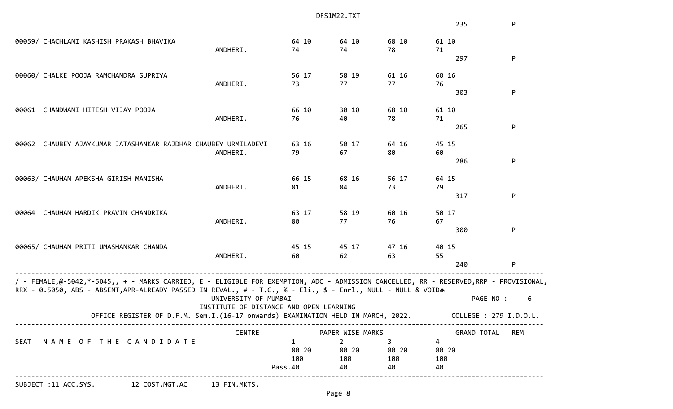|       |                                                                                                                                       |                                         |                | DFS1M22.TXT                        |           |                         |                        |
|-------|---------------------------------------------------------------------------------------------------------------------------------------|-----------------------------------------|----------------|------------------------------------|-----------|-------------------------|------------------------|
|       |                                                                                                                                       |                                         |                |                                    |           | 235                     | P                      |
|       | 00059/ CHACHLANI KASHISH PRAKASH BHAVIKA                                                                                              |                                         | 64 10          | 64 10                              | 68 10     | 61 10                   |                        |
|       |                                                                                                                                       | ANDHERI.                                | 74             | 74                                 | 78        | 71                      |                        |
|       |                                                                                                                                       |                                         |                |                                    |           | 297                     | P                      |
|       | 00060/ CHALKE POOJA RAMCHANDRA SUPRIYA                                                                                                |                                         | 56 17          | 58 19                              | 61 16     | 60 16                   |                        |
|       |                                                                                                                                       | ANDHERI.                                | 73             | 77                                 | 77        | 76                      |                        |
|       |                                                                                                                                       |                                         |                |                                    |           | 303                     | P                      |
| 00061 | CHANDWANI HITESH VIJAY POOJA                                                                                                          |                                         | 66 10          | 30 10                              | 68 10     | 61 10                   |                        |
|       |                                                                                                                                       | ANDHERI.                                | 76             | 40                                 | 78        | 71                      |                        |
|       |                                                                                                                                       |                                         |                |                                    |           | 265                     | P                      |
| 00062 | CHAUBEY AJAYKUMAR JATASHANKAR RAJDHAR CHAUBEY URMILADEVI                                                                              |                                         | 63 16          | 50 17                              | 64 16     | 45 15                   |                        |
|       |                                                                                                                                       | ANDHERI.                                | 79             | 67                                 | 80        | 60                      |                        |
|       |                                                                                                                                       |                                         |                |                                    |           | 286                     | P                      |
|       | 00063/ CHAUHAN APEKSHA GIRISH MANISHA                                                                                                 |                                         | 66 15          | 68 16                              | 56 17     | 64 15                   |                        |
|       |                                                                                                                                       | ANDHERI.                                | 81             | 84                                 | 73        | 79                      |                        |
|       |                                                                                                                                       |                                         |                |                                    |           | 317                     | P                      |
| 00064 | CHAUHAN HARDIK PRAVIN CHANDRIKA                                                                                                       |                                         | 63 17          | 58 19                              | 60 16     | 50 17                   |                        |
|       |                                                                                                                                       | ANDHERI.                                | 80             | 77                                 | 76        | 67                      |                        |
|       |                                                                                                                                       |                                         |                |                                    |           | 300                     | P                      |
|       | 00065/ CHAUHAN PRITI UMASHANKAR CHANDA                                                                                                |                                         | 45 15          | 45 17                              | 47 16     | 40 15                   |                        |
|       |                                                                                                                                       | ANDHERI.                                | 60             | 62                                 | 63        | 55                      |                        |
|       |                                                                                                                                       |                                         |                |                                    |           | 240                     | P                      |
|       | / - FEMALE,@-5042,*-5045,, + - MARKS CARRIED, E - ELIGIBLE FOR EXEMPTION, ADC - ADMISSION CANCELLED, RR - RESERVED,RRP - PROVISIONAL, |                                         |                |                                    |           |                         |                        |
|       | RRX - 0.5050, ABS - ABSENT, APR-ALREADY PASSED IN REVAL., # - T.C., % - Eli., \$ - Enrl., NULL - NULL & VOIDA                         |                                         |                |                                    |           |                         |                        |
|       |                                                                                                                                       | UNIVERSITY OF MUMBAI                    |                |                                    |           |                         | PAGE-NO :-<br>6        |
|       | OFFICE REGISTER OF D.F.M. Sem.I.(16-17 onwards) EXAMINATION HELD IN MARCH, 2022.                                                      | INSTITUTE OF DISTANCE AND OPEN LEARNING |                |                                    |           |                         | COLLEGE : 279 I.D.O.L. |
|       |                                                                                                                                       |                                         |                |                                    |           |                         |                        |
| SEAT  | NAME OF THE CANDIDATE                                                                                                                 | <b>CENTRE</b>                           | 1              | PAPER WISE MARKS<br>$\overline{2}$ | 3         | <b>GRAND TOTAL</b><br>4 | <b>REM</b>             |
|       |                                                                                                                                       |                                         | 80 20          | 80 20                              | 80 20     | 80 20                   |                        |
|       |                                                                                                                                       |                                         |                |                                    |           |                         |                        |
|       |                                                                                                                                       |                                         |                |                                    |           |                         |                        |
|       |                                                                                                                                       |                                         | 100<br>Pass.40 | 100<br>40                          | 100<br>40 | 100<br>40               |                        |

SUBJECT :11 ACC.SYS. 12 COST.MGT.AC 13 FIN.MKTS.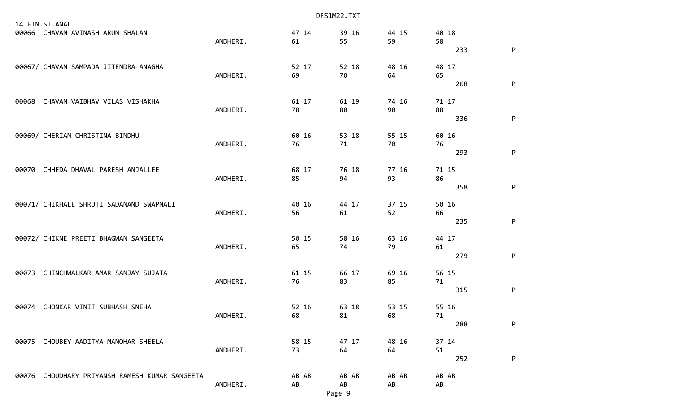|       |                                                    |          |    |       | DFS1M22.TXT |             |             |     |           |
|-------|----------------------------------------------------|----------|----|-------|-------------|-------------|-------------|-----|-----------|
|       | 14 FIN.ST.ANAL<br>00066 CHAVAN AVINASH ARUN SHALAN | ANDHERI. | 61 | 47 14 | 39 16<br>55 | 44 15<br>59 | 40 18<br>58 | 233 | P         |
|       | 00067/ CHAVAN SAMPADA JITENDRA ANAGHA              | ANDHERI. | 69 | 52 17 | 52 18<br>70 | 48 16<br>64 | 48 17<br>65 | 268 | P         |
| 00068 | CHAVAN VAIBHAV VILAS VISHAKHA                      | ANDHERI. | 78 | 61 17 | 61 19<br>80 | 74 16<br>90 | 71 17<br>88 | 336 | P         |
|       | 00069/ CHERIAN CHRISTINA BINDHU                    | ANDHERI. | 76 | 60 16 | 53 18<br>71 | 55 15<br>70 | 60 16<br>76 | 293 | P         |
| 00070 | CHHEDA DHAVAL PARESH ANJALLEE                      | ANDHERI. | 85 | 68 17 | 76 18<br>94 | 77 16<br>93 | 71 15<br>86 | 358 | ${\sf P}$ |
|       | 00071/ CHIKHALE SHRUTI SADANAND SWAPNALI           | ANDHERI. | 56 | 40 16 | 44 17<br>61 | 37 15<br>52 | 50 16<br>66 | 235 | P         |
|       | 00072/ CHIKNE PREETI BHAGWAN SANGEETA              | ANDHERI. | 65 | 50 15 | 58 16<br>74 | 63 16<br>79 | 44 17<br>61 | 279 | P         |
| 00073 | CHINCHWALKAR AMAR SANJAY SUJATA                    | ANDHERI. | 76 | 61 15 | 66 17<br>83 | 69 16<br>85 | 56 15<br>71 | 315 | P         |
|       | 00074 CHONKAR VINIT SUBHASH SNEHA                  | ANDHERI. | 68 | 52 16 | 63 18<br>81 | 53 15<br>68 | 55 16<br>71 | 288 | P         |
| 00075 | CHOUBEY AADITYA MANOHAR SHEELA                     | ANDHERI. | 73 | 58 15 | 47 17<br>64 | 48 16<br>64 | 37 14<br>51 | 252 | P         |
|       | 00076 CHOUDHARY PRIYANSH RAMESH KUMAR SANGEETA     | ANDHERI. | AB | AB AB | AB AB<br>AB | AB AB<br>AB | AB AB<br>AB |     |           |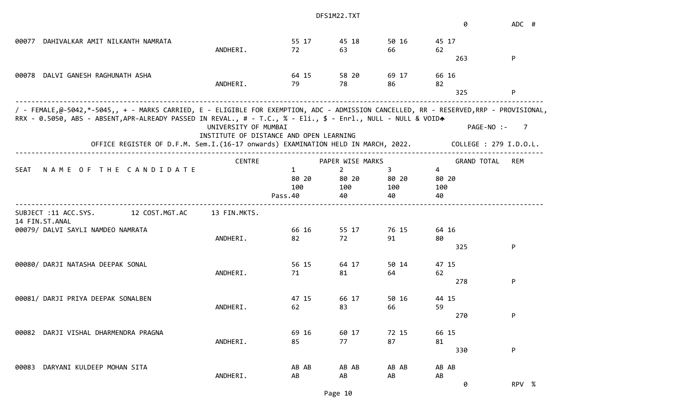|                                                                                                                                                                                                                                                        |                                         |                       | DFS1M22.TXT             |            |                    |                        |
|--------------------------------------------------------------------------------------------------------------------------------------------------------------------------------------------------------------------------------------------------------|-----------------------------------------|-----------------------|-------------------------|------------|--------------------|------------------------|
|                                                                                                                                                                                                                                                        |                                         |                       |                         |            | 0                  | ADC #                  |
| DAHIVALKAR AMIT NILKANTH NAMRATA<br>00077                                                                                                                                                                                                              |                                         | 55 17                 | 45 18                   | 50 16      | 45 17              |                        |
|                                                                                                                                                                                                                                                        | ANDHERI.                                | 72                    | 63                      | 66         | 62                 |                        |
|                                                                                                                                                                                                                                                        |                                         |                       |                         |            | 263                | P                      |
| DALVI GANESH RAGHUNATH ASHA<br>00078                                                                                                                                                                                                                   |                                         | 64 15                 | 58 20                   | 69 17      | 66 16              |                        |
|                                                                                                                                                                                                                                                        | ANDHERI.                                | 79                    | 78                      | 86         | 82                 |                        |
|                                                                                                                                                                                                                                                        |                                         |                       |                         |            | 325                | P                      |
| / - FEMALE,@-5042,*-5045,, + - MARKS CARRIED, E - ELIGIBLE FOR EXEMPTION, ADC - ADMISSION CANCELLED, RR - RESERVED,RRP - PROVISIONAL,<br>RRX - 0.5050, ABS - ABSENT, APR-ALREADY PASSED IN REVAL., # - T.C., % - Eli., \$ - Enrl., NULL - NULL & VOIDA |                                         |                       |                         |            |                    |                        |
|                                                                                                                                                                                                                                                        | UNIVERSITY OF MUMBAI                    |                       |                         |            | PAGE-NO :-         | - 7                    |
| OFFICE REGISTER OF D.F.M. Sem.I.(16-17 onwards) EXAMINATION HELD IN MARCH, 2022.                                                                                                                                                                       | INSTITUTE OF DISTANCE AND OPEN LEARNING |                       |                         |            |                    | COLLEGE : 279 I.D.O.L. |
|                                                                                                                                                                                                                                                        |                                         |                       |                         |            |                    |                        |
|                                                                                                                                                                                                                                                        | <b>CENTRE</b>                           |                       | PAPER WISE MARKS        |            | <b>GRAND TOTAL</b> | REM                    |
| NAME OF THE CANDIDATE<br><b>SEAT</b>                                                                                                                                                                                                                   |                                         | $\mathbf{1}$<br>80 20 | $\overline{2}$<br>80 20 | 3<br>80 20 | 4<br>80 20         |                        |
|                                                                                                                                                                                                                                                        |                                         | 100                   | 100                     | 100        | 100                |                        |
|                                                                                                                                                                                                                                                        |                                         | Pass.40               | 40                      | 40         | 40                 |                        |
| 12 COST.MGT.AC<br>SUBJECT :11 ACC.SYS.                                                                                                                                                                                                                 | 13 FIN.MKTS.                            |                       |                         |            |                    |                        |
| 14 FIN.ST.ANAL                                                                                                                                                                                                                                         |                                         |                       |                         |            |                    |                        |
| 00079/ DALVI SAYLI NAMDEO NAMRATA                                                                                                                                                                                                                      |                                         | 66 16                 | 55 17                   | 76 15      | 64 16              |                        |
|                                                                                                                                                                                                                                                        | ANDHERI.                                | 82                    | 72                      | 91         | 80                 |                        |
|                                                                                                                                                                                                                                                        |                                         |                       |                         |            | 325                | P                      |
| 00080/ DARJI NATASHA DEEPAK SONAL                                                                                                                                                                                                                      |                                         | 56 15                 | 64 17                   | 50 14      | 47 15              |                        |
|                                                                                                                                                                                                                                                        | ANDHERI.                                | 71                    | 81                      | 64         | 62                 |                        |
|                                                                                                                                                                                                                                                        |                                         |                       |                         |            | 278                | P                      |
| 00081/ DARJI PRIYA DEEPAK SONALBEN                                                                                                                                                                                                                     |                                         | 47 15                 | 66 17                   | 50 16      | 44 15              |                        |
|                                                                                                                                                                                                                                                        | ANDHERI.                                | 62                    | 83                      | 66         | 59                 |                        |
|                                                                                                                                                                                                                                                        |                                         |                       |                         |            | 270                | P                      |
| DARJI VISHAL DHARMENDRA PRAGNA<br>00082                                                                                                                                                                                                                |                                         | 69 16                 | 60 17                   | 72 15      | 66 15              |                        |
|                                                                                                                                                                                                                                                        | ANDHERI.                                | 85                    | 77                      | 87         | 81                 |                        |
|                                                                                                                                                                                                                                                        |                                         |                       |                         |            | 330                | P                      |
| DARYANI KULDEEP MOHAN SITA<br>00083                                                                                                                                                                                                                    |                                         | AB AB                 | AB AB                   | AB AB      | AB AB              |                        |
|                                                                                                                                                                                                                                                        | ANDHERI.                                | AB                    | AB                      | AB         | AB                 |                        |
|                                                                                                                                                                                                                                                        |                                         |                       |                         |            | 0                  | RPV %                  |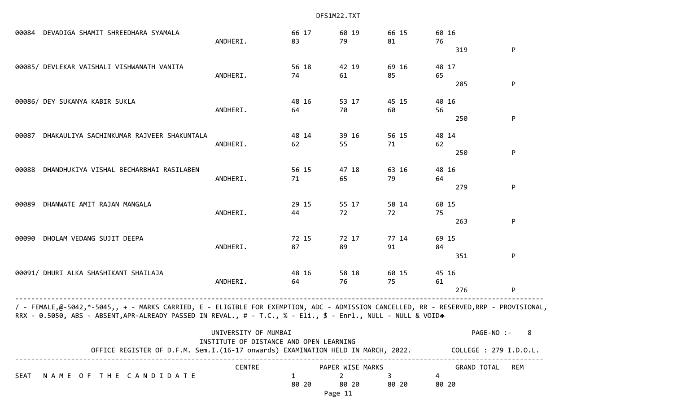00084 DEVADIGA SHAMIT SHREEDHARA SYAMALA 66 17 60 19 66 15 60 16 ANDHERI. 83 79 81 76  $319$  P 00085/ DEVLEKAR VAISHALI VISHWANATH VANITA 56 18 42 19 69 16 48 17 ANDHERI. 74 61 85 65 285 P 00086/ DEY SUKANYA KABIR SUKLA 48 16 53 17 45 15 40 16 ANDHERI. 64 70 60 56  $250$  P 00087 DHAKAULIYA SACHINKUMAR RAJVEER SHAKUNTALA 48 14 39 16 56 15 48 14 ANDHERI. 62 55 71 62  $250$  P 00088 DHANDHUKIYA VISHAL BECHARBHAI RASILABEN 56 15 47 18 63 16 48 16 ANDHERI. 71 65 79 64 279 P 00089 DHANWATE AMIT RAJAN MANGALA 29 15 29 15 55 17 58 14 60 15 ANDHERI. 44 72 72 75 263 P 00090 DHOLAM VEDANG SUJIT DEEPA 72 15 72 17 77 14 69 15 ANDHERI. 87 89 91 84  $351$  P 00091/ DHURI ALKA SHASHIKANT SHAILAJA 48 16 58 18 60 15 45 16 ANDHERI. 64 76 75 61 276 P ------------------------------------------------------------------------------------------------------------------------------------ / - FEMALE,@-5042,\*-5045,, + - MARKS CARRIED, E - ELIGIBLE FOR EXEMPTION, ADC - ADMISSION CANCELLED, RR - RESERVED,RRP - PROVISIONAL, RRX - 0.5050, ABS - ABSENT,APR-ALREADY PASSED IN REVAL., # - T.C., % - Eli., \$ - Enrl., NULL - NULL & VOIDA UNIVERSITY OF MUMBAI PAGE-NO :- 8 INSTITUTE OF DISTANCE AND OPEN LEARNING OFFICE REGISTER OF D.F.M. Sem.I.(16-17 onwards) EXAMINATION HELD IN MARCH, 2022. COLLEGE : 279 I.D.O.L. ------------------------------------------------------------------------------------------------------------------------------------ CENTRE PAPER WISE MARKS GRAND TOTAL REM SEAT NAME OF THE CANDIDATE 1 2 34 80 20 80 20 80 20 80 20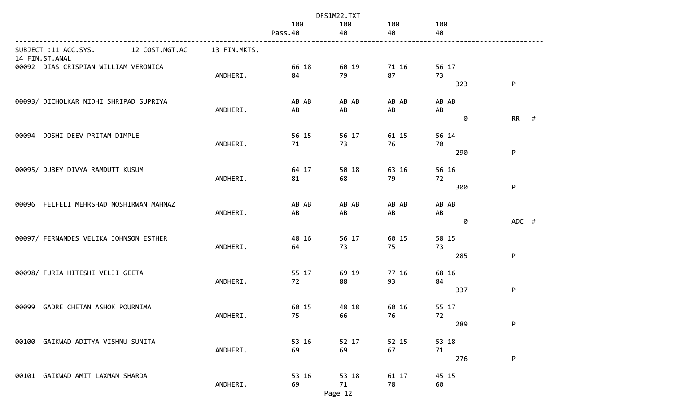|                                         |                |              |                | DFS1M22.TXT |             |             |           |   |
|-----------------------------------------|----------------|--------------|----------------|-------------|-------------|-------------|-----------|---|
|                                         |                |              | 100<br>Pass.40 | 100<br>40   | 100<br>40   | 100<br>40   |           |   |
| SUBJECT :11 ACC.SYS.<br>14 FIN.ST.ANAL  | 12 COST.MGT.AC | 13 FIN.MKTS. |                |             |             |             |           |   |
| 00092 DIAS CRISPIAN WILLIAM VERONICA    |                | ANDHERI.     | 66 18<br>84    | 60 19<br>79 | 71 16<br>87 | 56 17<br>73 |           |   |
|                                         |                |              |                |             |             | 323         | P         |   |
| 00093/ DICHOLKAR NIDHI SHRIPAD SUPRIYA  |                | ANDHERI.     | AB AB<br>AB    | AB AB<br>AB | AB AB<br>AB | AB AB<br>AB |           |   |
|                                         |                |              |                |             |             | 0           | <b>RR</b> | # |
| DOSHI DEEV PRITAM DIMPLE<br>00094       |                | ANDHERI.     | 56 15<br>71    | 56 17<br>73 | 61 15<br>76 | 56 14<br>70 |           |   |
|                                         |                |              |                |             |             | 290         | P         |   |
| 00095/ DUBEY DIVYA RAMDUTT KUSUM        |                |              | 64 17          | 50 18       | 63 16       | 56 16       |           |   |
|                                         |                | ANDHERI.     | 81             | 68          | 79          | 72<br>300   | P         |   |
| 00096 FELFELI MEHRSHAD NOSHIRWAN MAHNAZ |                |              | AB AB          | AB AB       | AB AB       | AB AB       |           |   |
|                                         |                | ANDHERI.     | AB             | AB          | AB          | AB<br>0     | ADC #     |   |
| 00097/ FERNANDES VELIKA JOHNSON ESTHER  |                |              | 48 16          | 56 17       | 60 15       | 58 15       |           |   |
|                                         |                | ANDHERI.     | 64             | 73          | 75          | 73<br>285   | P         |   |
| 00098/ FURIA HITESHI VELJI GEETA        |                |              | 55 17          | 69 19       | 77 16       | 68 16       |           |   |
|                                         |                | ANDHERI.     | 72             | 88          | 93          | 84<br>337   | ${\sf P}$ |   |
| 00099<br>GADRE CHETAN ASHOK POURNIMA    |                |              | 60 15          | 48 18       | 60 16       | 55 17       |           |   |
|                                         |                | ANDHERI.     | 75             | 66          | 76          | 72<br>289   | P         |   |
| 00100 GAIKWAD ADITYA VISHNU SUNITA      |                |              | 53 16          |             |             |             |           |   |
|                                         |                | ANDHERI.     | 69             | 52 17<br>69 | 52 15<br>67 | 53 18<br>71 |           |   |
|                                         |                |              |                |             |             | 276         | P         |   |
| 00101 GAIKWAD AMIT LAXMAN SHARDA        |                | ANDHERI.     | 53 16<br>69    | 53 18<br>71 | 61 17<br>78 | 45 15<br>60 |           |   |
|                                         |                |              |                | Page 12     |             |             |           |   |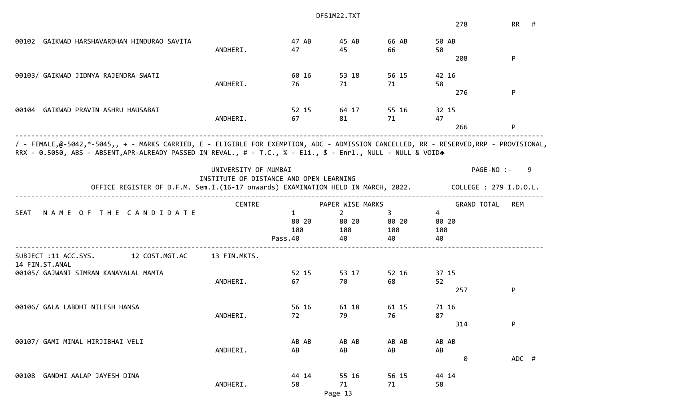|                                                                                                                                                                                                                                                        |                      |                                         | DFS1M22.TXT      |       |                    |                        |
|--------------------------------------------------------------------------------------------------------------------------------------------------------------------------------------------------------------------------------------------------------|----------------------|-----------------------------------------|------------------|-------|--------------------|------------------------|
|                                                                                                                                                                                                                                                        |                      |                                         |                  |       | 278                | RR<br>#                |
| 00102 GAIKWAD HARSHAVARDHAN HINDURAO SAVITA                                                                                                                                                                                                            |                      | 47 AB                                   | 45 AB            | 66 AB | 50 AB              |                        |
|                                                                                                                                                                                                                                                        | ANDHERI.             | 47                                      | 45               | 66    | 50                 |                        |
|                                                                                                                                                                                                                                                        |                      |                                         |                  |       | 208                | P                      |
| 00103/ GAIKWAD JIDNYA RAJENDRA SWATI                                                                                                                                                                                                                   |                      | 60 16                                   | 53 18            | 56 15 | 42 16              |                        |
|                                                                                                                                                                                                                                                        | ANDHERI.             | 76                                      | 71               | 71    | 58                 |                        |
|                                                                                                                                                                                                                                                        |                      |                                         |                  |       | 276                | P                      |
| GAIKWAD PRAVIN ASHRU HAUSABAI<br>00104                                                                                                                                                                                                                 |                      | 52 15                                   | 64 17            | 55 16 | 32 15              |                        |
|                                                                                                                                                                                                                                                        | ANDHERI.             | 67                                      | 81               | 71    | 47                 |                        |
|                                                                                                                                                                                                                                                        |                      |                                         |                  |       | 266                | P                      |
| / - FEMALE,@-5042,*-5045,, + - MARKS CARRIED, E - ELIGIBLE FOR EXEMPTION, ADC - ADMISSION CANCELLED, RR - RESERVED,RRP - PROVISIONAL,<br>RRX - 0.5050, ABS - ABSENT, APR-ALREADY PASSED IN REVAL., # - T.C., % - Eli., \$ - Enrl., NULL - NULL & VOIDA | UNIVERSITY OF MUMBAI |                                         |                  |       |                    | PAGE-NO :-             |
|                                                                                                                                                                                                                                                        |                      | INSTITUTE OF DISTANCE AND OPEN LEARNING |                  |       |                    | 9                      |
| OFFICE REGISTER OF D.F.M. Sem.I.(16-17 onwards) EXAMINATION HELD IN MARCH, 2022.                                                                                                                                                                       |                      |                                         |                  |       |                    | COLLEGE : 279 I.D.O.L. |
|                                                                                                                                                                                                                                                        | <b>CENTRE</b>        |                                         | PAPER WISE MARKS |       | <b>GRAND TOTAL</b> | <b>REM</b>             |
| NAME OF THE CANDIDATE<br><b>SEAT</b>                                                                                                                                                                                                                   |                      | $\mathbf{1}$                            | $\overline{2}$   | 3     | $\overline{4}$     |                        |
|                                                                                                                                                                                                                                                        |                      | 80 20                                   | 80 20            | 80 20 | 80 20              |                        |
|                                                                                                                                                                                                                                                        |                      | 100                                     | 100              | 100   | 100                |                        |
|                                                                                                                                                                                                                                                        |                      | Pass.40                                 | 40               | 40    | 40                 |                        |
| 12 COST.MGT.AC<br>SUBJECT :11 ACC.SYS.<br>14 FIN.ST.ANAL                                                                                                                                                                                               | 13 FIN.MKTS.         |                                         |                  |       |                    |                        |
| 00105/ GAJWANI SIMRAN KANAYALAL MAMTA                                                                                                                                                                                                                  |                      | 52 15                                   | 53 17            | 52 16 | 37 15              |                        |
|                                                                                                                                                                                                                                                        | ANDHERI.             | 67                                      | 70               | 68    | 52                 |                        |
|                                                                                                                                                                                                                                                        |                      |                                         |                  |       | 257                | P                      |
| 00106/ GALA LABDHI NILESH HANSA                                                                                                                                                                                                                        |                      | 56 16                                   | 61 18            | 61 15 | 71 16              |                        |
|                                                                                                                                                                                                                                                        | ANDHERI.             | 72                                      | 79               | 76    | 87                 |                        |
|                                                                                                                                                                                                                                                        |                      |                                         |                  |       | 314                | P                      |
| 00107/ GAMI MINAL HIRJIBHAI VELI                                                                                                                                                                                                                       |                      | AB AB                                   | AB AB            | AB AB | AB AB              |                        |
|                                                                                                                                                                                                                                                        | ANDHERI.             | AB                                      | AB               | AB    | AB                 |                        |
|                                                                                                                                                                                                                                                        |                      |                                         |                  |       | 0                  | ADC #                  |
| 00108 GANDHI AALAP JAYESH DINA                                                                                                                                                                                                                         |                      | 44 14                                   | 55 16            | 56 15 | 44 14              |                        |
|                                                                                                                                                                                                                                                        | ANDHERI.             | 58                                      | 71               | 71    | 58                 |                        |
|                                                                                                                                                                                                                                                        |                      |                                         |                  |       |                    |                        |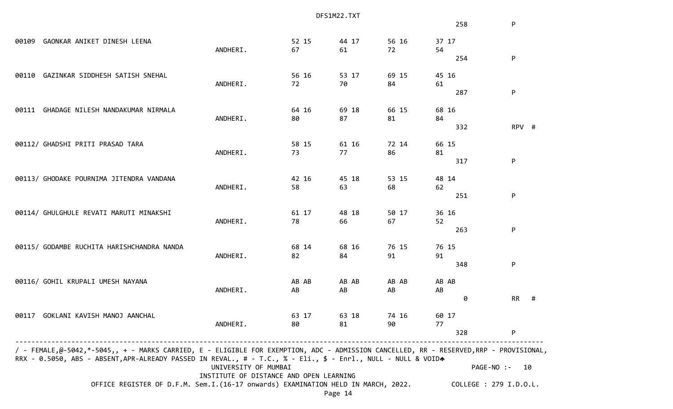|       |                                                                                                                                                                                                                                                        | DFS1M22.TXT                             |       |         |       |       |                        |            |    |
|-------|--------------------------------------------------------------------------------------------------------------------------------------------------------------------------------------------------------------------------------------------------------|-----------------------------------------|-------|---------|-------|-------|------------------------|------------|----|
|       |                                                                                                                                                                                                                                                        |                                         |       |         |       |       | 258                    | P          |    |
| 00109 | GAONKAR ANIKET DINESH LEENA                                                                                                                                                                                                                            |                                         | 52 15 | 44 17   | 56 16 | 37 17 |                        |            |    |
|       |                                                                                                                                                                                                                                                        | ANDHERI.                                | 67    | 61      | 72    | 54    |                        |            |    |
|       |                                                                                                                                                                                                                                                        |                                         |       |         |       |       | 254                    | P          |    |
| 00110 | GAZINKAR SIDDHESH SATISH SNEHAL                                                                                                                                                                                                                        |                                         | 56 16 | 53 17   | 69 15 | 45 16 |                        |            |    |
|       |                                                                                                                                                                                                                                                        | ANDHERI.                                | 72    | 70      | 84    | 61    |                        |            |    |
|       |                                                                                                                                                                                                                                                        |                                         |       |         |       |       | 287                    | P          |    |
| 00111 | GHADAGE NILESH NANDAKUMAR NIRMALA                                                                                                                                                                                                                      |                                         | 64 16 | 69 18   | 66 15 | 68 16 |                        |            |    |
|       |                                                                                                                                                                                                                                                        | ANDHERI.                                | 80    | 87      | 81    | 84    |                        |            |    |
|       |                                                                                                                                                                                                                                                        |                                         |       |         |       |       | 332                    | RPV #      |    |
|       | 00112/ GHADSHI PRITI PRASAD TARA                                                                                                                                                                                                                       |                                         | 58 15 | 61 16   | 72 14 | 66 15 |                        |            |    |
|       |                                                                                                                                                                                                                                                        | ANDHERI.                                | 73    | 77      | 86    | 81    |                        |            |    |
|       |                                                                                                                                                                                                                                                        |                                         |       |         |       |       | 317                    | P          |    |
|       | 00113/ GHODAKE POURNIMA JITENDRA VANDANA                                                                                                                                                                                                               |                                         | 42 16 | 45 18   | 53 15 | 48 14 |                        |            |    |
|       |                                                                                                                                                                                                                                                        | ANDHERI.                                | 58    | 63      | 68    | 62    |                        |            |    |
|       |                                                                                                                                                                                                                                                        |                                         |       |         |       |       | 251                    | P          |    |
|       | 00114/ GHULGHULE REVATI MARUTI MINAKSHI                                                                                                                                                                                                                |                                         | 61 17 | 48 18   | 50 17 | 36 16 |                        |            |    |
|       |                                                                                                                                                                                                                                                        | ANDHERI.                                | 78    | 66      | 67    | 52    |                        |            |    |
|       |                                                                                                                                                                                                                                                        |                                         |       |         |       |       | 263                    | P          |    |
|       | 00115/ GODAMBE RUCHITA HARISHCHANDRA NANDA                                                                                                                                                                                                             |                                         | 68 14 | 68 16   | 76 15 | 76 15 |                        |            |    |
|       |                                                                                                                                                                                                                                                        | ANDHERI.                                | 82    | 84      | 91    | 91    |                        |            |    |
|       |                                                                                                                                                                                                                                                        |                                         |       |         |       |       | 348                    | P          |    |
|       | 00116/ GOHIL KRUPALI UMESH NAYANA                                                                                                                                                                                                                      |                                         | AB AB | AB AB   | AB AB | AB AB |                        |            |    |
|       |                                                                                                                                                                                                                                                        | ANDHERI.                                | AB    | AB      | AB    | AB    |                        |            |    |
|       |                                                                                                                                                                                                                                                        |                                         |       |         |       |       | 0                      | <b>RR</b>  | #  |
|       | 00117 GOKLANI KAVISH MANOJ AANCHAL                                                                                                                                                                                                                     |                                         | 63 17 | 63 18   | 74 16 | 60 17 |                        |            |    |
|       |                                                                                                                                                                                                                                                        | ANDHERI.                                | 80    | 81      | 90    | 77    |                        |            |    |
|       |                                                                                                                                                                                                                                                        |                                         |       |         |       |       | 328                    | P          |    |
|       | / - FEMALE,@-5042,*-5045,, + - MARKS CARRIED, E - ELIGIBLE FOR EXEMPTION, ADC - ADMISSION CANCELLED, RR - RESERVED,RRP - PROVISIONAL,<br>RRX - 0.5050, ABS - ABSENT, APR-ALREADY PASSED IN REVAL., # - T.C., % - Eli., \$ - Enrl., NULL - NULL & VOIDA |                                         |       |         |       |       |                        |            |    |
|       |                                                                                                                                                                                                                                                        | UNIVERSITY OF MUMBAI                    |       |         |       |       |                        | PAGE-NO :- | 10 |
|       |                                                                                                                                                                                                                                                        | INSTITUTE OF DISTANCE AND OPEN LEARNING |       |         |       |       |                        |            |    |
|       | OFFICE REGISTER OF D.F.M. Sem.I.(16-17 onwards) EXAMINATION HELD IN MARCH, 2022.                                                                                                                                                                       |                                         |       |         |       |       | COLLEGE : 279 I.D.O.L. |            |    |
|       |                                                                                                                                                                                                                                                        |                                         |       | Page 14 |       |       |                        |            |    |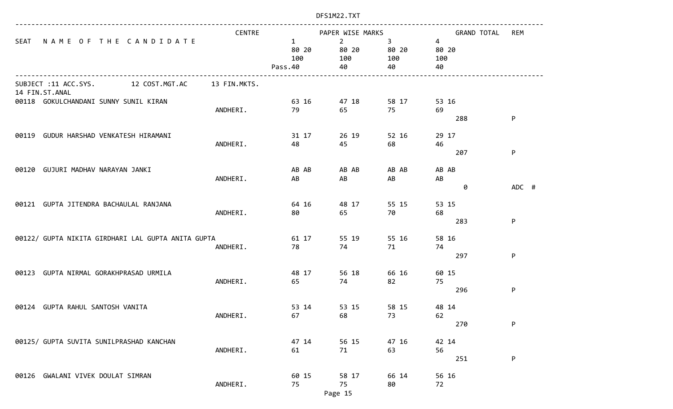|                                                    | <b>CENTRE</b> |                                         | PAPER WISE MARKS                     |                                   | <b>GRAND TOTAL</b>                   | <b>REM</b> |
|----------------------------------------------------|---------------|-----------------------------------------|--------------------------------------|-----------------------------------|--------------------------------------|------------|
| SEAT<br>NAME OF THE CANDIDATE                      |               | $\mathbf{1}$<br>80 20<br>100<br>Pass.40 | $\overline{2}$<br>80 20<br>100<br>40 | $3^{\circ}$<br>80 20<br>100<br>40 | $\overline{4}$<br>80 20<br>100<br>40 |            |
| SUBJECT :11 ACC.SYS. 12 COST.MGT.AC                | 13 FIN.MKTS.  |                                         |                                      |                                   |                                      |            |
| 14 FIN.ST.ANAL                                     |               |                                         |                                      |                                   |                                      |            |
| 00118 GOKULCHANDANI SUNNY SUNIL KIRAN              |               | 63 16                                   | 47 18                                | 58 17                             | 53 16                                |            |
|                                                    | ANDHERI.      | 79                                      | 65                                   | 75                                | 69<br>288                            | P          |
|                                                    |               |                                         |                                      |                                   |                                      |            |
| 00119 GUDUR HARSHAD VENKATESH HIRAMANI             |               | 31 17                                   | 26 19                                | 52 16                             | 29 17                                |            |
|                                                    | ANDHERI.      | 48                                      | 45                                   | 68                                | 46                                   |            |
|                                                    |               |                                         |                                      |                                   | 207                                  | P          |
| 00120 GUJURI MADHAV NARAYAN JANKI                  |               | AB AB                                   | AB AB                                | AB AB                             | AB AB                                |            |
|                                                    | ANDHERI.      | AB                                      | AB                                   | AB                                | AB                                   |            |
|                                                    |               |                                         |                                      |                                   | 0                                    | ADC #      |
|                                                    |               |                                         |                                      |                                   |                                      |            |
| 00121 GUPTA JITENDRA BACHAULAL RANJANA             | ANDHERI.      | 64 16<br>80                             | 48 17<br>65                          | 55 15<br>70                       | 53 15<br>68                          |            |
|                                                    |               |                                         |                                      |                                   | 283                                  | P          |
|                                                    |               |                                         |                                      |                                   |                                      |            |
| 00122/ GUPTA NIKITA GIRDHARI LAL GUPTA ANITA GUPTA |               | 61 17                                   | 55 19                                | 55 16                             | 58 16                                |            |
|                                                    | ANDHERI.      | 78                                      | 74                                   | 71                                | 74<br>297                            | P          |
|                                                    |               |                                         |                                      |                                   |                                      |            |
| GUPTA NIRMAL GORAKHPRASAD URMILA<br>00123          |               | 48 17                                   | 56 18                                | 66 16                             | 60 15                                |            |
|                                                    | ANDHERI.      | 65                                      | 74                                   | 82                                | 75                                   |            |
|                                                    |               |                                         |                                      |                                   | 296                                  | P          |
| 00124 GUPTA RAHUL SANTOSH VANITA                   |               | 53 14                                   | 53 15                                | 58 15                             | 48 14                                |            |
|                                                    | ANDHERI.      | 67                                      | 68                                   | 73                                | 62                                   |            |
|                                                    |               |                                         |                                      |                                   | 270                                  | P          |
| 00125/ GUPTA SUVITA SUNILPRASHAD KANCHAN           |               | 47 14                                   | 56 15                                | 47 16                             | 42 14                                |            |
|                                                    | ANDHERI.      | 61                                      | 71                                   | 63                                | 56                                   |            |
|                                                    |               |                                         |                                      |                                   | 251                                  | P          |
|                                                    |               |                                         |                                      |                                   |                                      |            |
| 00126 GWALANI VIVEK DOULAT SIMRAN                  |               | 60 15<br>75                             | 58 17<br>75                          | 66 14<br>80                       | 56 16                                |            |
|                                                    | ANDHERI.      |                                         | Page 15                              |                                   | 72                                   |            |
|                                                    |               |                                         |                                      |                                   |                                      |            |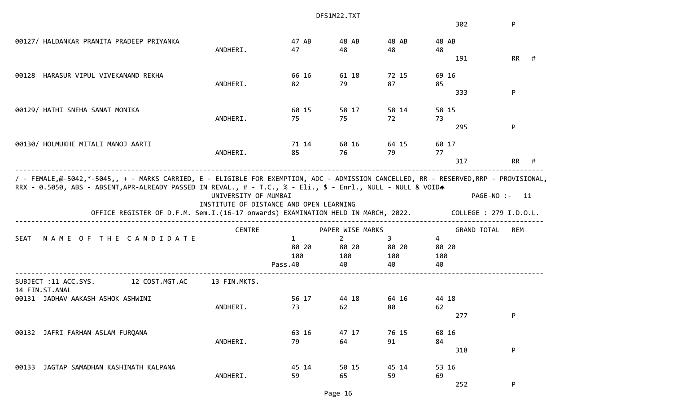|                                                                                                                                                                                                   |                      |                                         | DFS1M22.TXT                    |                   |                        |               |   |
|---------------------------------------------------------------------------------------------------------------------------------------------------------------------------------------------------|----------------------|-----------------------------------------|--------------------------------|-------------------|------------------------|---------------|---|
|                                                                                                                                                                                                   |                      |                                         |                                |                   | 302                    | P             |   |
| 00127/ HALDANKAR PRANITA PRADEEP PRIYANKA                                                                                                                                                         | ANDHERI.             | 47 AB<br>47                             | 48 AB<br>48                    | 48 AB<br>48       | 48 AB<br>48            |               |   |
|                                                                                                                                                                                                   |                      |                                         |                                |                   | 191                    | RR            | # |
| HARASUR VIPUL VIVEKANAND REKHA<br>00128                                                                                                                                                           |                      | 66 16                                   | 61 18                          | 72 15             | 69 16                  |               |   |
|                                                                                                                                                                                                   | ANDHERI.             | 82                                      | 79                             | 87                | 85<br>333              | P             |   |
| 00129/ HATHI SNEHA SANAT MONIKA                                                                                                                                                                   |                      | 60 15                                   | 58 17                          | 58 14             | 58 15                  |               |   |
|                                                                                                                                                                                                   | ANDHERI.             | 75                                      | 75                             | 72                | 73<br>295              | P             |   |
|                                                                                                                                                                                                   |                      |                                         |                                |                   |                        |               |   |
| 00130/ HOLMUKHE MITALI MANOJ AARTI                                                                                                                                                                | ANDHERI.             | 71 14<br>85                             | 60 16<br>76                    | 64 15<br>79       | 60 17<br>77            |               |   |
|                                                                                                                                                                                                   |                      |                                         |                                |                   | 317                    | RR            | # |
| RRX - 0.5050, ABS - ABSENT, APR-ALREADY PASSED IN REVAL., # - T.C., % - Eli., \$ - Enrl., NULL - NULL & VOIDA<br>OFFICE REGISTER OF D.F.M. Sem.I.(16-17 onwards) EXAMINATION HELD IN MARCH, 2022. | UNIVERSITY OF MUMBAI | INSTITUTE OF DISTANCE AND OPEN LEARNING |                                |                   | COLLEGE : 279 I.D.O.L. | PAGE-NO :- 11 |   |
|                                                                                                                                                                                                   | <b>CENTRE</b>        |                                         | PAPER WISE MARKS               |                   | <b>GRAND TOTAL</b>     | <b>REM</b>    |   |
| NAME OF THE CANDIDATE<br>SEAT                                                                                                                                                                     |                      | $\mathbf{1}$<br>80 20<br>100            | $\overline{2}$<br>80 20<br>100 | 3<br>80 20<br>100 | 4<br>80 20<br>100      |               |   |
|                                                                                                                                                                                                   |                      | Pass.40                                 | 40                             | 40                | 40                     |               |   |
| 12 COST.MGT.AC<br>SUBJECT :11 ACC.SYS.<br>14 FIN.ST.ANAL                                                                                                                                          | 13 FIN.MKTS.         |                                         |                                |                   |                        |               |   |
| 00131 JADHAV AAKASH ASHOK ASHWINI                                                                                                                                                                 | ANDHERI.             | 56 17<br>73                             | 44 18<br>62                    | 64 16<br>80 — 10  | 44 18<br>62            |               |   |
|                                                                                                                                                                                                   |                      |                                         |                                |                   | 277                    | P             |   |
| 00132 JAFRI FARHAN ASLAM FURQANA                                                                                                                                                                  |                      | 63 16                                   | 47 17                          | 76 15             | 68 16                  |               |   |
|                                                                                                                                                                                                   | ANDHERI.             | 79                                      | 64                             | 91                | 84<br>318              | P             |   |
| 00133 JAGTAP SAMADHAN KASHINATH KALPANA                                                                                                                                                           |                      | 45 14                                   | 50 15                          |                   |                        |               |   |
|                                                                                                                                                                                                   | ANDHERI.             | 59                                      | 65                             | 45 14<br>59       | 53 16<br>69            |               |   |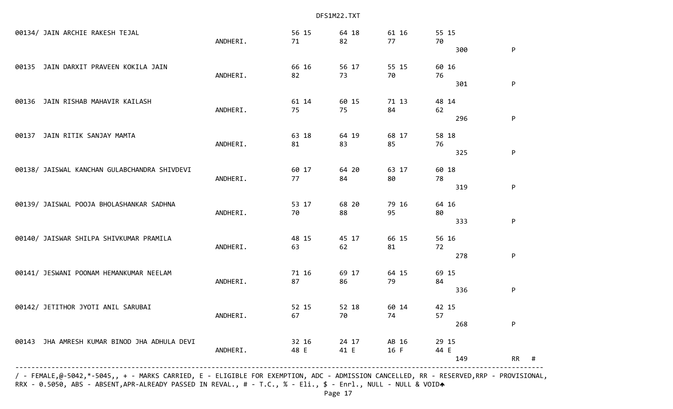|                                              | / - FEMALE,@-5042,*-5045,, + - MARKS CARRIED, E - ELIGIBLE FOR EXEMPTION, ADC - ADMISSION CANCELLED, RR - RESERVED,RRP - PROVISIONAL, |          |               |               |               |               |                |
|----------------------------------------------|---------------------------------------------------------------------------------------------------------------------------------------|----------|---------------|---------------|---------------|---------------|----------------|
|                                              |                                                                                                                                       |          |               |               |               | 149           | <b>RR</b><br># |
|                                              | 00143 JHA AMRESH KUMAR BINOD JHA ADHULA DEVI                                                                                          | ANDHERI. | 32 16<br>48 E | 24 17<br>41 E | AB 16<br>16 F | 29 15<br>44 E |                |
|                                              |                                                                                                                                       |          |               |               |               | 268           | P              |
|                                              | 00142/ JETITHOR JYOTI ANIL SARUBAI                                                                                                    | ANDHERI. | 52 15<br>67   | 52 18<br>70   | 60 14<br>74   | 42 15<br>57   |                |
|                                              |                                                                                                                                       |          |               |               |               | 336           | P              |
|                                              | 00141/ JESWANI POONAM HEMANKUMAR NEELAM                                                                                               | ANDHERI. | 71 16<br>87   | 69 17<br>86   | 64 15<br>79   | 69 15<br>84   |                |
|                                              |                                                                                                                                       |          |               |               |               | 278           | P              |
|                                              | 00140/ JAISWAR SHILPA SHIVKUMAR PRAMILA                                                                                               | ANDHERI. | 48 15<br>63   | 45 17<br>62   | 66 15<br>81   | 56 16<br>72   |                |
|                                              |                                                                                                                                       |          |               |               |               | 333           | P              |
|                                              |                                                                                                                                       | ANDHERI. | 70            | 88            | 95            | 80            |                |
|                                              | 00139/ JAISWAL POOJA BHOLASHANKAR SADHNA                                                                                              |          | 53 17         | 68 20         | 79 16         | 64 16         |                |
|                                              |                                                                                                                                       | ANDHERI. | 77            | 84            | 80            | 78<br>319     | P              |
| 00138/ JAISWAL KANCHAN GULABCHANDRA SHIVDEVI |                                                                                                                                       | 60 17    | 64 20         | 63 17         | 60 18         |               |                |
|                                              |                                                                                                                                       |          |               |               |               | 325           | P              |
| 00137                                        | JAIN RITIK SANJAY MAMTA                                                                                                               | ANDHERI. | 63 18<br>81   | 64 19<br>83   | 68 17<br>85   | 58 18<br>76   |                |
|                                              |                                                                                                                                       |          |               |               |               |               |                |
|                                              |                                                                                                                                       | ANDHERI. | 75            | 75            | 84            | 62<br>296     | P              |
| 00136                                        | JAIN RISHAB MAHAVIR KAILASH                                                                                                           |          | 61 14         | 60 15         | 71 13         | 48 14         |                |
|                                              |                                                                                                                                       |          |               |               |               | 301           | P              |
|                                              | 00135 JAIN DARXIT PRAVEEN KOKILA JAIN                                                                                                 | ANDHERI. | 66 16<br>82   | 56 17<br>73   | 55 15<br>70   | 60 16<br>76   |                |
|                                              |                                                                                                                                       |          |               |               |               | 300           | P              |
|                                              |                                                                                                                                       | ANDHERI. | 71            | 82            | 77            | 70            |                |
|                                              | 00134/ JAIN ARCHIE RAKESH TEJAL                                                                                                       |          | 56 15         | 64 18         | 61 16         | 55 15         |                |

RRX - 0.5050, ABS - ABSENT,APR-ALREADY PASSED IN REVAL., # - T.C., % - Eli., \$ - Enrl., NULL - NULL & VOIDA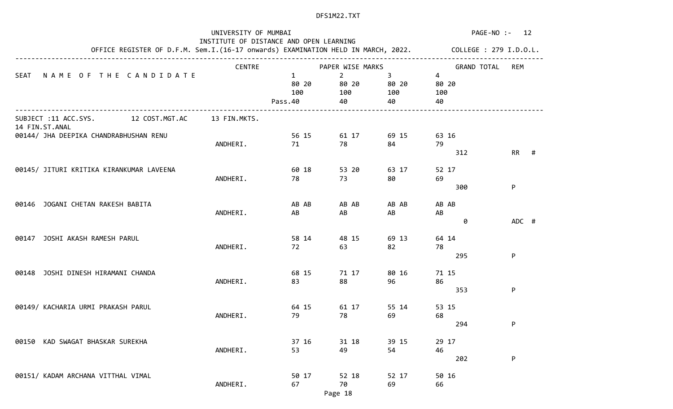|                                                       | PAGE-NO :-<br>12                                                                                        |              |                                 |       |                                      |        |
|-------------------------------------------------------|---------------------------------------------------------------------------------------------------------|--------------|---------------------------------|-------|--------------------------------------|--------|
|                                                       |                                                                                                         |              |                                 |       |                                      |        |
|                                                       | OFFICE REGISTER OF D.F.M. Sem.I.(16-17 onwards) EXAMINATION HELD IN MARCH, 2022. COLLEGE : 279 I.D.O.L. |              |                                 |       |                                      |        |
| NAME OF THE CANDIDATE<br>SEAT                         | <b>CENTRE</b>                                                                                           | $\mathbf{1}$ | PAPER WISE MARKS<br>$2^{\circ}$ | 3     | <b>GRAND TOTAL</b><br>$\overline{4}$ | REM    |
|                                                       |                                                                                                         | 80 20        | 80 20                           | 80 20 | 80 20                                |        |
|                                                       |                                                                                                         | 100          | 100                             | 100   | 100                                  |        |
|                                                       |                                                                                                         | Pass.40      | 40                              | 40    | 40                                   |        |
| SUBJECT :11 ACC.SYS. 12 COST.MGT.AC<br>14 FIN.ST.ANAL | 13 FIN.MKTS.                                                                                            |              |                                 |       |                                      |        |
| 00144/ JHA DEEPIKA CHANDRABHUSHAN RENU                |                                                                                                         | 56 15        | 61 17                           | 69 15 | 63 16                                |        |
|                                                       | ANDHERI.                                                                                                | 71           | 78                              | 84    | 79                                   |        |
|                                                       |                                                                                                         |              |                                 |       | 312                                  | $RR$ # |
| 00145/ JITURI KRITIKA KIRANKUMAR LAVEENA              |                                                                                                         | 60 18        | 53 20                           | 63 17 | 52 17                                |        |
|                                                       | ANDHERI.                                                                                                | 78           | 73                              | 80    | 69                                   |        |
|                                                       |                                                                                                         |              |                                 |       | 300                                  | P      |
| 00146 JOGANI CHETAN RAKESH BABITA                     |                                                                                                         | AB AB        | AB AB                           | AB AB | AB AB                                |        |
|                                                       | ANDHERI.                                                                                                | AB           | AB                              | AB    | AB                                   |        |
|                                                       |                                                                                                         |              |                                 |       | 0                                    | ADC #  |
| JOSHI AKASH RAMESH PARUL<br>00147                     |                                                                                                         | 58 14        | 48 15                           | 69 13 | 64 14                                |        |
|                                                       | ANDHERI.                                                                                                | 72           | 63                              | 82    | 78                                   |        |
|                                                       |                                                                                                         |              |                                 |       | 295                                  | P      |
| 00148 JOSHI DINESH HIRAMANI CHANDA                    |                                                                                                         | 68 15        | 71 17                           | 80 16 | 71 15                                |        |
|                                                       | ANDHERI.                                                                                                | 83           | 88                              | 96    | 86                                   |        |
|                                                       |                                                                                                         |              |                                 |       | 353                                  | P      |
| 00149/ KACHARIA URMI PRAKASH PARUL                    |                                                                                                         | 64 15        | 61 17                           | 55 14 | 53 15                                |        |
|                                                       | ANDHERI.                                                                                                | 79           | 78                              | 69    | 68                                   |        |
|                                                       |                                                                                                         |              |                                 |       | 294                                  | P      |
| KAD SWAGAT BHASKAR SUREKHA<br>00150                   |                                                                                                         | 37 16        | 31 18                           | 39 15 | 29 17                                |        |
|                                                       | ANDHERI.                                                                                                | 53           | 49                              | 54    | 46                                   |        |
|                                                       |                                                                                                         |              |                                 |       | 202                                  | P      |
| 00151/ KADAM ARCHANA VITTHAL VIMAL                    |                                                                                                         | 50 17        | 52 18                           | 52 17 | 50 16                                |        |
|                                                       | ANDHERI.                                                                                                | 67           | 70                              | 69    | 66                                   |        |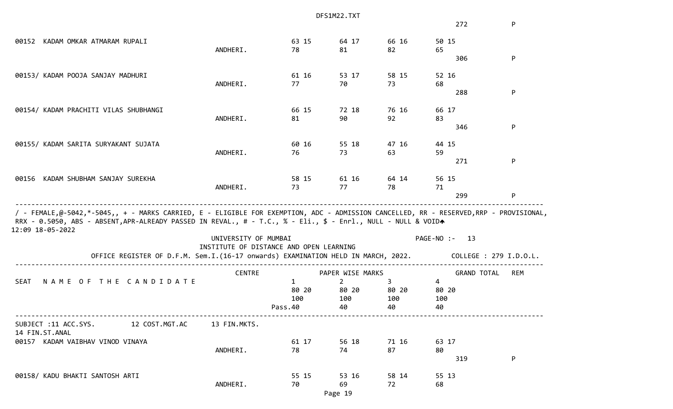|                                                                                                                                                                                                                                                                            |                                         |              | DFS1M22.TXT      |       |                        |            |
|----------------------------------------------------------------------------------------------------------------------------------------------------------------------------------------------------------------------------------------------------------------------------|-----------------------------------------|--------------|------------------|-------|------------------------|------------|
|                                                                                                                                                                                                                                                                            |                                         |              |                  |       | 272                    | P          |
| 00152 KADAM OMKAR ATMARAM RUPALI                                                                                                                                                                                                                                           |                                         | 63 15        | 64 17            | 66 16 | 50 15                  |            |
|                                                                                                                                                                                                                                                                            | ANDHERI.                                | 78           | 81               | 82    | 65<br>306              | P          |
|                                                                                                                                                                                                                                                                            |                                         |              |                  |       |                        |            |
| 00153/ KADAM POOJA SANJAY MADHURI                                                                                                                                                                                                                                          |                                         | 61 16        | 53 17            | 58 15 | 52 16                  |            |
|                                                                                                                                                                                                                                                                            | ANDHERI.                                | 77           | 70               | 73    | 68                     |            |
|                                                                                                                                                                                                                                                                            |                                         |              |                  |       | 288                    | P          |
| 00154/ KADAM PRACHITI VILAS SHUBHANGI                                                                                                                                                                                                                                      |                                         | 66 15        | 72 18            | 76 16 | 66 17                  |            |
|                                                                                                                                                                                                                                                                            | ANDHERI.                                | 81           | 90               | 92    | 83                     |            |
|                                                                                                                                                                                                                                                                            |                                         |              |                  |       | 346                    | P          |
| 00155/ KADAM SARITA SURYAKANT SUJATA                                                                                                                                                                                                                                       |                                         | 60 16        | 55 18            | 47 16 | 44 15                  |            |
|                                                                                                                                                                                                                                                                            | ANDHERI.                                | 76           | 73               | 63    | 59                     |            |
|                                                                                                                                                                                                                                                                            |                                         |              |                  |       | 271                    | P          |
| KADAM SHUBHAM SANJAY SUREKHA<br>00156                                                                                                                                                                                                                                      |                                         | 58 15        | 61 16            | 64 14 | 56 15                  |            |
|                                                                                                                                                                                                                                                                            | ANDHERI.                                | 73           | 77               | 78    | 71                     |            |
|                                                                                                                                                                                                                                                                            |                                         |              |                  |       | 299                    | P          |
| / - FEMALE,@-5042,*-5045,, + - MARKS CARRIED, E - ELIGIBLE FOR EXEMPTION, ADC - ADMISSION CANCELLED, RR - RESERVED,RRP - PROVISIONAL,<br>RRX - 0.5050, ABS - ABSENT, APR-ALREADY PASSED IN REVAL., # - T.C., % - Eli., \$ - Enrl., NULL - NULL & VOIDA<br>12:09 18-05-2022 |                                         |              |                  |       |                        |            |
|                                                                                                                                                                                                                                                                            | UNIVERSITY OF MUMBAI                    |              |                  |       | PAGE-NO :-<br>- 13     |            |
| OFFICE REGISTER OF D.F.M. Sem.I.(16-17 onwards) EXAMINATION HELD IN MARCH, 2022.                                                                                                                                                                                           | INSTITUTE OF DISTANCE AND OPEN LEARNING |              |                  |       | COLLEGE : 279 I.D.O.L. |            |
|                                                                                                                                                                                                                                                                            | <b>CENTRE</b>                           |              | PAPER WISE MARKS |       | <b>GRAND TOTAL</b>     | <b>REM</b> |
| NAME OF THE CANDIDATE<br><b>SEAT</b>                                                                                                                                                                                                                                       |                                         | $\mathbf{1}$ | $\overline{2}$   | 3     | $\overline{4}$         |            |
|                                                                                                                                                                                                                                                                            |                                         | 80 20        | 80 20            | 80 20 | 80 20                  |            |
|                                                                                                                                                                                                                                                                            |                                         | 100          | 100              | 100   | 100                    |            |
|                                                                                                                                                                                                                                                                            |                                         | Pass.40      | 40               | 40    | 40                     |            |
| SUBJECT :11 ACC.SYS. 12 COST.MGT.AC<br>14 FIN.ST.ANAL                                                                                                                                                                                                                      | 13 FIN.MKTS.                            |              |                  |       |                        |            |
| 00157 KADAM VAIBHAV VINOD VINAYA                                                                                                                                                                                                                                           |                                         | 61 17        | 56 18            | 71 16 | 63 17                  |            |
|                                                                                                                                                                                                                                                                            | ANDHERI.                                | 78           | 74               | 87    | 80                     |            |
|                                                                                                                                                                                                                                                                            |                                         |              |                  |       |                        |            |
|                                                                                                                                                                                                                                                                            |                                         |              |                  |       | 319                    | P          |
| 00158/ KADU BHAKTI SANTOSH ARTI                                                                                                                                                                                                                                            |                                         | 55 15        | 53 16            | 58 14 | 55 13                  |            |
|                                                                                                                                                                                                                                                                            | ANDHERI.                                | 70           | 69               | 72    | 68                     |            |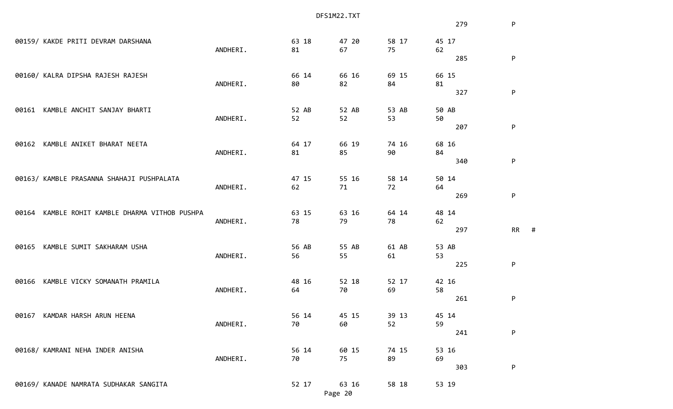|       |                                                   |          |       | DFS1M22.TXT |       |       |                |
|-------|---------------------------------------------------|----------|-------|-------------|-------|-------|----------------|
|       |                                                   |          |       |             |       | 279   | P              |
|       | 00159/ KAKDE PRITI DEVRAM DARSHANA                |          | 63 18 | 47 20       | 58 17 | 45 17 |                |
|       |                                                   | ANDHERI. | 81    | 67          | 75    | 62    |                |
|       |                                                   |          |       |             |       | 285   | P              |
|       | 00160/ KALRA DIPSHA RAJESH RAJESH                 |          | 66 14 | 66 16       | 69 15 | 66 15 |                |
|       |                                                   | ANDHERI. | 80    | 82          | 84    | 81    |                |
|       |                                                   |          |       |             |       | 327   | P              |
| 00161 | KAMBLE ANCHIT SANJAY BHARTI                       |          | 52 AB | 52 AB       | 53 AB | 50 AB |                |
|       | ANDHERI.                                          | 52       | 52    | 53          | 50    |       |                |
|       |                                                   |          |       |             |       | 207   | P              |
| 00162 | KAMBLE ANIKET BHARAT NEETA                        |          | 64 17 | 66 19       | 74 16 | 68 16 |                |
|       |                                                   | ANDHERI. | 81    | 85          | 90    | 84    |                |
|       |                                                   |          |       |             |       | 340   | P              |
|       | 00163/ KAMBLE PRASANNA SHAHAJI PUSHPALATA         |          | 47 15 | 55 16       | 58 14 | 50 14 |                |
|       |                                                   | ANDHERI. | 62    | 71          | 72    | 64    |                |
|       |                                                   |          |       |             |       | 269   | ${\sf P}$      |
|       | KAMBLE ROHIT KAMBLE DHARMA VITHOB PUSHPA<br>00164 |          | 63 15 | 63 16       | 64 14 | 48 14 |                |
|       |                                                   | ANDHERI. | 78    | 79          | 78    | 62    |                |
|       |                                                   |          |       |             |       | 297   | <b>RR</b><br># |
| 00165 | KAMBLE SUMIT SAKHARAM USHA                        |          | 56 AB | 55 AB       | 61 AB | 53 AB |                |
|       |                                                   | ANDHERI. | 56    | 55          | 61    | 53    |                |
|       |                                                   |          |       |             |       | 225   | P              |
| 00166 | KAMBLE VICKY SOMANATH PRAMILA                     |          | 48 16 | 52 18       | 52 17 | 42 16 |                |
|       |                                                   | ANDHERI. | 64    | 70          | 69    | 58    |                |
|       |                                                   |          |       |             |       | 261   | P              |
|       |                                                   |          |       |             |       |       |                |
|       | 00167 KAMDAR HARSH ARUN HEENA                     |          | 56 14 | 45 15       | 39 13 | 45 14 |                |
|       |                                                   | ANDHERI. | 70    | 60          | 52    | 59    |                |
|       |                                                   |          |       |             |       | 241   | P              |
|       | 00168/ KAMRANI NEHA INDER ANISHA                  |          | 56 14 | 60 15       | 74 15 | 53 16 |                |
|       |                                                   | ANDHERI. | 70    | 75          | 89    | 69    |                |
|       |                                                   |          |       |             |       | 303   | ${\sf P}$      |
|       | 00169/ KANADE NAMRATA SUDHAKAR SANGITA            |          | 52 17 | 63 16       | 58 18 | 53 19 |                |
|       |                                                   |          |       | Page 20     |       |       |                |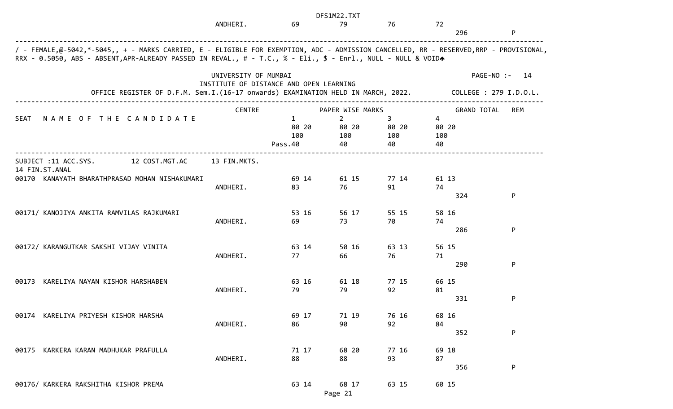|                                                                                                                                                                                                                                                        |                      |                                         | DFS1M22.TXT                    |                   |                   |                                  |
|--------------------------------------------------------------------------------------------------------------------------------------------------------------------------------------------------------------------------------------------------------|----------------------|-----------------------------------------|--------------------------------|-------------------|-------------------|----------------------------------|
|                                                                                                                                                                                                                                                        | ANDHERI.             | 69                                      | 79                             | 76                | 72<br>296         | P                                |
| / - FEMALE,@-5042,*-5045,, + - MARKS CARRIED, E - ELIGIBLE FOR EXEMPTION, ADC - ADMISSION CANCELLED, RR - RESERVED,RRP - PROVISIONAL,<br>RRX - 0.5050, ABS - ABSENT, APR-ALREADY PASSED IN REVAL., # - T.C., % - Eli., \$ - Enrl., NULL - NULL & VOIDA |                      |                                         |                                |                   |                   |                                  |
|                                                                                                                                                                                                                                                        | UNIVERSITY OF MUMBAI | INSTITUTE OF DISTANCE AND OPEN LEARNING |                                |                   |                   | PAGE-NO :-<br>- 14               |
| OFFICE REGISTER OF D.F.M. Sem.I.(16-17 onwards) EXAMINATION HELD IN MARCH, 2022.                                                                                                                                                                       |                      |                                         |                                |                   |                   | COLLEGE : 279 I.D.O.L.           |
|                                                                                                                                                                                                                                                        | CENTRE               |                                         | PAPER WISE MARKS               |                   |                   | <b>GRAND TOTAL</b><br><b>REM</b> |
| NAME OF THE CANDIDATE<br><b>SEAT</b>                                                                                                                                                                                                                   |                      | $\mathbf{1}$<br>80 20<br>100            | $\overline{2}$<br>80 20<br>100 | 3<br>80 20<br>100 | 4<br>80 20<br>100 |                                  |
|                                                                                                                                                                                                                                                        |                      | Pass.40                                 | 40                             | 40                | 40                |                                  |
| SUBJECT :11 ACC.SYS.<br>12 COST.MGT.AC<br>14 FIN.ST.ANAL                                                                                                                                                                                               | 13 FIN.MKTS.         |                                         |                                |                   |                   |                                  |
| 00170 KANAYATH BHARATHPRASAD MOHAN NISHAKUMARI                                                                                                                                                                                                         | ANDHERI.             | 69 14<br>83                             | 61 15<br>76                    | 77 14<br>91       | 61 13<br>74       |                                  |
|                                                                                                                                                                                                                                                        |                      |                                         |                                |                   | 324               | P                                |
| 00171/ KANOJIYA ANKITA RAMVILAS RAJKUMARI                                                                                                                                                                                                              |                      | 53 16                                   | 56 17                          | 55 15             | 58 16             |                                  |
|                                                                                                                                                                                                                                                        | ANDHERI.             | 69                                      | 73                             | 70                | 74<br>286         | P                                |
| 00172/ KARANGUTKAR SAKSHI VIJAY VINITA                                                                                                                                                                                                                 |                      | 63 14                                   | 50 16                          | 63 13             | 56 15             |                                  |
|                                                                                                                                                                                                                                                        | ANDHERI.             | 77                                      | 66                             | 76                | 71                |                                  |
|                                                                                                                                                                                                                                                        |                      |                                         |                                |                   | 290               | P                                |
| KARELIYA NAYAN KISHOR HARSHABEN<br>00173                                                                                                                                                                                                               | ANDHERI.             | 63 16<br>79                             | 61 18<br>79                    | 77 15<br>92       | 66 15<br>81       |                                  |
|                                                                                                                                                                                                                                                        |                      |                                         |                                |                   | 331               | P                                |
| 00174 KARELIYA PRIYESH KISHOR HARSHA                                                                                                                                                                                                                   |                      | 69 17                                   | 71 19                          | 76 16             | 68 16             |                                  |
|                                                                                                                                                                                                                                                        | ANDHERI.             | 86                                      | 90                             | 92                | 84<br>352         | ${\sf P}$                        |
| KARKERA KARAN MADHUKAR PRAFULLA<br>00175                                                                                                                                                                                                               |                      | 71 17                                   | 68 20                          | 77 16             | 69 18             |                                  |
|                                                                                                                                                                                                                                                        | ANDHERI.             | 88                                      | 88                             | 93                | 87<br>356         | P                                |
|                                                                                                                                                                                                                                                        |                      |                                         |                                |                   |                   |                                  |
| 00176/ KARKERA RAKSHITHA KISHOR PREMA                                                                                                                                                                                                                  |                      | 63 14                                   | 68 17<br>Page 21               | 63 15             | 60 15             |                                  |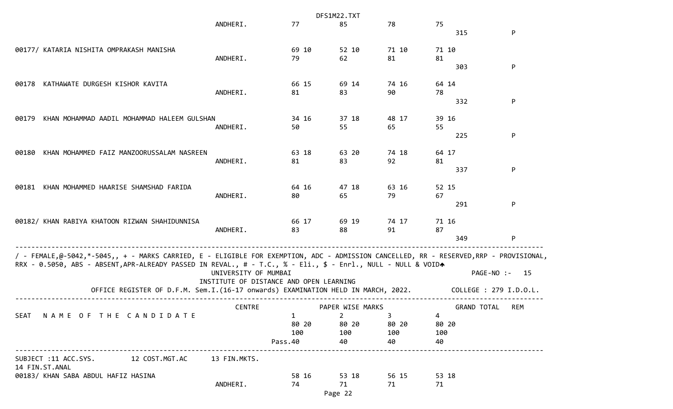|                                                                                                                                                                                                                                                                                                                                           |                      |                                         | DFS1M22.TXT      |                |                    |                                              |
|-------------------------------------------------------------------------------------------------------------------------------------------------------------------------------------------------------------------------------------------------------------------------------------------------------------------------------------------|----------------------|-----------------------------------------|------------------|----------------|--------------------|----------------------------------------------|
|                                                                                                                                                                                                                                                                                                                                           | ANDHERI.             | 77                                      | 85               | 78             | 75<br>315          | P                                            |
| 00177/ KATARIA NISHITA OMPRAKASH MANISHA                                                                                                                                                                                                                                                                                                  |                      | 69 10                                   | 52 10            | 71 10          | 71 10              |                                              |
|                                                                                                                                                                                                                                                                                                                                           | ANDHERI.             | 79                                      | 62               | 81             | 81                 |                                              |
|                                                                                                                                                                                                                                                                                                                                           |                      |                                         |                  |                | 303                | P                                            |
| KATHAWATE DURGESH KISHOR KAVITA<br>00178                                                                                                                                                                                                                                                                                                  |                      | 66 15                                   | 69 14            | 74 16          | 64 14              |                                              |
|                                                                                                                                                                                                                                                                                                                                           | ANDHERI.             | 81                                      | 83               | 90             | 78                 |                                              |
|                                                                                                                                                                                                                                                                                                                                           |                      |                                         |                  |                | 332                | P                                            |
| KHAN MOHAMMAD AADIL MOHAMMAD HALEEM GULSHAN<br>00179                                                                                                                                                                                                                                                                                      |                      | 34 16                                   | 37 18            | 48 17          | 39 16              |                                              |
|                                                                                                                                                                                                                                                                                                                                           | ANDHERI.             | 50                                      | 55               | 65             | 55                 |                                              |
|                                                                                                                                                                                                                                                                                                                                           |                      |                                         |                  |                | 225                | P                                            |
| KHAN MOHAMMED FAIZ MANZOORUSSALAM NASREEN<br>00180                                                                                                                                                                                                                                                                                        |                      | 63 18                                   | 63 20            | 74 18          | 64 17              |                                              |
|                                                                                                                                                                                                                                                                                                                                           | ANDHERI.             | 81                                      | 83               | 92             | 81                 |                                              |
|                                                                                                                                                                                                                                                                                                                                           |                      |                                         |                  |                | 337                | P                                            |
| KHAN MOHAMMED HAARISE SHAMSHAD FARIDA<br>00181                                                                                                                                                                                                                                                                                            |                      | 64 16                                   | 47 18            | 63 16          | 52 15              |                                              |
|                                                                                                                                                                                                                                                                                                                                           | ANDHERI.             | 80                                      | 65               | 79             | 67                 |                                              |
|                                                                                                                                                                                                                                                                                                                                           |                      |                                         |                  |                | 291                | P                                            |
| 00182/ KHAN RABIYA KHATOON RIZWAN SHAHIDUNNISA                                                                                                                                                                                                                                                                                            |                      | 66 17                                   | 69 19            | 74 17          | 71 16              |                                              |
|                                                                                                                                                                                                                                                                                                                                           | ANDHERI.             | 83                                      | 88               | 91             | 87                 |                                              |
|                                                                                                                                                                                                                                                                                                                                           |                      |                                         |                  |                | 349                | P                                            |
| / - FEMALE,@-5042,*-5045,, + - MARKS CARRIED, E - ELIGIBLE FOR EXEMPTION, ADC - ADMISSION CANCELLED, RR - RESERVED,RRP - PROVISIONAL,<br>RRX - 0.5050, ABS - ABSENT,APR-ALREADY PASSED IN REVAL., # - T.C., % - Eli., \$ - Enrl., NULL - NULL & VOIDA<br>OFFICE REGISTER OF D.F.M. Sem.I.(16-17 onwards) EXAMINATION HELD IN MARCH, 2022. | UNIVERSITY OF MUMBAI | INSTITUTE OF DISTANCE AND OPEN LEARNING |                  |                |                    | PAGE-NO :-<br>- 15<br>COLLEGE : 279 I.D.O.L. |
|                                                                                                                                                                                                                                                                                                                                           | <b>CENTRE</b>        |                                         | PAPER WISE MARKS |                | <b>GRAND TOTAL</b> | REM                                          |
| SEAT NAME OF THE CANDIDATE                                                                                                                                                                                                                                                                                                                |                      | $\mathbf{1}$                            | $\overline{2}$   | 3 <sup>7</sup> | 4                  |                                              |
|                                                                                                                                                                                                                                                                                                                                           |                      | 80 20<br>100                            | 80 20<br>100     | 80 20          | 80 20<br>100       |                                              |
|                                                                                                                                                                                                                                                                                                                                           |                      | Pass.40                                 | 40               | 100<br>40      | 40                 |                                              |
|                                                                                                                                                                                                                                                                                                                                           |                      |                                         |                  |                |                    |                                              |
| 12 COST.MGT.AC<br>SUBJECT :11 ACC.SYS.<br>14 FIN.ST.ANAL                                                                                                                                                                                                                                                                                  | 13 FIN.MKTS.         |                                         |                  |                |                    |                                              |
| 00183/ KHAN SABA ABDUL HAFIZ HASINA                                                                                                                                                                                                                                                                                                       |                      | 58 16                                   | 53 18            | 56 15          | 53 18              |                                              |
|                                                                                                                                                                                                                                                                                                                                           | ANDHERI.             | 74                                      | 71               | 71             | 71                 |                                              |
|                                                                                                                                                                                                                                                                                                                                           |                      |                                         | Page 22          |                |                    |                                              |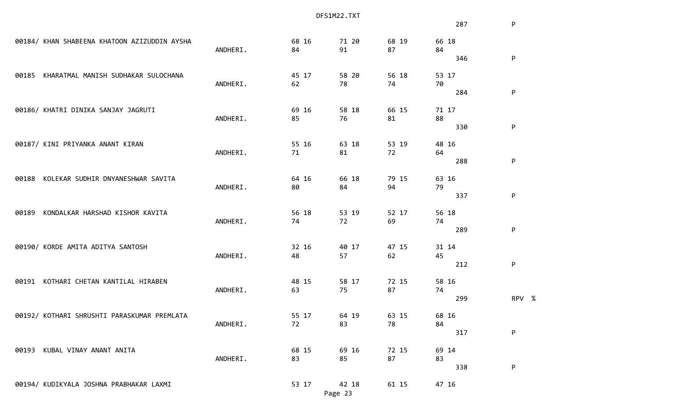|                                              | DFS1M22.TXT |       |         |       |       |           |
|----------------------------------------------|-------------|-------|---------|-------|-------|-----------|
|                                              |             |       |         |       | 287   | ${\sf P}$ |
| 00184/ KHAN SHABEENA KHATOON AZIZUDDIN AYSHA |             | 68 16 | 71 20   | 68 19 | 66 18 |           |
|                                              | ANDHERI.    | 84    | 91      | 87    | 84    |           |
|                                              |             |       |         |       | 346   | P         |
| KHARATMAL MANISH SUDHAKAR SULOCHANA<br>00185 |             | 45 17 | 58 20   | 56 18 | 53 17 |           |
|                                              | ANDHERI.    | 62    | 78      | 74    | 70    |           |
|                                              |             |       |         |       | 284   | ${\sf P}$ |
| 00186/ KHATRI DINIKA SANJAY JAGRUTI          |             | 69 16 | 58 18   | 66 15 | 71 17 |           |
|                                              | ANDHERI.    | 85    | 76      | 81    | 88    |           |
|                                              |             |       |         |       | 330   | P         |
| 00187/ KINI PRIYANKA ANANT KIRAN             |             | 55 16 | 63 18   | 53 19 | 48 16 |           |
|                                              | ANDHERI.    | 71    | 81      | 72    | 64    |           |
|                                              |             |       |         |       | 288   | ${\sf P}$ |
|                                              |             |       |         |       |       |           |
| KOLEKAR SUDHIR DNYANESHWAR SAVITA<br>00188   |             | 64 16 | 66 18   | 79 15 | 63 16 |           |
|                                              | ANDHERI.    | 80    | 84      | 94    | 79    |           |
|                                              |             |       |         |       | 337   | P         |
| KONDALKAR HARSHAD KISHOR KAVITA<br>00189     |             | 56 18 | 53 19   | 52 17 | 56 18 |           |
|                                              | ANDHERI.    | 74    | 72      | 69    | 74    |           |
|                                              |             |       |         |       | 289   | P         |
| 00190/ KORDE AMITA ADITYA SANTOSH            |             | 32 16 | 40 17   | 47 15 | 31 14 |           |
|                                              | ANDHERI.    | 48    | 57      | 62    | 45    |           |
|                                              |             |       |         |       | 212   | P         |
|                                              |             |       |         |       |       |           |
| KOTHARI CHETAN KANTILAL HIRABEN<br>00191     |             | 48 15 | 58 17   | 72 15 | 58 16 |           |
|                                              | ANDHERI.    | 63    | 75      | 87    | 74    |           |
|                                              |             |       |         |       | 299   | RPV %     |
| 00192/ KOTHARI SHRUSHTI PARASKUMAR PREMLATA  |             | 55 17 | 64 19   | 63 15 | 68 16 |           |
|                                              | ANDHERI.    | 72    | 83      | 78    | 84    |           |
|                                              |             |       |         |       | 317   | ${\sf P}$ |
| KUBAL VINAY ANANT ANITA<br>00193             |             | 68 15 | 69 16   | 72 15 | 69 14 |           |
|                                              | ANDHERI.    | 83    | 85      | 87    | 83    |           |
|                                              |             |       |         |       | 338   | P         |
| 00194/ KUDIKYALA JOSHNA PRABHAKAR LAXMI      |             | 53 17 | 42 18   | 61 15 | 47 16 |           |
|                                              |             |       | Page 23 |       |       |           |
|                                              |             |       |         |       |       |           |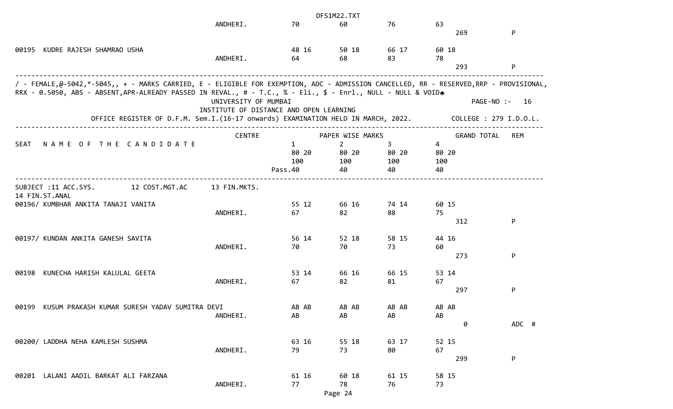|                                                                                                                                       |                                         |              | DFS1M22.TXT      |             |                    |                        |
|---------------------------------------------------------------------------------------------------------------------------------------|-----------------------------------------|--------------|------------------|-------------|--------------------|------------------------|
|                                                                                                                                       | ANDHERI.                                | 70           | 60               | 76          | 63                 |                        |
|                                                                                                                                       |                                         |              |                  |             | 269                | P                      |
|                                                                                                                                       |                                         |              |                  |             |                    |                        |
| 00195 KUDRE RAJESH SHAMRAO USHA                                                                                                       |                                         | 48 16        | 50 18            | 66 17       | 60 18              |                        |
|                                                                                                                                       | ANDHERI.                                | 64           | 68               | 83          | 78                 |                        |
|                                                                                                                                       |                                         |              |                  |             | 293                | P                      |
| / - FEMALE,@-5042,*-5045,, + - MARKS CARRIED, E - ELIGIBLE FOR EXEMPTION, ADC - ADMISSION CANCELLED, RR - RESERVED,RRP - PROVISIONAL, |                                         |              |                  |             |                    |                        |
| RRX - 0.5050, ABS - ABSENT, APR-ALREADY PASSED IN REVAL., # - T.C., % - Eli., \$ - Enrl., NULL - NULL & VOIDA                         |                                         |              |                  |             |                    |                        |
|                                                                                                                                       | UNIVERSITY OF MUMBAI                    |              |                  |             |                    | PAGE-NO :-<br>16       |
|                                                                                                                                       | INSTITUTE OF DISTANCE AND OPEN LEARNING |              |                  |             |                    |                        |
| OFFICE REGISTER OF D.F.M. Sem.I.(16-17 onwards) EXAMINATION HELD IN MARCH, 2022.                                                      |                                         |              |                  |             |                    | COLLEGE : 279 I.D.O.L. |
|                                                                                                                                       |                                         |              |                  |             |                    |                        |
|                                                                                                                                       | <b>CENTRE</b>                           |              | PAPER WISE MARKS |             | <b>GRAND TOTAL</b> | REM                    |
| NAME OF THE CANDIDATE<br>SEAT                                                                                                         |                                         | $\mathbf{1}$ | $\overline{2}$   | 3           | 4                  |                        |
|                                                                                                                                       |                                         | 80 20        | 80 20            | 80 20       | 80 20              |                        |
|                                                                                                                                       |                                         | 100          | 100              | 100         | 100                |                        |
|                                                                                                                                       |                                         | Pass.40      | 40               | 40          | 40                 |                        |
|                                                                                                                                       |                                         |              |                  |             |                    |                        |
| SUBJECT :11 ACC.SYS.<br>12 COST.MGT.AC                                                                                                | 13 FIN.MKTS.                            |              |                  |             |                    |                        |
| 14 FIN.ST.ANAL                                                                                                                        |                                         | 55 12        |                  |             | 60 15              |                        |
| 00196/ KUMBHAR ANKITA TANAJI VANITA                                                                                                   | ANDHERI.                                | 67           | 66 16<br>82      | 74 14<br>88 | 75                 |                        |
|                                                                                                                                       |                                         |              |                  |             | 312                | P                      |
|                                                                                                                                       |                                         |              |                  |             |                    |                        |
| 00197/ KUNDAN ANKITA GANESH SAVITA                                                                                                    |                                         | 56 14        | 52 18            | 58 15       | 44 16              |                        |
|                                                                                                                                       | ANDHERI.                                | 70           | 70               | 73          | 60                 |                        |
|                                                                                                                                       |                                         |              |                  |             | 273                | P                      |
|                                                                                                                                       |                                         |              |                  |             |                    |                        |
| KUNECHA HARISH KALULAL GEETA<br>00198                                                                                                 |                                         | 53 14        | 66 16            | 66 15       | 53 14              |                        |
|                                                                                                                                       | ANDHERI.                                | 67           | 82               | 81          | 67                 |                        |
|                                                                                                                                       |                                         |              |                  |             | 297                | P                      |
|                                                                                                                                       |                                         |              |                  |             |                    |                        |
| KUSUM PRAKASH KUMAR SURESH YADAV SUMITRA DEVI<br>00199                                                                                |                                         | AB AB        | AB AB            | AB AB       | AB AB              |                        |
|                                                                                                                                       | ANDHERI.                                | AB           | AB               | AB          | AB                 |                        |
|                                                                                                                                       |                                         |              |                  |             | 0                  | ADC #                  |
|                                                                                                                                       |                                         |              |                  |             |                    |                        |
| 00200/ LADDHA NEHA KAMLESH SUSHMA                                                                                                     |                                         | 63 16        | 55 18            | 63 17       | 52 15              |                        |
|                                                                                                                                       | ANDHERI.                                | 79           | 73               | 80          | 67                 |                        |
|                                                                                                                                       |                                         |              |                  |             | 299                | P                      |
| LALANI AADIL BARKAT ALI FARZANA                                                                                                       |                                         |              |                  |             |                    |                        |
| 00201                                                                                                                                 | ANDHERI.                                | 61 16<br>77  | 60 18<br>78      | 61 15<br>76 | 58 15<br>73        |                        |
|                                                                                                                                       |                                         |              |                  |             |                    |                        |
|                                                                                                                                       |                                         |              | Page 24          |             |                    |                        |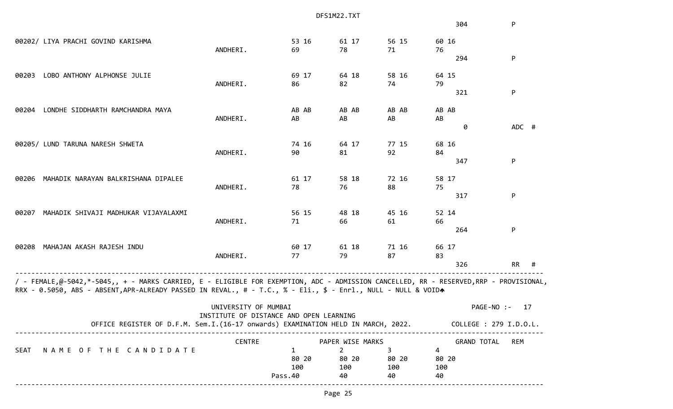|             |                                                                                                                                                                                                                                                        |                      |                                         | DFS1M22.TXT      |       |                    |                        |
|-------------|--------------------------------------------------------------------------------------------------------------------------------------------------------------------------------------------------------------------------------------------------------|----------------------|-----------------------------------------|------------------|-------|--------------------|------------------------|
|             |                                                                                                                                                                                                                                                        |                      |                                         |                  |       | 304                | P                      |
|             | 00202/ LIYA PRACHI GOVIND KARISHMA                                                                                                                                                                                                                     |                      | 53 16                                   | 61 17            | 56 15 | 60 16              |                        |
|             |                                                                                                                                                                                                                                                        | ANDHERI.             | 69                                      | 78               | 71    | 76                 |                        |
|             |                                                                                                                                                                                                                                                        |                      |                                         |                  |       | 294                | P                      |
| 00203       | LOBO ANTHONY ALPHONSE JULIE                                                                                                                                                                                                                            |                      | 69 17                                   | 64 18            | 58 16 | 64 15              |                        |
|             |                                                                                                                                                                                                                                                        | ANDHERI.             | 86                                      | 82               | 74    | 79                 |                        |
|             |                                                                                                                                                                                                                                                        |                      |                                         |                  |       | 321                | P                      |
| 00204       | LONDHE SIDDHARTH RAMCHANDRA MAYA                                                                                                                                                                                                                       |                      | AB AB                                   | AB AB            | AB AB | AB AB              |                        |
|             |                                                                                                                                                                                                                                                        | ANDHERI.             | AB                                      | AB               | AB    | AB                 |                        |
|             |                                                                                                                                                                                                                                                        |                      |                                         |                  |       | 0                  | ADC #                  |
|             | 00205/ LUND TARUNA NARESH SHWETA                                                                                                                                                                                                                       |                      | 74 16                                   | 64 17            | 77 15 | 68 16              |                        |
|             |                                                                                                                                                                                                                                                        | ANDHERI.             | 90                                      | 81               | 92    | 84                 |                        |
|             |                                                                                                                                                                                                                                                        |                      |                                         |                  |       | 347                | P                      |
| 00206       | MAHADIK NARAYAN BALKRISHANA DIPALEE                                                                                                                                                                                                                    |                      | 61 17                                   | 58 18            | 72 16 | 58 17              |                        |
|             |                                                                                                                                                                                                                                                        | ANDHERI.             | 78                                      | 76               | 88    | 75                 |                        |
|             |                                                                                                                                                                                                                                                        |                      |                                         |                  |       | 317                | P                      |
| 00207       | MAHADIK SHIVAJI MADHUKAR VIJAYALAXMI                                                                                                                                                                                                                   |                      | 56 15                                   | 48 18            | 45 16 | 52 14              |                        |
|             |                                                                                                                                                                                                                                                        | ANDHERI.             | 71                                      | 66               | 61    | 66                 |                        |
|             |                                                                                                                                                                                                                                                        |                      |                                         |                  |       | 264                | P                      |
| 00208       | MAHAJAN AKASH RAJESH INDU                                                                                                                                                                                                                              |                      | 60 17                                   | 61 18            | 71 16 | 66 17              |                        |
|             |                                                                                                                                                                                                                                                        | ANDHERI.             | 77                                      | 79               | 87    | 83                 |                        |
|             |                                                                                                                                                                                                                                                        |                      |                                         |                  |       | 326                | RR<br>#                |
|             | / - FEMALE,@-5042,*-5045,, + - MARKS CARRIED, E - ELIGIBLE FOR EXEMPTION, ADC - ADMISSION CANCELLED, RR - RESERVED,RRP - PROVISIONAL,<br>RRX - 0.5050, ABS - ABSENT, APR-ALREADY PASSED IN REVAL., # - T.C., % - Eli., \$ - Enrl., NULL - NULL & VOIDA |                      |                                         |                  |       |                    |                        |
|             |                                                                                                                                                                                                                                                        | UNIVERSITY OF MUMBAI | INSTITUTE OF DISTANCE AND OPEN LEARNING |                  |       | PAGE-NO :-         | 17                     |
|             | OFFICE REGISTER OF D.F.M. Sem.I.(16-17 onwards) EXAMINATION HELD IN MARCH, 2022.                                                                                                                                                                       |                      |                                         |                  |       |                    | COLLEGE : 279 I.D.O.L. |
|             |                                                                                                                                                                                                                                                        | <b>CENTRE</b>        |                                         | PAPER WISE MARKS |       | <b>GRAND TOTAL</b> | <b>REM</b>             |
| <b>SEAT</b> | NAME OF THE CANDIDATE                                                                                                                                                                                                                                  |                      | 1                                       | 2                | 3     | 4                  |                        |
|             |                                                                                                                                                                                                                                                        |                      | 80 20                                   | 80 20            | 80 20 | 80 20              |                        |
|             |                                                                                                                                                                                                                                                        |                      | 100                                     | 100              | 100   | 100                |                        |
|             |                                                                                                                                                                                                                                                        |                      | Pass.40                                 | 40               | 40    | 40                 |                        |
|             |                                                                                                                                                                                                                                                        |                      |                                         |                  |       |                    |                        |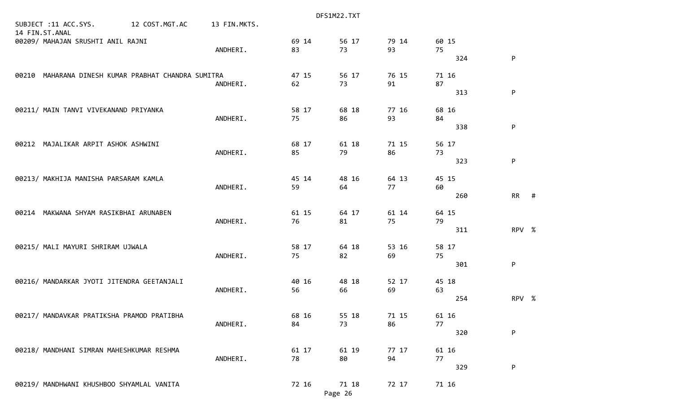|                                                     |                |              |             | DFS1M22.TXT      |             |             |     |              |  |
|-----------------------------------------------------|----------------|--------------|-------------|------------------|-------------|-------------|-----|--------------|--|
| SUBJECT :11 ACC.SYS.<br>14 FIN.ST.ANAL              | 12 COST.MGT.AC | 13 FIN.MKTS. |             |                  |             |             |     |              |  |
| 00209/ MAHAJAN SRUSHTI ANIL RAJNI                   |                | ANDHERI.     | 69 14<br>83 | 56 17<br>73      | 79 14<br>93 | 60 15<br>75 | 324 | P            |  |
| 00210 MAHARANA DINESH KUMAR PRABHAT CHANDRA SUMITRA |                | ANDHERI.     | 47 15<br>62 | 56 17<br>73      | 76 15<br>91 | 71 16<br>87 |     |              |  |
| 00211/ MAIN TANVI VIVEKANAND PRIYANKA               |                |              | 58 17       | 68 18            | 77 16       | 68 16       | 313 | ${\sf P}$    |  |
|                                                     |                | ANDHERI.     | 75          | 86               | 93          | 84          | 338 | $\mathsf{P}$ |  |
| 00212 MAJALIKAR ARPIT ASHOK ASHWINI                 |                | ANDHERI.     | 68 17<br>85 | 61 18<br>79      | 71 15<br>86 | 56 17<br>73 | 323 | P            |  |
| 00213/ MAKHIJA MANISHA PARSARAM KAMLA               |                | ANDHERI.     | 45 14<br>59 | 48 16<br>64      | 64 13<br>77 | 45 15<br>60 |     |              |  |
| 00214 MAKWANA SHYAM RASIKBHAI ARUNABEN              |                | ANDHERI.     | 61 15<br>76 | 64 17<br>81      | 61 14<br>75 | 64 15<br>79 | 260 | $RR$ #       |  |
| 00215/ MALI MAYURI SHRIRAM UJWALA                   |                |              | 58 17       | 64 18            | 53 16       | 58 17       | 311 | RPV %        |  |
|                                                     |                | ANDHERI.     | 75          | 82               | 69          | 75          | 301 | P            |  |
| 00216/ MANDARKAR JYOTI JITENDRA GEETANJALI          |                | ANDHERI.     | 40 16<br>56 | 48 18<br>66      | 52 17<br>69 | 45 18<br>63 | 254 | RPV %        |  |
| 00217/ MANDAVKAR PRATIKSHA PRAMOD PRATIBHA          |                | ANDHERI.     | 68 16<br>84 | 55 18<br>73      | 71 15<br>86 | 61 16<br>77 |     |              |  |
|                                                     |                |              |             |                  |             |             | 320 | P            |  |
| 00218/ MANDHANI SIMRAN MAHESHKUMAR RESHMA           |                | ANDHERI.     | 61 17<br>78 | 61 19<br>80      | 77 17<br>94 | 61 16<br>77 | 329 | P            |  |
| 00219/ MANDHWANI KHUSHBOO SHYAMLAL VANITA           |                |              | 72 16       | 71 18<br>Page 26 | 72 17       | 71 16       |     |              |  |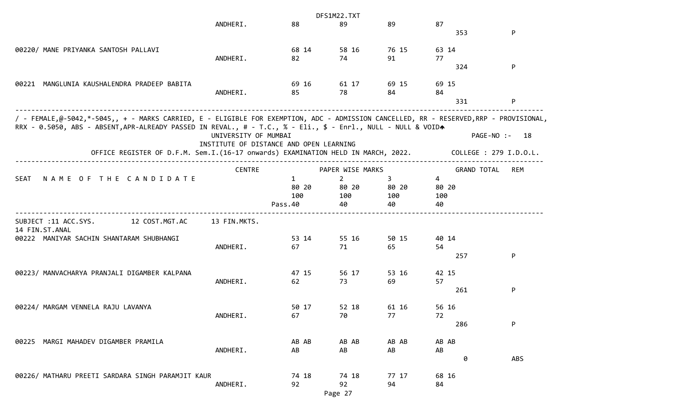|                                                                                                                                       |                      |                                         | DFS1M22.TXT      |       |                    |                        |
|---------------------------------------------------------------------------------------------------------------------------------------|----------------------|-----------------------------------------|------------------|-------|--------------------|------------------------|
|                                                                                                                                       | ANDHERI.             | 88                                      | 89               | 89    | 87                 |                        |
|                                                                                                                                       |                      |                                         |                  |       | 353                | P                      |
|                                                                                                                                       |                      |                                         |                  |       |                    |                        |
| 00220/ MANE PRIYANKA SANTOSH PALLAVI                                                                                                  |                      | 68 14                                   | 58 16            | 76 15 | 63 14              |                        |
|                                                                                                                                       | ANDHERI.             | 82                                      | 74               | 91    | 77                 |                        |
|                                                                                                                                       |                      |                                         |                  |       | 324                | P                      |
| 00221 MANGLUNIA KAUSHALENDRA PRADEEP BABITA                                                                                           |                      | 69 16                                   | 61 17            | 69 15 | 69 15              |                        |
|                                                                                                                                       | ANDHERI.             | 85                                      | 78               | 84    | 84                 |                        |
|                                                                                                                                       |                      |                                         |                  |       | 331                | P                      |
| / - FEMALE,@-5042,*-5045,, + - MARKS CARRIED, E - ELIGIBLE FOR EXEMPTION, ADC - ADMISSION CANCELLED, RR - RESERVED,RRP - PROVISIONAL, |                      |                                         |                  |       |                    |                        |
| RRX - 0.5050, ABS - ABSENT, APR-ALREADY PASSED IN REVAL., # - T.C., % - Eli., \$ - Enrl., NULL - NULL & VOIDA                         |                      |                                         |                  |       |                    |                        |
|                                                                                                                                       | UNIVERSITY OF MUMBAI |                                         |                  |       |                    | PAGE-NO :- 18          |
|                                                                                                                                       |                      | INSTITUTE OF DISTANCE AND OPEN LEARNING |                  |       |                    |                        |
| OFFICE REGISTER OF D.F.M. Sem.I.(16-17 onwards) EXAMINATION HELD IN MARCH, 2022.                                                      |                      |                                         |                  |       |                    | COLLEGE : 279 I.D.O.L. |
|                                                                                                                                       | <b>CENTRE</b>        |                                         | PAPER WISE MARKS |       | <b>GRAND TOTAL</b> | REM                    |
| NAME OF THE CANDIDATE<br><b>SEAT</b>                                                                                                  |                      | $\mathbf{1}$                            | $\overline{2}$   | 3     | $\overline{4}$     |                        |
|                                                                                                                                       |                      | 80 20                                   | 80 20            | 80 20 | 80 20              |                        |
|                                                                                                                                       |                      | 100                                     | 100              | 100   | 100                |                        |
|                                                                                                                                       |                      | Pass.40                                 | 40               | 40    | 40                 |                        |
| SUBJECT :11 ACC.SYS.<br>12 COST.MGT.AC                                                                                                | 13 FIN.MKTS.         |                                         |                  |       |                    |                        |
| 14 FIN.ST.ANAL                                                                                                                        |                      |                                         |                  |       |                    |                        |
| 00222 MANIYAR SACHIN SHANTARAM SHUBHANGI                                                                                              |                      | 53 14                                   | 55 16            | 50 15 | 40 14              |                        |
|                                                                                                                                       | ANDHERI.             | 67                                      | 71               | 65    | 54                 |                        |
|                                                                                                                                       |                      |                                         |                  |       | 257                | P                      |
| 00223/ MANVACHARYA PRANJALI DIGAMBER KALPANA                                                                                          |                      | 47 15                                   | 56 17            | 53 16 | 42 15              |                        |
|                                                                                                                                       | ANDHERI.             | 62                                      | 73               | 69    | 57                 |                        |
|                                                                                                                                       |                      |                                         |                  |       | 261                | P                      |
| 00224/ MARGAM VENNELA RAJU LAVANYA                                                                                                    |                      | 50 17                                   | 52 18            | 61 16 | 56 16              |                        |
|                                                                                                                                       | ANDHERI.             | 67                                      | 70               | 77    | 72                 |                        |
|                                                                                                                                       |                      |                                         |                  |       | 286                | P                      |
|                                                                                                                                       |                      |                                         |                  |       |                    |                        |
| MARGI MAHADEV DIGAMBER PRAMILA<br>00225                                                                                               |                      | AB AB                                   | AB AB            | AB AB | AB AB              |                        |
|                                                                                                                                       | ANDHERI.             | AB                                      | AB               | AB    | AB                 |                        |
|                                                                                                                                       |                      |                                         |                  |       | 0                  | ABS                    |
| 00226/ MATHARU PREETI SARDARA SINGH PARAMJIT KAUR                                                                                     |                      | 74 18                                   | 74 18            | 77 17 | 68 16              |                        |
|                                                                                                                                       | ANDHERI.             | 92                                      | 92               | 94    | 84                 |                        |
|                                                                                                                                       |                      |                                         | Page 27          |       |                    |                        |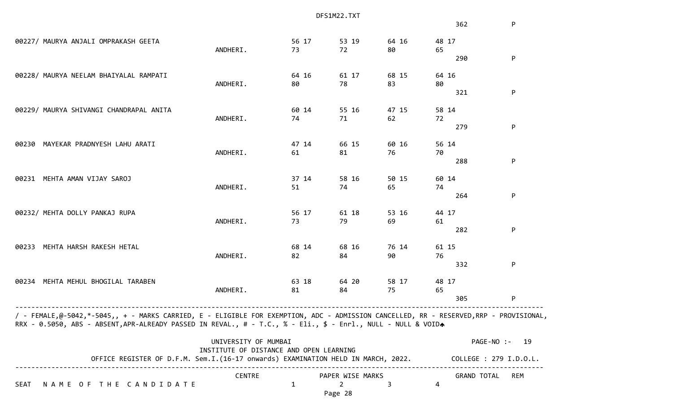|                                                                                                                                                                                                                                                        |                                                                                  |                                         |       | DFS1M22.TXT      |       |       |                        |     |
|--------------------------------------------------------------------------------------------------------------------------------------------------------------------------------------------------------------------------------------------------------|----------------------------------------------------------------------------------|-----------------------------------------|-------|------------------|-------|-------|------------------------|-----|
|                                                                                                                                                                                                                                                        |                                                                                  |                                         |       |                  |       |       | 362                    | P   |
| 00227/ MAURYA ANJALI OMPRAKASH GEETA                                                                                                                                                                                                                   |                                                                                  |                                         | 56 17 | 53 19            | 64 16 | 48 17 |                        |     |
|                                                                                                                                                                                                                                                        |                                                                                  | ANDHERI.                                | 73    | 72               | 80    | 65    |                        |     |
|                                                                                                                                                                                                                                                        |                                                                                  |                                         |       |                  |       |       | 290                    | P   |
| 00228/ MAURYA NEELAM BHAIYALAL RAMPATI                                                                                                                                                                                                                 |                                                                                  |                                         | 64 16 | 61 17            | 68 15 | 64 16 |                        |     |
|                                                                                                                                                                                                                                                        |                                                                                  | ANDHERI.                                | 80    | 78               | 83    | 80    |                        |     |
|                                                                                                                                                                                                                                                        |                                                                                  |                                         |       |                  |       |       | 321                    | P   |
| 00229/ MAURYA SHIVANGI CHANDRAPAL ANITA                                                                                                                                                                                                                |                                                                                  |                                         | 60 14 | 55 16            | 47 15 | 58 14 |                        |     |
|                                                                                                                                                                                                                                                        |                                                                                  | ANDHERI.                                | 74    | 71               | 62    | 72    |                        |     |
|                                                                                                                                                                                                                                                        |                                                                                  |                                         |       |                  |       |       | 279                    | P   |
| MAYEKAR PRADNYESH LAHU ARATI<br>00230                                                                                                                                                                                                                  |                                                                                  |                                         | 47 14 | 66 15            | 60 16 | 56 14 |                        |     |
|                                                                                                                                                                                                                                                        |                                                                                  | ANDHERI.                                | 61    | 81               | 76    | 70    |                        |     |
|                                                                                                                                                                                                                                                        |                                                                                  |                                         |       |                  |       |       | 288                    | P   |
| 00231 MEHTA AMAN VIJAY SAROJ                                                                                                                                                                                                                           |                                                                                  |                                         | 37 14 | 58 16            | 50 15 | 60 14 |                        |     |
|                                                                                                                                                                                                                                                        |                                                                                  | ANDHERI.                                | 51    | 74               | 65    | 74    |                        |     |
|                                                                                                                                                                                                                                                        |                                                                                  |                                         |       |                  |       |       | 264                    | P   |
| 00232/ MEHTA DOLLY PANKAJ RUPA                                                                                                                                                                                                                         |                                                                                  |                                         | 56 17 | 61 18            | 53 16 | 44 17 |                        |     |
|                                                                                                                                                                                                                                                        |                                                                                  | ANDHERI.                                | 73    | 79               | 69    | 61    |                        |     |
|                                                                                                                                                                                                                                                        |                                                                                  |                                         |       |                  |       |       | 282                    | P   |
| MEHTA HARSH RAKESH HETAL<br>00233                                                                                                                                                                                                                      |                                                                                  |                                         | 68 14 | 68 16            | 76 14 | 61 15 |                        |     |
|                                                                                                                                                                                                                                                        |                                                                                  | ANDHERI.                                | 82    | 84               | 90    | 76    |                        |     |
|                                                                                                                                                                                                                                                        |                                                                                  |                                         |       |                  |       |       | 332                    | P   |
| MEHTA MEHUL BHOGILAL TARABEN<br>00234                                                                                                                                                                                                                  |                                                                                  |                                         | 63 18 | 64 20            | 58 17 | 48 17 |                        |     |
|                                                                                                                                                                                                                                                        |                                                                                  | ANDHERI.                                | 81    | 84               | 75    | 65    |                        |     |
|                                                                                                                                                                                                                                                        |                                                                                  |                                         |       |                  |       |       | 305                    | P   |
| / - FEMALE,@-5042,*-5045,, + - MARKS CARRIED, E - ELIGIBLE FOR EXEMPTION, ADC - ADMISSION CANCELLED, RR - RESERVED,RRP - PROVISIONAL,<br>RRX - 0.5050, ABS - ABSENT, APR-ALREADY PASSED IN REVAL., # - T.C., % - Eli., \$ - Enrl., NULL - NULL & VOIDA |                                                                                  |                                         |       |                  |       |       |                        |     |
|                                                                                                                                                                                                                                                        |                                                                                  | UNIVERSITY OF MUMBAI                    |       |                  |       |       | PAGE-NO :- 19          |     |
|                                                                                                                                                                                                                                                        |                                                                                  | INSTITUTE OF DISTANCE AND OPEN LEARNING |       |                  |       |       |                        |     |
|                                                                                                                                                                                                                                                        | OFFICE REGISTER OF D.F.M. Sem.I.(16-17 onwards) EXAMINATION HELD IN MARCH, 2022. |                                         |       |                  |       |       | COLLEGE : 279 I.D.O.L. |     |
|                                                                                                                                                                                                                                                        |                                                                                  | <b>CENTRE</b>                           |       | PAPER WISE MARKS |       |       | <b>GRAND TOTAL</b>     | REM |
| NAME OF THE CANDIDATE<br>SEAT                                                                                                                                                                                                                          |                                                                                  |                                         | 1     | 2                | 3     | 4     |                        |     |
|                                                                                                                                                                                                                                                        |                                                                                  |                                         |       | Page 28          |       |       |                        |     |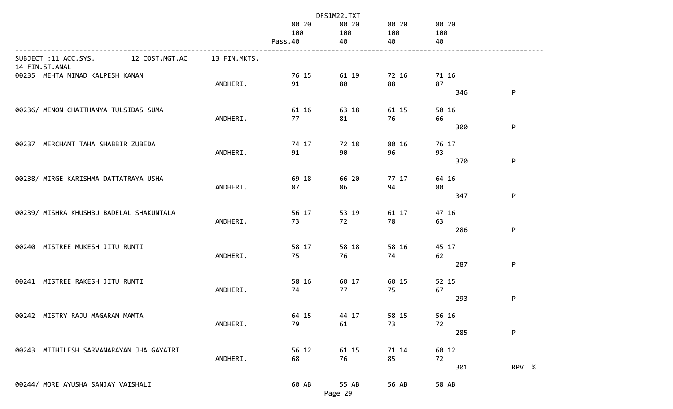|                                                          |              | DFS1M22.TXT             |                    |                    |                    |       |  |
|----------------------------------------------------------|--------------|-------------------------|--------------------|--------------------|--------------------|-------|--|
|                                                          |              | 80 20<br>100<br>Pass.40 | 80 20<br>100<br>40 | 80 20<br>100<br>40 | 80 20<br>100<br>40 |       |  |
| 12 COST.MGT.AC<br>SUBJECT :11 ACC.SYS.<br>14 FIN.ST.ANAL | 13 FIN.MKTS. |                         |                    |                    |                    |       |  |
| 00235 MEHTA NINAD KALPESH KANAN                          | ANDHERI.     | 76 15<br>91             | 61 19<br>80        | 72 16<br>88        | 71 16<br>87<br>346 | P     |  |
| 00236/ MENON CHAITHANYA TULSIDAS SUMA                    | ANDHERI.     | 61 16<br>77             | 63 18<br>81        | 61 15<br>76        | 50 16<br>66<br>300 | P     |  |
| 00237 MERCHANT TAHA SHABBIR ZUBEDA                       | ANDHERI.     | 74 17<br>91             | 72 18<br>90        | 80 16<br>96        | 76 17<br>93<br>370 | P     |  |
| 00238/ MIRGE KARISHMA DATTATRAYA USHA                    | ANDHERI.     | 69 18<br>87             | 66 20<br>86        | 77 17<br>94        | 64 16<br>80<br>347 | P     |  |
| 00239/ MISHRA KHUSHBU BADELAL SHAKUNTALA                 | ANDHERI.     | 56 17<br>73             | 53 19<br>72        | 61 17<br>78        | 47 16<br>63<br>286 | P     |  |
| 00240 MISTREE MUKESH JITU RUNTI                          | ANDHERI.     | 58 17<br>75             | 58 18<br>76        | 58 16<br>74        | 45 17<br>62<br>287 | P     |  |
| 00241 MISTREE RAKESH JITU RUNTI                          | ANDHERI.     | 58 16<br>74             | 60 17<br>77        | 60 15<br>75        | 52 15<br>67<br>293 | P     |  |
| 00242 MISTRY RAJU MAGARAM MAMTA                          | ANDHERI.     | 64 15<br>79             | 44 17<br>61        | 58 15<br>73        | 56 16<br>72        | P     |  |
| 00243 MITHILESH SARVANARAYAN JHA GAYATRI                 | ANDHERI.     | 56 12<br>68             | 61 15<br>76        | 71 14<br>85        | 285<br>60 12<br>72 |       |  |
| 00244/ MORE AYUSHA SANJAY VAISHALI                       |              | 60 AB                   | 55 AB<br>Page 29   | 56 AB              | 301<br>58 AB       | RPV % |  |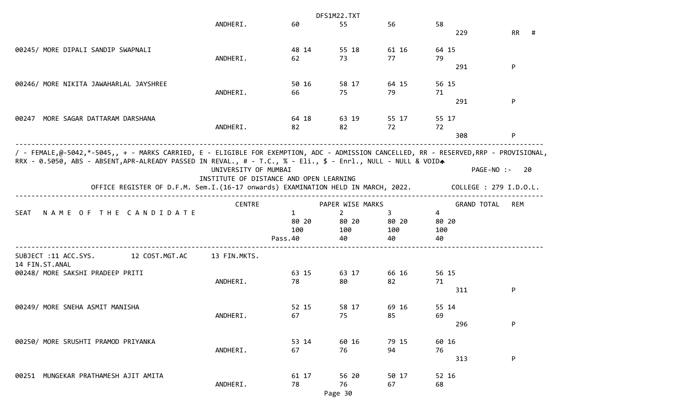|                                                                                                                                       |                                         |              | DFS1M22.TXT      |             |             |                    |                        |  |
|---------------------------------------------------------------------------------------------------------------------------------------|-----------------------------------------|--------------|------------------|-------------|-------------|--------------------|------------------------|--|
|                                                                                                                                       | ANDHERI.                                | 60           | 55               | 56          | 58          |                    |                        |  |
|                                                                                                                                       |                                         |              |                  |             |             | 229                | RR<br>#                |  |
|                                                                                                                                       |                                         |              |                  |             |             |                    |                        |  |
| 00245/ MORE DIPALI SANDIP SWAPNALI                                                                                                    |                                         | 48 14        | 55 18            | 61 16       | 64 15       |                    |                        |  |
|                                                                                                                                       | ANDHERI.                                | 62           | 73               | 77          | 79          | 291                | P                      |  |
|                                                                                                                                       |                                         |              |                  |             |             |                    |                        |  |
| 00246/ MORE NIKITA JAWAHARLAL JAYSHREE                                                                                                |                                         | 50 16        | 58 17            | 64 15       | 56 15       |                    |                        |  |
|                                                                                                                                       | ANDHERI.                                | 66           | 75               | 79          | 71          |                    |                        |  |
|                                                                                                                                       |                                         |              |                  |             |             | 291                | P                      |  |
|                                                                                                                                       |                                         |              |                  |             |             |                    |                        |  |
| MORE SAGAR DATTARAM DARSHANA<br>00247                                                                                                 |                                         | 64 18        | 63 19            | 55 17       | 55 17       |                    |                        |  |
|                                                                                                                                       | ANDHERI.                                | 82           | 82               | 72          | 72          |                    |                        |  |
|                                                                                                                                       |                                         |              |                  |             |             | 308                | P                      |  |
| / - FEMALE,@-5042,*-5045,, + - MARKS CARRIED, E - ELIGIBLE FOR EXEMPTION, ADC - ADMISSION CANCELLED, RR - RESERVED,RRP - PROVISIONAL, |                                         |              |                  |             |             |                    |                        |  |
| RRX - 0.5050, ABS - ABSENT, APR-ALREADY PASSED IN REVAL., # - T.C., % - Eli., \$ - Enrl., NULL - NULL & VOIDA                         |                                         |              |                  |             |             |                    |                        |  |
|                                                                                                                                       | UNIVERSITY OF MUMBAI                    |              |                  |             |             | PAGE-NO :-         | 20                     |  |
|                                                                                                                                       | INSTITUTE OF DISTANCE AND OPEN LEARNING |              |                  |             |             |                    |                        |  |
| OFFICE REGISTER OF D.F.M. Sem.I.(16-17 onwards) EXAMINATION HELD IN MARCH, 2022.                                                      |                                         |              |                  |             |             |                    | COLLEGE : 279 I.D.O.L. |  |
|                                                                                                                                       |                                         |              |                  |             |             |                    |                        |  |
|                                                                                                                                       | <b>CENTRE</b>                           |              | PAPER WISE MARKS |             |             | <b>GRAND TOTAL</b> | <b>REM</b>             |  |
| NAME OF THE CANDIDATE<br><b>SEAT</b>                                                                                                  |                                         | $\mathbf{1}$ | $\overline{2}$   | 3           | 4           |                    |                        |  |
|                                                                                                                                       |                                         |              |                  |             |             |                    |                        |  |
|                                                                                                                                       |                                         | 80 20        | 80 20            | 80 20       | 80 20       |                    |                        |  |
|                                                                                                                                       |                                         | 100          | 100              | 100         | 100         |                    |                        |  |
|                                                                                                                                       |                                         | Pass.40      | 40               | 40          | 40          |                    |                        |  |
| SUBJECT :11 ACC.SYS.<br>12 COST.MGT.AC                                                                                                | 13 FIN.MKTS.                            |              |                  |             |             |                    |                        |  |
| 14 FIN.ST.ANAL                                                                                                                        |                                         |              |                  |             |             |                    |                        |  |
| 00248/ MORE SAKSHI PRADEEP PRITI                                                                                                      |                                         | 63 15        | 63 17            | 66 16       | 56 15       |                    |                        |  |
|                                                                                                                                       | ANDHERI.                                | 78           | 80               | 82          | 71          |                    |                        |  |
|                                                                                                                                       |                                         |              |                  |             |             | 311                | P                      |  |
|                                                                                                                                       |                                         |              |                  |             |             |                    |                        |  |
| 00249/ MORE SNEHA ASMIT MANISHA                                                                                                       |                                         | 52 15        | 58 17            | 69 16       | 55 14       |                    |                        |  |
|                                                                                                                                       | ANDHERI.                                | 67           | 75               | 85          | 69          |                    |                        |  |
|                                                                                                                                       |                                         |              |                  |             |             | 296                | P                      |  |
| 00250/ MORE SRUSHTI PRAMOD PRIYANKA                                                                                                   |                                         | 53 14        |                  |             |             |                    |                        |  |
|                                                                                                                                       | ANDHERI.                                | 67           | 60 16<br>76      | 79 15<br>94 | 60 16<br>76 |                    |                        |  |
|                                                                                                                                       |                                         |              |                  |             |             | 313                | P                      |  |
|                                                                                                                                       |                                         |              |                  |             |             |                    |                        |  |
| 00251 MUNGEKAR PRATHAMESH AJIT AMITA                                                                                                  | ANDHERI.                                | 61 17<br>78  | 56 20<br>76      | 50 17<br>67 | 52 16<br>68 |                    |                        |  |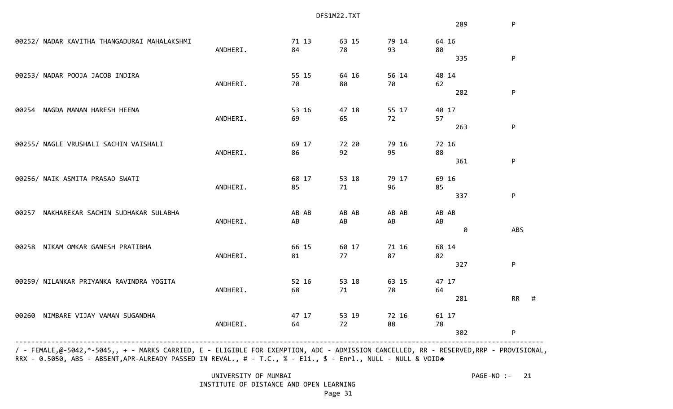|                                              |          |       | DFS1M22.TXT |       |       |                |
|----------------------------------------------|----------|-------|-------------|-------|-------|----------------|
|                                              |          |       |             |       | 289   | P              |
| 00252/ NADAR KAVITHA THANGADURAI MAHALAKSHMI |          | 71 13 | 63 15       | 79 14 | 64 16 |                |
|                                              | ANDHERI. | 84    | 78          | 93    | 80    |                |
|                                              |          |       |             |       | 335   | P              |
| 00253/ NADAR POOJA JACOB INDIRA              |          | 55 15 | 64 16       | 56 14 | 48 14 |                |
|                                              | ANDHERI. | 70    | 80          | 70    | 62    |                |
|                                              |          |       |             |       | 282   | P              |
| NAGDA MANAN HARESH HEENA<br>00254            |          | 53 16 | 47 18       | 55 17 | 40 17 |                |
|                                              | ANDHERI. | 69    | 65          | 72    | 57    |                |
|                                              |          |       |             |       | 263   | ${\sf P}$      |
| 00255/ NAGLE VRUSHALI SACHIN VAISHALI        |          | 69 17 | 72 20       | 79 16 | 72 16 |                |
|                                              | ANDHERI. | 86    | 92          | 95    | 88    |                |
|                                              |          |       |             |       | 361   | P              |
| 00256/ NAIK ASMITA PRASAD SWATI              |          | 68 17 | 53 18       | 79 17 | 69 16 |                |
|                                              | ANDHERI. | 85    | 71          | 96    | 85    |                |
|                                              |          |       |             |       | 337   | P              |
| NAKHAREKAR SACHIN SUDHAKAR SULABHA<br>00257  |          | AB AB | AB AB       | AB AB | AB AB |                |
|                                              | ANDHERI. | AB    | AB          | AB    | AB    |                |
|                                              |          |       |             |       | 0     | ABS            |
| NIKAM OMKAR GANESH PRATIBHA<br>00258         |          | 66 15 | 60 17       | 71 16 | 68 14 |                |
|                                              | ANDHERI. | 81    | 77          | 87    | 82    |                |
|                                              |          |       |             |       | 327   | ${\sf P}$      |
| 00259/ NILANKAR PRIYANKA RAVINDRA YOGITA     |          | 52 16 | 53 18       | 63 15 | 47 17 |                |
|                                              | ANDHERI. | 68    | 71          | 78    | 64    |                |
|                                              |          |       |             |       | 281   | <b>RR</b><br># |
| NIMBARE VIJAY VAMAN SUGANDHA<br>00260        |          | 47 17 | 53 19       | 72 16 | 61 17 |                |
|                                              | ANDHERI. | 64    | 72          | 88    | 78    |                |
|                                              |          |       |             |       | 302   | P              |
|                                              |          |       |             |       |       |                |

 / - FEMALE,@-5042,\*-5045,, + - MARKS CARRIED, E - ELIGIBLE FOR EXEMPTION, ADC - ADMISSION CANCELLED, RR - RESERVED,RRP - PROVISIONAL, RRX - 0.5050, ABS - ABSENT,APR-ALREADY PASSED IN REVAL., # - T.C., % - Eli., \$ - Enrl., NULL - NULL & VOIDA

> UNIVERSITY OF MUMBAI PAGE-NO :- 21 INSTITUTE OF DISTANCE AND OPEN LEARNING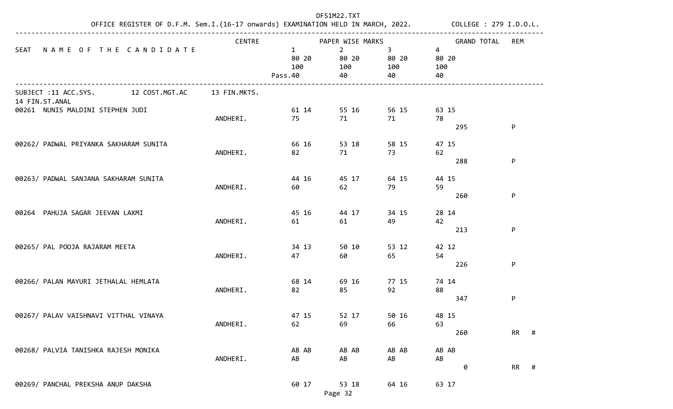|                                                       |               | DFS1M22.TXT                             | OFFICE REGISTER OF D.F.M. Sem.I.(16-17 onwards) EXAMINATION HELD IN MARCH, 2022. COLLEGE : 279 I.D.O.L. |                                      |                                      |      |
|-------------------------------------------------------|---------------|-----------------------------------------|---------------------------------------------------------------------------------------------------------|--------------------------------------|--------------------------------------|------|
|                                                       | <b>CENTRE</b> |                                         | PAPER WISE MARKS                                                                                        |                                      | <b>GRAND TOTAL</b>                   | REM  |
| <b>SEAT</b><br>NAME OF THE CANDIDATE                  |               | $\mathbf{1}$<br>80 20<br>100<br>Pass.40 | $2^{\circ}$<br>80 20<br>100<br>40                                                                       | 3 <sup>7</sup><br>80 20<br>100<br>40 | $\overline{4}$<br>80 20<br>100<br>40 |      |
| SUBJECT :11 ACC.SYS. 12 COST.MGT.AC<br>14 FIN.ST.ANAL | 13 FIN.MKTS.  |                                         |                                                                                                         |                                      |                                      |      |
| 00261 NUNIS MALDINI STEPHEN JUDI                      |               | 61 14                                   | 55 16                                                                                                   | 56 15                                | 63 15                                |      |
|                                                       | ANDHERI.      | 75                                      | 71                                                                                                      | 71                                   | 78                                   |      |
|                                                       |               |                                         |                                                                                                         |                                      | 295                                  | P    |
| 00262/ PADWAL PRIYANKA SAKHARAM SUNITA                |               | 66 16                                   | 53 18                                                                                                   | 58 15                                | 47 15                                |      |
|                                                       | ANDHERI.      | 82                                      | 71                                                                                                      | 73                                   | 62                                   |      |
|                                                       |               |                                         |                                                                                                         |                                      | 288                                  | P    |
| 00263/ PADWAL SANJANA SAKHARAM SUNITA                 |               | 44 16                                   | 45 17                                                                                                   | 64 15                                | 44 15                                |      |
|                                                       | ANDHERI.      | 60                                      | 62                                                                                                      | 79                                   | 59                                   |      |
|                                                       |               |                                         |                                                                                                         |                                      | 260                                  | P    |
| 00264 PAHUJA SAGAR JEEVAN LAXMI                       |               | 45 16                                   | 44 17                                                                                                   | 34 15                                | 28 14                                |      |
|                                                       | ANDHERI.      | 61                                      | 61                                                                                                      | 49                                   | 42                                   |      |
|                                                       |               |                                         |                                                                                                         |                                      | 213                                  | P    |
| 00265/ PAL POOJA RAJARAM MEETA                        |               | 34 13                                   | 50 10                                                                                                   | 53 12                                | 42 12                                |      |
|                                                       | ANDHERI.      | 47                                      | 60                                                                                                      | 65                                   | 54                                   |      |
|                                                       |               |                                         |                                                                                                         |                                      | 226                                  | P    |
| 00266/ PALAN MAYURI JETHALAL HEMLATA                  |               | 68 14                                   | 69 16                                                                                                   | 77 15                                | 74 14                                |      |
|                                                       | ANDHERI.      | 82                                      | 85                                                                                                      | 92                                   | 88                                   |      |
|                                                       |               |                                         |                                                                                                         |                                      | 347                                  | P    |
| 00267/ PALAV VAISHNAVI VITTHAL VINAYA                 |               | 47 15                                   | 52 17                                                                                                   | 50 16                                | 48 15                                |      |
|                                                       | ANDHERI.      | 62                                      | 69                                                                                                      | 66                                   | 63                                   |      |
|                                                       |               |                                         |                                                                                                         |                                      | 260                                  | RR # |
| 00268/ PALVIA TANISHKA RAJESH MONIKA                  |               | AB AB                                   | AB AB                                                                                                   | AB AB                                | AB AB                                |      |
|                                                       | ANDHERI.      | AB                                      | AB                                                                                                      | AB                                   | AB                                   |      |
|                                                       |               |                                         |                                                                                                         |                                      | 0                                    | RR # |
| 00269/ PANCHAL PREKSHA ANUP DAKSHA                    |               | 60 17                                   | 53 18                                                                                                   | 64 16                                | 63 17                                |      |
|                                                       |               |                                         | Page 32                                                                                                 |                                      |                                      |      |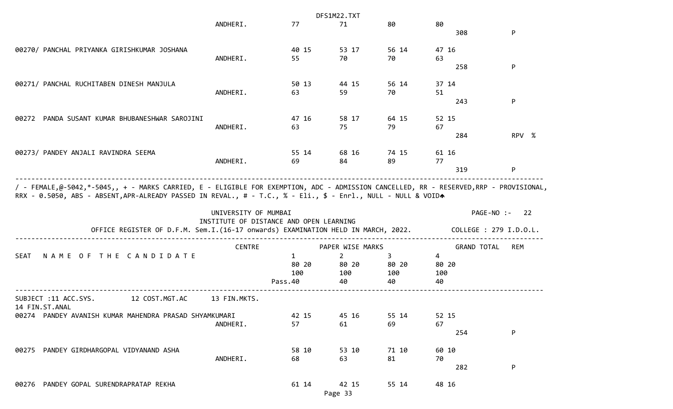|                                                                                                                                                                                                                                                        |                      |                                         | DFS1M22.TXT      |       |                    |                        |
|--------------------------------------------------------------------------------------------------------------------------------------------------------------------------------------------------------------------------------------------------------|----------------------|-----------------------------------------|------------------|-------|--------------------|------------------------|
|                                                                                                                                                                                                                                                        | ANDHERI.             | 77                                      | 71               | 80    | 80                 |                        |
|                                                                                                                                                                                                                                                        |                      |                                         |                  |       | 308                | P                      |
| 00270/ PANCHAL PRIYANKA GIRISHKUMAR JOSHANA                                                                                                                                                                                                            |                      | 40 15                                   | 53 17            | 56 14 | 47 16              |                        |
|                                                                                                                                                                                                                                                        | ANDHERI.             | 55                                      | 70               | 70    | 63                 |                        |
|                                                                                                                                                                                                                                                        |                      |                                         |                  |       | 258                | P                      |
| 00271/ PANCHAL RUCHITABEN DINESH MANJULA                                                                                                                                                                                                               |                      | 50 13                                   | 44 15            | 56 14 | 37 14              |                        |
|                                                                                                                                                                                                                                                        | ANDHERI.             | 63                                      | 59               | 70    | 51                 |                        |
|                                                                                                                                                                                                                                                        |                      |                                         |                  |       | 243                | P                      |
| 00272 PANDA SUSANT KUMAR BHUBANESHWAR SAROJINI                                                                                                                                                                                                         |                      | 47 16                                   | 58 17            | 64 15 | 52 15              |                        |
|                                                                                                                                                                                                                                                        | ANDHERI.             | 63                                      | 75               | 79    | 67                 |                        |
|                                                                                                                                                                                                                                                        |                      |                                         |                  |       | 284                | RPV %                  |
| 00273/ PANDEY ANJALI RAVINDRA SEEMA                                                                                                                                                                                                                    |                      | 55 14                                   | 68 16            | 74 15 | 61 16              |                        |
|                                                                                                                                                                                                                                                        | ANDHERI.             | 69                                      | 84               | 89    | 77                 |                        |
|                                                                                                                                                                                                                                                        |                      |                                         |                  |       | 319                | P                      |
| / - FEMALE,@-5042,*-5045,, + - MARKS CARRIED, E - ELIGIBLE FOR EXEMPTION, ADC - ADMISSION CANCELLED, RR - RESERVED,RRP - PROVISIONAL,<br>RRX - 0.5050, ABS - ABSENT, APR-ALREADY PASSED IN REVAL., # - T.C., % - Eli., \$ - Enrl., NULL - NULL & VOIDA | UNIVERSITY OF MUMBAI |                                         |                  |       |                    | PAGE-NO :- 22          |
| OFFICE REGISTER OF D.F.M. Sem.I.(16-17 onwards) EXAMINATION HELD IN MARCH, 2022.                                                                                                                                                                       |                      | INSTITUTE OF DISTANCE AND OPEN LEARNING |                  |       |                    | COLLEGE : 279 I.D.O.L. |
|                                                                                                                                                                                                                                                        | <b>CENTRE</b>        |                                         | PAPER WISE MARKS |       | <b>GRAND TOTAL</b> | <b>REM</b>             |
| <b>SEAT</b><br>NAME OF THE CANDIDATE                                                                                                                                                                                                                   |                      | 1                                       | $\mathbf{2}$     | 3     | 4                  |                        |
|                                                                                                                                                                                                                                                        |                      | 80 20                                   | 80 20            | 80 20 | 80 20              |                        |
|                                                                                                                                                                                                                                                        |                      | 100                                     | 100              | 100   | 100                |                        |
|                                                                                                                                                                                                                                                        |                      | Pass.40                                 | 40               | 40    | 40                 |                        |
| SUBJECT :11 ACC.SYS.<br>12 COST.MGT.AC                                                                                                                                                                                                                 | 13 FIN.MKTS.         |                                         |                  |       |                    |                        |
| 14 FIN.ST.ANAL<br>00274 PANDEY AVANISH KUMAR MAHENDRA PRASAD SHYAMKUMARI                                                                                                                                                                               |                      | 42 15                                   | 45 16            | 55 14 | 52 15              |                        |
|                                                                                                                                                                                                                                                        | ANDHERI.             | 57                                      | 61               | 69    | 67                 |                        |
|                                                                                                                                                                                                                                                        |                      |                                         |                  |       | 254                | P                      |
| 00275 PANDEY GIRDHARGOPAL VIDYANAND ASHA                                                                                                                                                                                                               |                      | 58 10                                   | 53 10            | 71 10 | 60 10              |                        |
|                                                                                                                                                                                                                                                        | ANDHERI.             | 68                                      | 63               | 81    | 70                 |                        |
|                                                                                                                                                                                                                                                        |                      |                                         |                  |       | 282                | P                      |
| 00276 PANDEY GOPAL SURENDRAPRATAP REKHA                                                                                                                                                                                                                |                      | 61 14                                   | 42 15            | 55 14 | 48 16              |                        |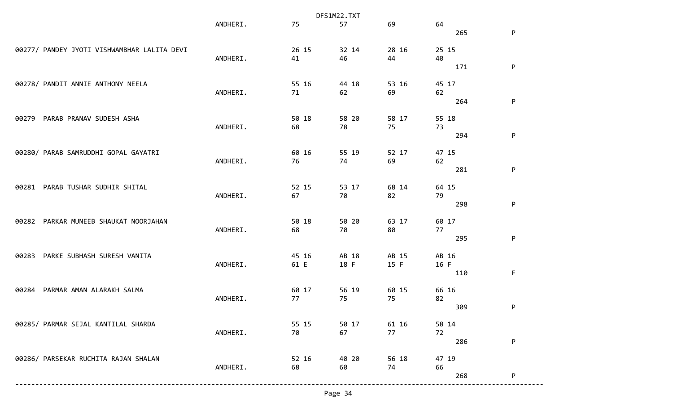|                                             |          |       | DFS1M22.TXT |       |           |             |
|---------------------------------------------|----------|-------|-------------|-------|-----------|-------------|
|                                             | ANDHERI. | 75    | 57          | 69    | 64        |             |
|                                             |          |       |             |       | 265       | P           |
|                                             |          |       |             |       |           |             |
| 00277/ PANDEY JYOTI VISHWAMBHAR LALITA DEVI |          | 26 15 | 32 14       | 28 16 | 25 15     |             |
|                                             | ANDHERI. | 41    | 46          | 44    | 40        |             |
|                                             |          |       |             |       | 171       | P           |
| 00278/ PANDIT ANNIE ANTHONY NEELA           |          | 55 16 | 44 18       | 53 16 | 45 17     |             |
|                                             | ANDHERI. | 71    | 62          | 69    | 62        |             |
|                                             |          |       |             |       | 264       | P           |
|                                             |          |       |             |       |           |             |
| PARAB PRANAV SUDESH ASHA<br>00279           |          | 50 18 | 58 20       | 58 17 | 55 18     |             |
|                                             | ANDHERI. | 68    | 78          | 75    | 73        |             |
|                                             |          |       |             |       | 294       | P           |
|                                             |          |       |             |       |           |             |
| 00280/ PARAB SAMRUDDHI GOPAL GAYATRI        |          | 60 16 | 55 19       | 52 17 | 47 15     |             |
|                                             | ANDHERI. | 76    | 74          | 69    | 62        |             |
|                                             |          |       |             |       | 281       | P           |
|                                             |          |       |             |       |           |             |
| PARAB TUSHAR SUDHIR SHITAL<br>00281         |          | 52 15 | 53 17       | 68 14 | 64 15     |             |
|                                             | ANDHERI. | 67    | 70          | 82    | 79<br>298 | P           |
|                                             |          |       |             |       |           |             |
| PARKAR MUNEEB SHAUKAT NOORJAHAN<br>00282    |          | 50 18 | 50 20       | 63 17 | 60 17     |             |
|                                             | ANDHERI. | 68    | 70          | 80    | 77        |             |
|                                             |          |       |             |       | 295       | $\sf P$     |
|                                             |          |       |             |       |           |             |
| PARKE SUBHASH SURESH VANITA<br>00283        |          | 45 16 | AB 18       | AB 15 | AB 16     |             |
|                                             | ANDHERI. | 61 E  | 18 F        | 15 F  | 16 F      |             |
|                                             |          |       |             |       | 110       | $\mathsf F$ |
|                                             |          |       |             |       |           |             |
| PARMAR AMAN ALARAKH SALMA<br>00284          |          | 60 17 | 56 19       | 60 15 | 66 16     |             |
|                                             | ANDHERI. | 77    | 75          | 75    | 82        |             |
|                                             |          |       |             |       | 309       | P           |
| 00285/ PARMAR SEJAL KANTILAL SHARDA         |          | 55 15 | 50 17       | 61 16 | 58 14     |             |
|                                             | ANDHERI. | 70    | 67          | 77    | 72        |             |
|                                             |          |       |             |       | 286       | P           |
|                                             |          |       |             |       |           |             |
| 00286/ PARSEKAR RUCHITA RAJAN SHALAN        |          | 52 16 | 40 20       | 56 18 | 47 19     |             |
|                                             | ANDHERI. | 68    | 60          | 74    | 66        |             |
|                                             |          |       |             |       | 268       | P           |
|                                             |          |       |             |       |           |             |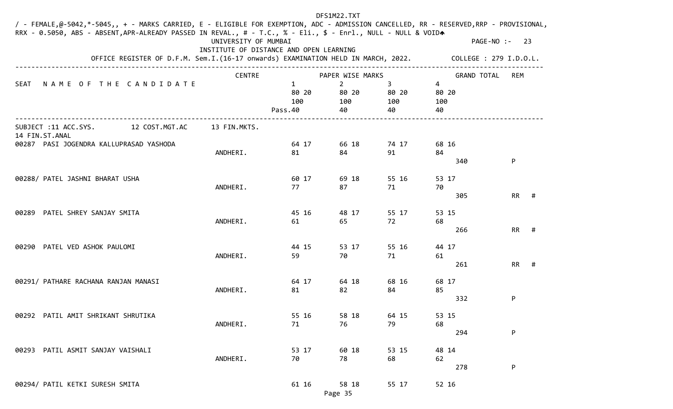| / - FEMALE,@-5042,*-5045,, + - MARKS CARRIED, E - ELIGIBLE FOR EXEMPTION, ADC - ADMISSION CANCELLED, RR - RESERVED,RRP - PROVISIONAL, |                                                                 |                                         | DFS1M22.TXT                          |                         |                         |                |  |
|---------------------------------------------------------------------------------------------------------------------------------------|-----------------------------------------------------------------|-----------------------------------------|--------------------------------------|-------------------------|-------------------------|----------------|--|
| RRX - 0.5050, ABS - ABSENT, APR-ALREADY PASSED IN REVAL., # - T.C., % - Eli., \$ - Enrl., NULL - NULL & VOIDA                         | UNIVERSITY OF MUMBAI<br>INSTITUTE OF DISTANCE AND OPEN LEARNING |                                         |                                      |                         |                         | PAGE-NO :- 23  |  |
| OFFICE REGISTER OF D.F.M. Sem.I.(16-17 onwards) EXAMINATION HELD IN MARCH, 2022.                                                      |                                                                 |                                         | COLLEGE : 279 I.D.O.L.               |                         |                         |                |  |
|                                                                                                                                       | <b>CENTRE</b>                                                   |                                         | PAPER WISE MARKS                     |                         | <b>GRAND TOTAL</b>      | REM            |  |
| NAME OF THE CANDIDATE<br><b>SEAT</b>                                                                                                  |                                                                 | $\mathbf{1}$<br>80 20<br>100<br>Pass.40 | $\overline{2}$<br>80 20<br>100<br>40 | 3<br>80 20<br>100<br>40 | 4<br>80 20<br>100<br>40 |                |  |
| SUBJECT :11 ACC.SYS.<br>12 COST.MGT.AC<br>14 FIN.ST.ANAL                                                                              | 13 FIN.MKTS.                                                    |                                         |                                      |                         |                         |                |  |
| 00287 PASI JOGENDRA KALLUPRASAD YASHODA                                                                                               |                                                                 | 64 17                                   | 66 18                                | 74 17                   | 68 16                   |                |  |
|                                                                                                                                       | ANDHERI.                                                        | 81                                      | 84                                   | 91                      | 84<br>340               | P              |  |
| 00288/ PATEL JASHNI BHARAT USHA                                                                                                       |                                                                 | 60 17                                   | 69 18                                | 55 16                   | 53 17                   |                |  |
|                                                                                                                                       | ANDHERI.                                                        | 77                                      | 87                                   | 71                      | 70                      |                |  |
|                                                                                                                                       |                                                                 |                                         |                                      |                         | 305                     | <b>RR</b><br># |  |
| PATEL SHREY SANJAY SMITA<br>00289                                                                                                     |                                                                 | 45 16                                   | 48 17                                | 55 17                   | 53 15                   |                |  |
|                                                                                                                                       | ANDHERI.                                                        | 61                                      | 65                                   | 72                      | 68<br>266               | <b>RR</b><br># |  |
| 00290 PATEL VED ASHOK PAULOMI                                                                                                         |                                                                 | 44 15                                   | 53 17                                | 55 16                   | 44 17                   |                |  |
|                                                                                                                                       | ANDHERI.                                                        | 59                                      | 70                                   | 71                      | 61                      |                |  |
|                                                                                                                                       |                                                                 |                                         |                                      |                         | 261                     | <b>RR</b><br># |  |
| 00291/ PATHARE RACHANA RANJAN MANASI                                                                                                  |                                                                 | 64 17                                   | 64 18                                | 68 16                   | 68 17                   |                |  |
|                                                                                                                                       | ANDHERI.                                                        | 81                                      | 82                                   | 84                      | 85                      |                |  |
|                                                                                                                                       |                                                                 |                                         |                                      |                         | 332                     | P              |  |
| 00292 PATIL AMIT SHRIKANT SHRUTIKA                                                                                                    |                                                                 | 55 16                                   | 58 18                                | 64 15                   | 53 15                   |                |  |
|                                                                                                                                       | ANDHERI.                                                        | 71                                      | 76                                   | 79                      | 68                      |                |  |
|                                                                                                                                       |                                                                 |                                         |                                      |                         | 294                     | P              |  |
| 00293 PATIL ASMIT SANJAY VAISHALI                                                                                                     |                                                                 | 53 17                                   | 60 18                                | 53 15                   | 48 14                   |                |  |
|                                                                                                                                       | ANDHERI.                                                        | 70                                      | 78                                   | 68                      | 62                      |                |  |
|                                                                                                                                       |                                                                 |                                         |                                      |                         | 278                     | ${\sf P}$      |  |
| 00294/ PATIL KETKI SURESH SMITA                                                                                                       |                                                                 | 61 16                                   | 58 18                                | 55 17                   | 52 16                   |                |  |
|                                                                                                                                       |                                                                 |                                         | Page 35                              |                         |                         |                |  |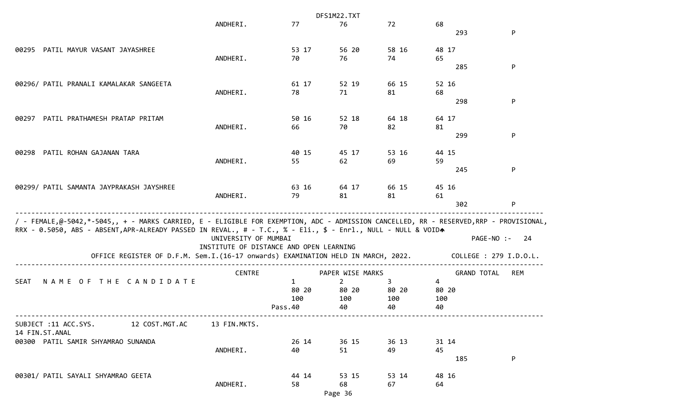|                                                                                                                                                                                                                                                                                                                                            |                      |                                         | DFS1M22.TXT      |       |                    |                                             |
|--------------------------------------------------------------------------------------------------------------------------------------------------------------------------------------------------------------------------------------------------------------------------------------------------------------------------------------------|----------------------|-----------------------------------------|------------------|-------|--------------------|---------------------------------------------|
|                                                                                                                                                                                                                                                                                                                                            | ANDHERI.             | 77                                      | 76               | 72    | 68<br>293          | P                                           |
|                                                                                                                                                                                                                                                                                                                                            |                      |                                         |                  |       |                    |                                             |
| 00295 PATIL MAYUR VASANT JAYASHREE                                                                                                                                                                                                                                                                                                         |                      | 53 17                                   | 56 20            | 58 16 | 48 17              |                                             |
|                                                                                                                                                                                                                                                                                                                                            | ANDHERI.             | 70                                      | 76               | 74    | 65                 |                                             |
|                                                                                                                                                                                                                                                                                                                                            |                      |                                         |                  |       | 285                | P                                           |
| 00296/ PATIL PRANALI KAMALAKAR SANGEETA                                                                                                                                                                                                                                                                                                    |                      | 61 17                                   | 52 19            | 66 15 | 52 16              |                                             |
|                                                                                                                                                                                                                                                                                                                                            | ANDHERI.             | 78                                      | 71               | 81    | 68                 |                                             |
|                                                                                                                                                                                                                                                                                                                                            |                      |                                         |                  |       | 298                | P                                           |
| PATIL PRATHAMESH PRATAP PRITAM<br>00297                                                                                                                                                                                                                                                                                                    |                      | 50 16                                   | 52 18            | 64 18 | 64 17              |                                             |
|                                                                                                                                                                                                                                                                                                                                            | ANDHERI.             | 66                                      | 70               | 82    | 81                 |                                             |
|                                                                                                                                                                                                                                                                                                                                            |                      |                                         |                  |       | 299                | P                                           |
| PATIL ROHAN GAJANAN TARA<br>00298                                                                                                                                                                                                                                                                                                          |                      | 40 15                                   | 45 17            | 53 16 | 44 15              |                                             |
|                                                                                                                                                                                                                                                                                                                                            | ANDHERI.             | 55                                      | 62               | 69    | 59                 |                                             |
|                                                                                                                                                                                                                                                                                                                                            |                      |                                         |                  |       | 245                | P                                           |
| 00299/ PATIL SAMANTA JAYPRAKASH JAYSHREE                                                                                                                                                                                                                                                                                                   |                      | 63 16                                   | 64 17            | 66 15 | 45 16              |                                             |
|                                                                                                                                                                                                                                                                                                                                            | ANDHERI.             | 79                                      | 81               | 81    | 61                 |                                             |
|                                                                                                                                                                                                                                                                                                                                            |                      |                                         |                  |       | 302                | P                                           |
| / - FEMALE,@-5042,*-5045,, + - MARKS CARRIED, E - ELIGIBLE FOR EXEMPTION, ADC - ADMISSION CANCELLED, RR - RESERVED,RRP - PROVISIONAL,<br>RRX - 0.5050, ABS - ABSENT, APR-ALREADY PASSED IN REVAL., # - T.C., % - Eli., \$ - Enrl., NULL - NULL & VOIDA<br>OFFICE REGISTER OF D.F.M. Sem.I.(16-17 onwards) EXAMINATION HELD IN MARCH, 2022. | UNIVERSITY OF MUMBAI | INSTITUTE OF DISTANCE AND OPEN LEARNING |                  |       |                    | PAGE-NO :-<br>-24<br>COLLEGE : 279 I.D.O.L. |
|                                                                                                                                                                                                                                                                                                                                            | <b>CENTRE</b>        |                                         | PAPER WISE MARKS |       | <b>GRAND TOTAL</b> | REM                                         |
| NAME OF THE CANDIDATE<br><b>SEAT</b>                                                                                                                                                                                                                                                                                                       |                      | $\mathbf{1}$                            | $\overline{2}$   | 3     | $\overline{4}$     |                                             |
|                                                                                                                                                                                                                                                                                                                                            |                      | 80 20                                   | 80 20            | 80 20 | 80 20              |                                             |
|                                                                                                                                                                                                                                                                                                                                            |                      | 100                                     | 100              | 100   | 100                |                                             |
|                                                                                                                                                                                                                                                                                                                                            |                      | Pass.40                                 | 40               | 40    | 40                 |                                             |
| SUBJECT :11 ACC.SYS. 12 COST.MGT.AC<br>14 FIN.ST.ANAL                                                                                                                                                                                                                                                                                      | 13 FIN.MKTS.         |                                         |                  |       |                    |                                             |
| 00300 PATIL SAMIR SHYAMRAO SUNANDA                                                                                                                                                                                                                                                                                                         |                      | 26 14                                   | 36 15            | 36 13 | 31 14              |                                             |
|                                                                                                                                                                                                                                                                                                                                            | ANDHERI.             | 40                                      | 51               | 49    | 45                 |                                             |
|                                                                                                                                                                                                                                                                                                                                            |                      |                                         |                  |       | 185                | P                                           |
| 00301/ PATIL SAYALI SHYAMRAO GEETA                                                                                                                                                                                                                                                                                                         |                      | 44 14                                   | 53 15            | 53 14 | 48 16              |                                             |
|                                                                                                                                                                                                                                                                                                                                            | ANDHERI.             | 58                                      | 68               | 67    | 64                 |                                             |
|                                                                                                                                                                                                                                                                                                                                            |                      |                                         | Page 36          |       |                    |                                             |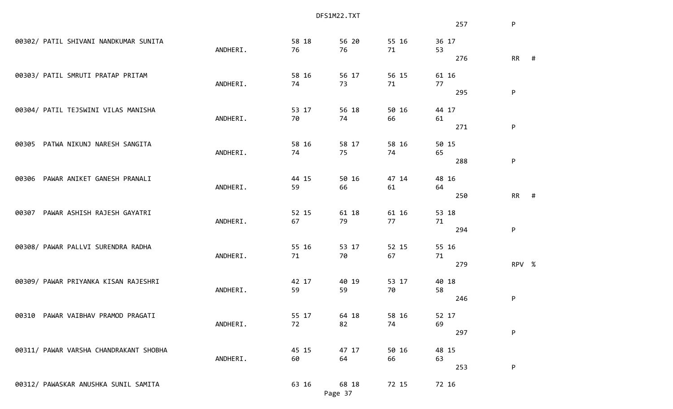|                                        |          | DFS1M22.TXT |         |       |       |                |  |  |  |  |
|----------------------------------------|----------|-------------|---------|-------|-------|----------------|--|--|--|--|
|                                        |          |             |         |       | 257   | P              |  |  |  |  |
| 00302/ PATIL SHIVANI NANDKUMAR SUNITA  |          | 58 18       | 56 20   | 55 16 | 36 17 |                |  |  |  |  |
|                                        | ANDHERI. | 76          | 76      | 71    | 53    |                |  |  |  |  |
|                                        |          |             |         |       | 276   | <b>RR</b><br># |  |  |  |  |
| 00303/ PATIL SMRUTI PRATAP PRITAM      |          | 58 16       | 56 17   | 56 15 | 61 16 |                |  |  |  |  |
|                                        | ANDHERI. | 74          | 73      | 71    | 77    |                |  |  |  |  |
|                                        |          |             |         |       | 295   | P              |  |  |  |  |
| 00304/ PATIL TEJSWINI VILAS MANISHA    |          | 53 17       | 56 18   | 50 16 | 44 17 |                |  |  |  |  |
|                                        | ANDHERI. | 70          | 74      | 66    | 61    |                |  |  |  |  |
|                                        |          |             |         |       | 271   | P              |  |  |  |  |
| PATWA NIKUNJ NARESH SANGITA<br>00305   |          | 58 16       | 58 17   | 58 16 | 50 15 |                |  |  |  |  |
|                                        | ANDHERI. | 74          | 75      | 74    | 65    |                |  |  |  |  |
|                                        |          |             |         |       | 288   | P              |  |  |  |  |
| PAWAR ANIKET GANESH PRANALI<br>00306   |          | 44 15       | 50 16   | 47 14 | 48 16 |                |  |  |  |  |
|                                        | ANDHERI. | 59          | 66      | 61    | 64    |                |  |  |  |  |
|                                        |          |             |         |       | 250   | <b>RR</b><br># |  |  |  |  |
| PAWAR ASHISH RAJESH GAYATRI<br>00307   |          | 52 15       | 61 18   | 61 16 | 53 18 |                |  |  |  |  |
|                                        | ANDHERI. | 67          | 79      | 77    | 71    |                |  |  |  |  |
|                                        |          |             |         |       | 294   | P              |  |  |  |  |
| 00308/ PAWAR PALLVI SURENDRA RADHA     |          | 55 16       | 53 17   | 52 15 | 55 16 |                |  |  |  |  |
|                                        | ANDHERI. | 71          | 70      | 67    | 71    |                |  |  |  |  |
|                                        |          |             |         |       | 279   | RPV %          |  |  |  |  |
| 00309/ PAWAR PRIYANKA KISAN RAJESHRI   |          | 42 17       | 40 19   | 53 17 | 40 18 |                |  |  |  |  |
|                                        | ANDHERI. | 59          | 59      | 70    | 58    |                |  |  |  |  |
|                                        |          |             |         |       | 246   | P              |  |  |  |  |
| 00310 PAWAR VAIBHAV PRAMOD PRAGATI     |          | 55 17       | 64 18   | 58 16 | 52 17 |                |  |  |  |  |
|                                        | ANDHERI. | 72          | 82      | 74    | 69    |                |  |  |  |  |
|                                        |          |             |         |       | 297   | P              |  |  |  |  |
| 00311/ PAWAR VARSHA CHANDRAKANT SHOBHA |          | 45 15       | 47 17   | 50 16 | 48 15 |                |  |  |  |  |
|                                        | ANDHERI. | 60          | 64      | 66    | 63    |                |  |  |  |  |
|                                        |          |             |         |       | 253   | P              |  |  |  |  |
| 00312/ PAWASKAR ANUSHKA SUNIL SAMITA   |          | 63 16       | 68 18   | 72 15 | 72 16 |                |  |  |  |  |
|                                        |          |             | Page 37 |       |       |                |  |  |  |  |
|                                        |          |             |         |       |       |                |  |  |  |  |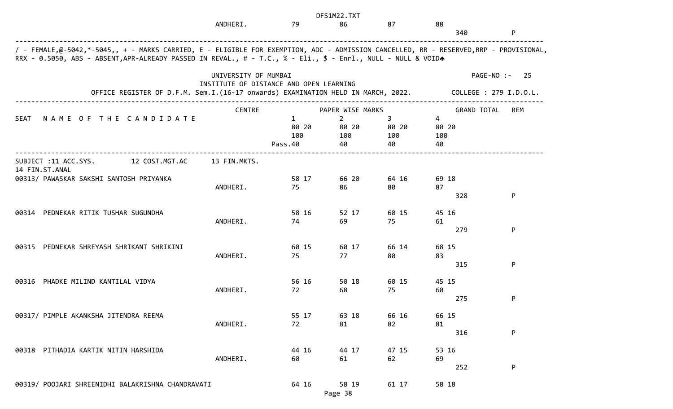|                                                                                                                                                                                                                                                        |                      |                                         | DFS1M22.TXT                          |                         |                         |                        |            |
|--------------------------------------------------------------------------------------------------------------------------------------------------------------------------------------------------------------------------------------------------------|----------------------|-----------------------------------------|--------------------------------------|-------------------------|-------------------------|------------------------|------------|
|                                                                                                                                                                                                                                                        | ANDHERI.             | 79                                      | 86                                   | 87                      | 88                      | 340                    | ${\sf P}$  |
| / - FEMALE,@-5042,*-5045,, + - MARKS CARRIED, E - ELIGIBLE FOR EXEMPTION, ADC - ADMISSION CANCELLED, RR - RESERVED,RRP - PROVISIONAL,<br>RRX - 0.5050, ABS - ABSENT, APR-ALREADY PASSED IN REVAL., # - T.C., % - Eli., \$ - Enrl., NULL - NULL & VOIDA |                      |                                         |                                      |                         |                         |                        |            |
|                                                                                                                                                                                                                                                        | UNIVERSITY OF MUMBAI | INSTITUTE OF DISTANCE AND OPEN LEARNING |                                      |                         |                         | PAGE-NO :-             | -25        |
| OFFICE REGISTER OF D.F.M. Sem.I.(16-17 onwards) EXAMINATION HELD IN MARCH, 2022.                                                                                                                                                                       |                      |                                         |                                      |                         |                         | COLLEGE : 279 I.D.O.L. |            |
|                                                                                                                                                                                                                                                        | CENTRE               |                                         | PAPER WISE MARKS                     |                         |                         | <b>GRAND TOTAL</b>     | <b>REM</b> |
| NAME OF THE CANDIDATE<br><b>SEAT</b>                                                                                                                                                                                                                   |                      | $\mathbf{1}$<br>80 20<br>100<br>Pass.40 | $\overline{2}$<br>80 20<br>100<br>40 | 3<br>80 20<br>100<br>40 | 4<br>80 20<br>100<br>40 |                        |            |
| SUBJECT :11 ACC.SYS.<br>12 COST.MGT.AC                                                                                                                                                                                                                 | 13 FIN.MKTS.         |                                         |                                      |                         |                         |                        |            |
| 14 FIN.ST.ANAL<br>00313/ PAWASKAR SAKSHI SANTOSH PRIYANKA                                                                                                                                                                                              | ANDHERI.             | 58 17<br>75                             | 66 20<br>86                          | 64 16<br>80             | 69 18<br>87             |                        |            |
|                                                                                                                                                                                                                                                        |                      |                                         |                                      |                         |                         | 328                    | P          |
| 00314 PEDNEKAR RITIK TUSHAR SUGUNDHA                                                                                                                                                                                                                   | ANDHERI.             | 58 16<br>74                             | 52 17<br>69                          | 60 15<br>75             | 45 16<br>61             |                        |            |
|                                                                                                                                                                                                                                                        |                      |                                         |                                      |                         |                         | 279                    | P          |
| PEDNEKAR SHREYASH SHRIKANT SHRIKINI<br>00315                                                                                                                                                                                                           | ANDHERI.             | 60 15<br>75                             | 60 17<br>77                          | 66 14<br>80             | 68 15<br>83             |                        |            |
|                                                                                                                                                                                                                                                        |                      |                                         |                                      |                         |                         | 315                    | P          |
| PHADKE MILIND KANTILAL VIDYA<br>00316                                                                                                                                                                                                                  | ANDHERI.             | 56 16<br>72                             | 50 18<br>68                          | 60 15<br>75             | 45 15<br>60             |                        |            |
|                                                                                                                                                                                                                                                        |                      |                                         |                                      |                         |                         | 275                    | P          |
| 00317/ PIMPLE AKANKSHA JITENDRA REEMA                                                                                                                                                                                                                  | ANDHERI.             | 55 17<br>72                             | 63 18<br>81                          | 66 16<br>82             | 66 15<br>81             |                        | ${\sf P}$  |
|                                                                                                                                                                                                                                                        |                      |                                         |                                      |                         |                         | 316                    |            |
| 00318 PITHADIA KARTIK NITIN HARSHIDA                                                                                                                                                                                                                   | ANDHERI.             | 44 16<br>60                             | 44 17<br>61                          | 47 15<br>62             | 53 16<br>69             | 252                    | P          |
| 00319/ POOJARI SHREENIDHI BALAKRISHNA CHANDRAVATI                                                                                                                                                                                                      |                      | 64 16                                   | 58 19<br>Page 38                     | 61 17                   | 58 18                   |                        |            |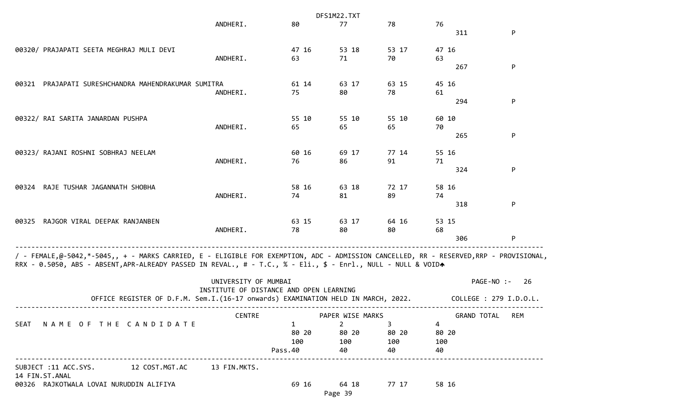|                                                                                                                                                                                                                                                        |                                                                                                                                                     |                        | DFS1M22.TXT                    |             |                 |                              |
|--------------------------------------------------------------------------------------------------------------------------------------------------------------------------------------------------------------------------------------------------------|-----------------------------------------------------------------------------------------------------------------------------------------------------|------------------------|--------------------------------|-------------|-----------------|------------------------------|
|                                                                                                                                                                                                                                                        | ANDHERI.                                                                                                                                            | 80                     | 77                             | 78          | 76              |                              |
|                                                                                                                                                                                                                                                        |                                                                                                                                                     |                        |                                |             | 311             | P                            |
| 00320/ PRAJAPATI SEETA MEGHRAJ MULI DEVI                                                                                                                                                                                                               |                                                                                                                                                     | 47 16                  | 53 18                          | 53 17       | 47 16           |                              |
|                                                                                                                                                                                                                                                        | ANDHERI.                                                                                                                                            | 63                     | 71                             | 70          | 63              |                              |
|                                                                                                                                                                                                                                                        |                                                                                                                                                     |                        |                                |             | 267             | P                            |
| PRAJAPATI SURESHCHANDRA MAHENDRAKUMAR SUMITRA<br>00321                                                                                                                                                                                                 |                                                                                                                                                     | 61 14                  | 63 17                          | 63 15       | 45 16           |                              |
|                                                                                                                                                                                                                                                        | ANDHERI.                                                                                                                                            | 75                     | 80                             | 78          | 61              |                              |
|                                                                                                                                                                                                                                                        |                                                                                                                                                     |                        |                                |             | 294             | P                            |
| 00322/ RAI SARITA JANARDAN PUSHPA                                                                                                                                                                                                                      |                                                                                                                                                     | 55 10                  | 55 10                          | 55 10       | 60 10           |                              |
|                                                                                                                                                                                                                                                        | ANDHERI.                                                                                                                                            | 65                     | 65                             | 65          | 70              |                              |
|                                                                                                                                                                                                                                                        |                                                                                                                                                     |                        |                                |             | 265             | P                            |
| 00323/ RAJANI ROSHNI SOBHRAJ NEELAM                                                                                                                                                                                                                    |                                                                                                                                                     | 60 16                  | 69 17                          | 77 14       | 55 16           |                              |
|                                                                                                                                                                                                                                                        | ANDHERI.                                                                                                                                            | 76                     | 86                             | 91          | 71              |                              |
|                                                                                                                                                                                                                                                        |                                                                                                                                                     |                        |                                |             | 324             | P                            |
| RAJE TUSHAR JAGANNATH SHOBHA<br>00324                                                                                                                                                                                                                  |                                                                                                                                                     | 58 16                  | 63 18                          | 72 17       | 58 16           |                              |
|                                                                                                                                                                                                                                                        | ANDHERI.                                                                                                                                            | 74                     | 81                             | 89          | 74              |                              |
|                                                                                                                                                                                                                                                        |                                                                                                                                                     |                        |                                |             | 318             | P                            |
| RAJGOR VIRAL DEEPAK RANJANBEN<br>00325                                                                                                                                                                                                                 |                                                                                                                                                     | 63 15                  | 63 17                          | 64 16       | 53 15           |                              |
|                                                                                                                                                                                                                                                        | ANDHERI.                                                                                                                                            | 78                     | 80                             | 80          | 68              |                              |
|                                                                                                                                                                                                                                                        |                                                                                                                                                     |                        |                                |             | 306             | P                            |
| / - FEMALE,@-5042,*-5045,, + - MARKS CARRIED, E - ELIGIBLE FOR EXEMPTION, ADC - ADMISSION CANCELLED, RR - RESERVED,RRP - PROVISIONAL,<br>RRX - 0.5050, ABS - ABSENT, APR-ALREADY PASSED IN REVAL., # - T.C., % - Eli., \$ - Enrl., NULL - NULL & VOIDA | UNIVERSITY OF MUMBAI<br>INSTITUTE OF DISTANCE AND OPEN LEARNING<br>OFFICE REGISTER OF D.F.M. Sem.I.(16-17 onwards) EXAMINATION HELD IN MARCH, 2022. |                        |                                |             | PAGE-NO :-      | 26<br>COLLEGE : 279 I.D.O.L. |
|                                                                                                                                                                                                                                                        | <b>CENTRE</b>                                                                                                                                       |                        | PAPER WISE MARKS               |             | GRAND TOTAL REM |                              |
| SEAT NAME OF THE CANDIDATE                                                                                                                                                                                                                             |                                                                                                                                                     | $1 \quad \blacksquare$ | $2 \left( \frac{1}{2} \right)$ | $3^{\circ}$ | $\overline{4}$  |                              |
|                                                                                                                                                                                                                                                        |                                                                                                                                                     | 80 20                  | 80 20                          | 80 20       | 80 20           |                              |
|                                                                                                                                                                                                                                                        |                                                                                                                                                     | 100<br>Pass.40         | 100 100<br>40                  | 40          | 100<br>40       |                              |
|                                                                                                                                                                                                                                                        |                                                                                                                                                     |                        |                                |             |                 |                              |
| SUBJECT :11 ACC.SYS. 12 COST.MGT.AC 13 FIN.MKTS.<br>14 FIN.ST.ANAL                                                                                                                                                                                     |                                                                                                                                                     |                        |                                |             |                 |                              |
| 00326 RAJKOTWALA LOVAI NURUDDIN ALIFIYA                                                                                                                                                                                                                |                                                                                                                                                     |                        | 69 16 64 18                    | 77 17       | 58 16           |                              |
|                                                                                                                                                                                                                                                        |                                                                                                                                                     |                        | Page 39                        |             |                 |                              |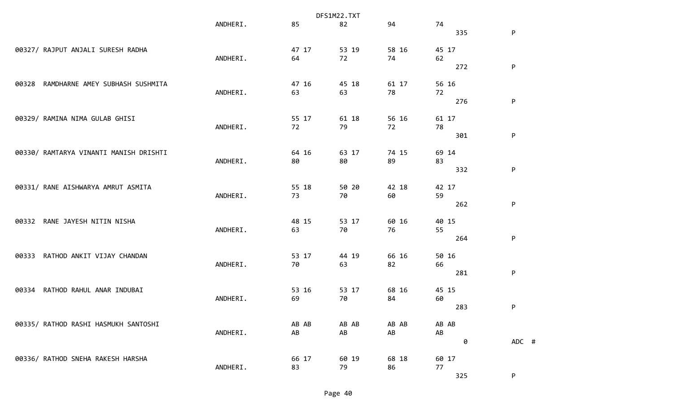|                                          | DFS1M22.TXT |       |       |       |       |           |  |
|------------------------------------------|-------------|-------|-------|-------|-------|-----------|--|
|                                          | ANDHERI.    | 85    | 82    | 94    | 74    |           |  |
|                                          |             |       |       |       | 335   | P         |  |
| 00327/ RAJPUT ANJALI SURESH RADHA        |             | 47 17 | 53 19 | 58 16 | 45 17 |           |  |
|                                          | ANDHERI.    | 64    | 72    | 74    | 62    |           |  |
|                                          |             |       |       |       | 272   | P         |  |
| RAMDHARNE AMEY SUBHASH SUSHMITA<br>00328 |             | 47 16 | 45 18 | 61 17 | 56 16 |           |  |
|                                          | ANDHERI.    | 63    | 63    | 78    | 72    |           |  |
|                                          |             |       |       |       | 276   | ${\sf P}$ |  |
| 00329/ RAMINA NIMA GULAB GHISI           |             | 55 17 | 61 18 | 56 16 | 61 17 |           |  |
|                                          | ANDHERI.    | 72    | 79    | 72    | 78    |           |  |
|                                          |             |       |       |       | 301   | P         |  |
| 00330/ RAMTARYA VINANTI MANISH DRISHTI   |             | 64 16 | 63 17 | 74 15 | 69 14 |           |  |
|                                          | ANDHERI.    | 80    | 80    | 89    | 83    |           |  |
|                                          |             |       |       |       | 332   | ${\sf P}$ |  |
| 00331/ RANE AISHWARYA AMRUT ASMITA       |             | 55 18 | 50 20 | 42 18 | 42 17 |           |  |
|                                          | ANDHERI.    | 73    | 70    | 60    | 59    |           |  |
|                                          |             |       |       |       | 262   | P         |  |
| RANE JAYESH NITIN NISHA<br>00332         |             | 48 15 | 53 17 | 60 16 | 40 15 |           |  |
|                                          | ANDHERI.    | 63    | 70    | 76    | 55    |           |  |
|                                          |             |       |       |       | 264   | P         |  |
| RATHOD ANKIT VIJAY CHANDAN<br>00333      |             | 53 17 | 44 19 | 66 16 | 50 16 |           |  |
|                                          | ANDHERI.    | 70    | 63    | 82    | 66    |           |  |
|                                          |             |       |       |       | 281   | P         |  |
| RATHOD RAHUL ANAR INDUBAI<br>00334       |             | 53 16 | 53 17 | 68 16 | 45 15 |           |  |
|                                          | ANDHERI.    | 69    | 70    | 84    | 60    |           |  |
|                                          |             |       |       |       | 283   | P         |  |
| 00335/ RATHOD RASHI HASMUKH SANTOSHI     |             | AB AB | AB AB | AB AB | AB AB |           |  |
|                                          | ANDHERI.    | AB    | AB    | AB    | AB    |           |  |
|                                          |             |       |       |       | 0     | ADC #     |  |
| 00336/ RATHOD SNEHA RAKESH HARSHA        |             | 66 17 | 60 19 | 68 18 | 60 17 |           |  |
|                                          | ANDHERI.    | 83    | 79    | 86    | 77    |           |  |
|                                          |             |       |       |       | 325   | P         |  |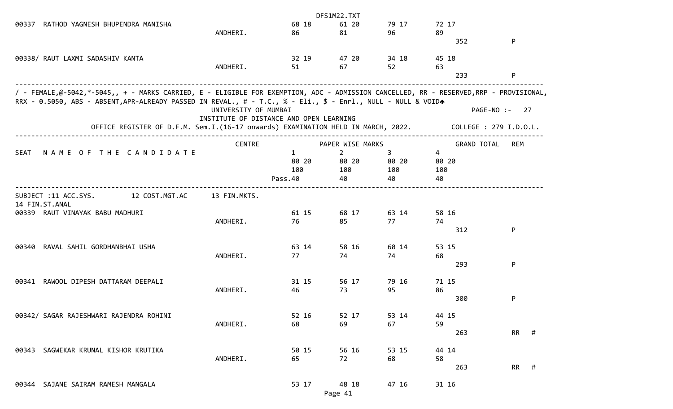|                                                                                                                                                                                                                                                        |                                         |              | DFS1M22.TXT      |                |                    |                        |
|--------------------------------------------------------------------------------------------------------------------------------------------------------------------------------------------------------------------------------------------------------|-----------------------------------------|--------------|------------------|----------------|--------------------|------------------------|
| RATHOD YAGNESH BHUPENDRA MANISHA<br>00337                                                                                                                                                                                                              |                                         | 68 18        | 61 20            | 79 17          | 72 17              |                        |
|                                                                                                                                                                                                                                                        | ANDHERI.                                | 86           | 81               | 96             | 89                 |                        |
|                                                                                                                                                                                                                                                        |                                         |              |                  |                | 352                | P                      |
| 00338/ RAUT LAXMI SADASHIV KANTA                                                                                                                                                                                                                       |                                         | 32 19        | 47 20            | 34 18          | 45 18              |                        |
|                                                                                                                                                                                                                                                        | ANDHERI.                                | 51           | 67               | 52             | 63                 |                        |
|                                                                                                                                                                                                                                                        |                                         |              |                  |                | 233                | P                      |
| / - FEMALE,@-5042,*-5045,, + - MARKS CARRIED, E - ELIGIBLE FOR EXEMPTION, ADC - ADMISSION CANCELLED, RR - RESERVED,RRP - PROVISIONAL,<br>RRX - 0.5050, ABS - ABSENT, APR-ALREADY PASSED IN REVAL., # - T.C., % - Eli., \$ - Enrl., NULL - NULL & VOIDA |                                         |              |                  |                |                    |                        |
|                                                                                                                                                                                                                                                        | UNIVERSITY OF MUMBAI                    |              |                  |                |                    | PAGE-NO :-<br>27       |
|                                                                                                                                                                                                                                                        | INSTITUTE OF DISTANCE AND OPEN LEARNING |              |                  |                |                    |                        |
| OFFICE REGISTER OF D.F.M. Sem.I.(16-17 onwards) EXAMINATION HELD IN MARCH, 2022.                                                                                                                                                                       | ____________________________________    |              |                  |                |                    | COLLEGE : 279 I.D.O.L. |
|                                                                                                                                                                                                                                                        | <b>CENTRE</b>                           |              | PAPER WISE MARKS |                | <b>GRAND TOTAL</b> | REM                    |
| NAME OF THE CANDIDATE<br>SEAT                                                                                                                                                                                                                          |                                         | $\mathbf{1}$ | $2^{\circ}$      | 3 <sup>7</sup> | $\overline{4}$     |                        |
|                                                                                                                                                                                                                                                        |                                         | 80 20        | 80 20            | 80 20          | 80 20              |                        |
|                                                                                                                                                                                                                                                        |                                         | 100          | 100              | 100            | 100                |                        |
|                                                                                                                                                                                                                                                        |                                         | Pass.40      | 40               | 40             | 40                 |                        |
| 12 COST.MGT.AC<br>SUBJECT :11 ACC.SYS.<br>14 FIN.ST.ANAL                                                                                                                                                                                               | 13 FIN.MKTS.                            |              |                  |                |                    |                        |
| 00339 RAUT VINAYAK BABU MADHURI                                                                                                                                                                                                                        |                                         | 61 15        | 68 17            | 63 14          | 58 16              |                        |
|                                                                                                                                                                                                                                                        | ANDHERI.                                | 76           | 85               | 77             | 74                 |                        |
|                                                                                                                                                                                                                                                        |                                         |              |                  |                | 312                | P                      |
| RAVAL SAHIL GORDHANBHAI USHA<br>00340                                                                                                                                                                                                                  |                                         | 63 14        | 58 16            | 60 14          | 53 15              |                        |
|                                                                                                                                                                                                                                                        | ANDHERI.                                | 77           | 74               | 74             | 68                 |                        |
|                                                                                                                                                                                                                                                        |                                         |              |                  |                | 293                | P                      |
| RAWOOL DIPESH DATTARAM DEEPALI<br>00341                                                                                                                                                                                                                |                                         | 31 15        | 56 17            | 79 16          | 71 15              |                        |
|                                                                                                                                                                                                                                                        | ANDHERI.                                | 46           | 73               | 95             | 86                 |                        |
|                                                                                                                                                                                                                                                        |                                         |              |                  |                | 300                | P                      |
| 00342/ SAGAR RAJESHWARI RAJENDRA ROHINI                                                                                                                                                                                                                |                                         | 52 16        | 52 17            | 53 14          | 44 15              |                        |
|                                                                                                                                                                                                                                                        | ANDHERI.                                | 68           | 69               | 67             | 59                 |                        |
|                                                                                                                                                                                                                                                        |                                         |              |                  |                | 263                | <b>RR</b><br>#         |
|                                                                                                                                                                                                                                                        |                                         |              |                  |                |                    |                        |
| SAGWEKAR KRUNAL KISHOR KRUTIKA<br>00343                                                                                                                                                                                                                | ANDHERI.                                | 50 15<br>65  | 56 16<br>72      | 53 15<br>68    | 44 14<br>58        |                        |
|                                                                                                                                                                                                                                                        |                                         |              |                  |                | 263                | RR #                   |
|                                                                                                                                                                                                                                                        |                                         |              |                  |                |                    |                        |
| 00344 SAJANE SAIRAM RAMESH MANGALA                                                                                                                                                                                                                     |                                         | 53 17        | 48 18            | 47 16          | 31 16              |                        |
|                                                                                                                                                                                                                                                        |                                         |              | Page 41          |                |                    |                        |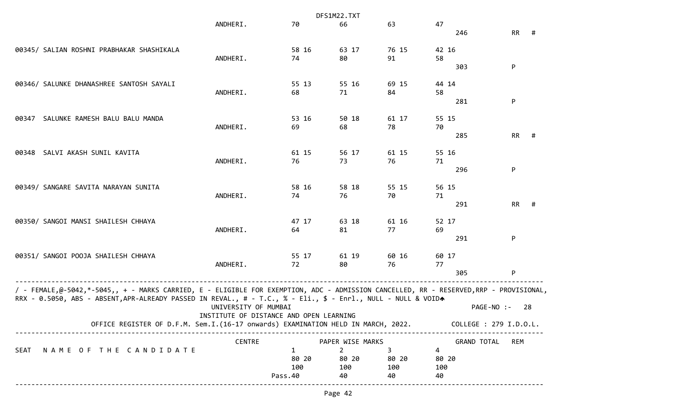|                                                                                                                                       |                                         |              | DFS1M22.TXT      |                |                        |            |     |
|---------------------------------------------------------------------------------------------------------------------------------------|-----------------------------------------|--------------|------------------|----------------|------------------------|------------|-----|
|                                                                                                                                       | ANDHERI.                                | 70           | 66               | 63             | 47                     |            |     |
|                                                                                                                                       |                                         |              |                  |                | 246                    | RR         | #   |
| 00345/ SALIAN ROSHNI PRABHAKAR SHASHIKALA                                                                                             |                                         | 58 16        | 63 17            | 76 15          | 42 16                  |            |     |
|                                                                                                                                       | ANDHERI.                                | 74           | 80               | 91             | 58                     |            |     |
|                                                                                                                                       |                                         |              |                  |                | 303                    | P          |     |
|                                                                                                                                       |                                         |              |                  |                |                        |            |     |
| 00346/ SALUNKE DHANASHREE SANTOSH SAYALI                                                                                              |                                         | 55 13        | 55 16            | 69 15          | 44 14                  |            |     |
|                                                                                                                                       | ANDHERI.                                | 68           | 71               | 84             | 58                     |            |     |
|                                                                                                                                       |                                         |              |                  |                | 281                    | P          |     |
|                                                                                                                                       |                                         |              |                  |                |                        |            |     |
| SALUNKE RAMESH BALU BALU MANDA<br>00347                                                                                               |                                         | 53 16        | 50 18            | 61 17          | 55 15                  |            |     |
|                                                                                                                                       | ANDHERI.                                | 69           | 68               | 78             | 70<br>285              | RR         |     |
|                                                                                                                                       |                                         |              |                  |                |                        |            | #   |
| SALVI AKASH SUNIL KAVITA<br>00348                                                                                                     |                                         | 61 15        | 56 17            | 61 15          | 55 16                  |            |     |
|                                                                                                                                       | ANDHERI.                                | 76           | 73               | 76             | 71                     |            |     |
|                                                                                                                                       |                                         |              |                  |                | 296                    | P          |     |
|                                                                                                                                       |                                         |              |                  |                |                        |            |     |
| 00349/ SANGARE SAVITA NARAYAN SUNITA                                                                                                  |                                         | 58 16        | 58 18            | 55 15          | 56 15                  |            |     |
|                                                                                                                                       | ANDHERI.                                | 74           | 76               | 70             | 71                     |            |     |
|                                                                                                                                       |                                         |              |                  |                | 291                    | RR         | #   |
|                                                                                                                                       |                                         |              |                  |                |                        |            |     |
| 00350/ SANGOI MANSI SHAILESH CHHAYA                                                                                                   |                                         | 47 17        | 63 18            | 61 16          | 52 17                  |            |     |
|                                                                                                                                       | ANDHERI.                                | 64           | 81               | 77             | 69<br>291              | P          |     |
|                                                                                                                                       |                                         |              |                  |                |                        |            |     |
| 00351/ SANGOI POOJA SHAILESH CHHAYA                                                                                                   |                                         | 55 17        | 61 19            | 60 16          | 60 17                  |            |     |
|                                                                                                                                       | ANDHERI.                                | 72           | 80               | 76             | 77                     |            |     |
|                                                                                                                                       |                                         |              |                  |                | 305                    | P          |     |
|                                                                                                                                       |                                         |              |                  |                |                        |            |     |
| / - FEMALE,@-5042,*-5045,, + - MARKS CARRIED, E - ELIGIBLE FOR EXEMPTION, ADC - ADMISSION CANCELLED, RR - RESERVED,RRP - PROVISIONAL, |                                         |              |                  |                |                        |            |     |
| RRX - 0.5050, ABS - ABSENT, APR-ALREADY PASSED IN REVAL., # - T.C., % - Eli., \$ - Enrl., NULL - NULL & VOIDA                         |                                         |              |                  |                |                        |            |     |
|                                                                                                                                       | UNIVERSITY OF MUMBAI                    |              |                  |                |                        | PAGE-NO :- | -28 |
| OFFICE REGISTER OF D.F.M. Sem.I.(16-17 onwards) EXAMINATION HELD IN MARCH, 2022.                                                      | INSTITUTE OF DISTANCE AND OPEN LEARNING |              |                  |                | COLLEGE : 279 I.D.O.L. |            |     |
|                                                                                                                                       |                                         |              |                  |                |                        |            |     |
|                                                                                                                                       | <b>CENTRE</b>                           |              | PAPER WISE MARKS |                | GRAND TOTAL            | REM        |     |
| NAME OF THE CANDIDATE<br>SEAT                                                                                                         |                                         | $\mathbf{1}$ | $\overline{2}$   | 3 <sup>2</sup> | 4                      |            |     |
|                                                                                                                                       |                                         | 80 20        | 80 20            | 80 20          | 80 20                  |            |     |
|                                                                                                                                       |                                         | 100          | 100              | 100            | 100                    |            |     |
|                                                                                                                                       |                                         | Pass.40      | 40               | 40             | 40                     |            |     |
|                                                                                                                                       |                                         |              |                  |                |                        |            |     |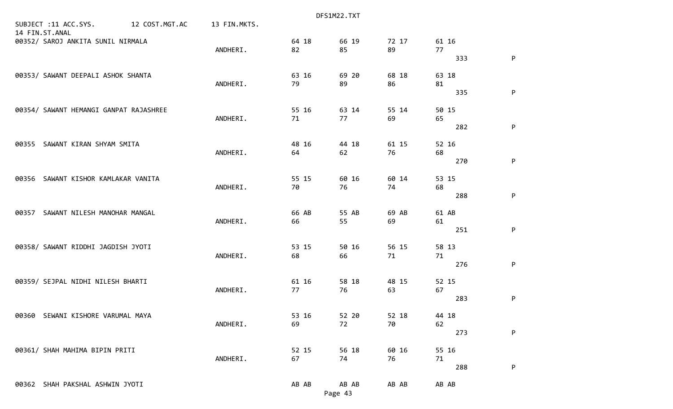|                                                          |              |       | DFS1M22.TXT |       |       |   |
|----------------------------------------------------------|--------------|-------|-------------|-------|-------|---|
| SUBJECT :11 ACC.SYS.<br>12 COST.MGT.AC<br>14 FIN.ST.ANAL | 13 FIN.MKTS. |       |             |       |       |   |
| 00352/ SAROJ ANKITA SUNIL NIRMALA                        |              | 64 18 | 66 19       | 72 17 | 61 16 |   |
|                                                          | ANDHERI.     | 82    | 85          | 89    | 77    |   |
|                                                          |              |       |             |       | 333   | P |
| 00353/ SAWANT DEEPALI ASHOK SHANTA                       |              | 63 16 | 69 20       | 68 18 | 63 18 |   |
|                                                          | ANDHERI.     | 79    | 89          | 86    | 81    |   |
|                                                          |              |       |             |       | 335   | P |
| 00354/ SAWANT HEMANGI GANPAT RAJASHREE                   |              | 55 16 | 63 14       | 55 14 | 50 15 |   |
|                                                          | ANDHERI.     | 71    | 77          | 69    | 65    |   |
|                                                          |              |       |             |       | 282   | P |
| SAWANT KIRAN SHYAM SMITA<br>00355                        |              | 48 16 | 44 18       | 61 15 | 52 16 |   |
|                                                          | ANDHERI.     | 64    | 62          | 76    | 68    |   |
|                                                          |              |       |             |       | 270   | P |
| SAWANT KISHOR KAMLAKAR VANITA<br>00356                   |              | 55 15 | 60 16       | 60 14 | 53 15 |   |
|                                                          | ANDHERI.     | 70    | 76          | 74    | 68    |   |
|                                                          |              |       |             |       | 288   | P |
| SAWANT NILESH MANOHAR MANGAL<br>00357                    |              | 66 AB | 55 AB       | 69 AB | 61 AB |   |
|                                                          | ANDHERI.     | 66    | 55          | 69    | 61    |   |
|                                                          |              |       |             |       | 251   | P |
| 00358/ SAWANT RIDDHI JAGDISH JYOTI                       |              | 53 15 | 50 16       | 56 15 | 58 13 |   |
|                                                          | ANDHERI.     | 68    | 66          | 71    | 71    |   |
|                                                          |              |       |             |       | 276   | P |
| 00359/ SEJPAL NIDHI NILESH BHARTI                        |              | 61 16 | 58 18       | 48 15 | 52 15 |   |
|                                                          | ANDHERI.     | 77    | 76          | 63    | 67    |   |
|                                                          |              |       |             |       | 283   | P |
| 00360 SEWANI KISHORE VARUMAL MAYA                        |              | 53 16 | 52 20       | 52 18 | 44 18 |   |
|                                                          | ANDHERI.     | 69    | 72          | 70    | 62    |   |
|                                                          |              |       |             |       | 273   | P |
| 00361/ SHAH MAHIMA BIPIN PRITI                           |              | 52 15 | 56 18       | 60 16 | 55 16 |   |
|                                                          | ANDHERI.     | 67    | 74          | 76    | 71    |   |
|                                                          |              |       |             |       | 288   | P |
| 00362 SHAH PAKSHAL ASHWIN JYOTI                          |              | AB AB | AB AB       | AB AB | AB AB |   |
|                                                          |              |       | Page 43     |       |       |   |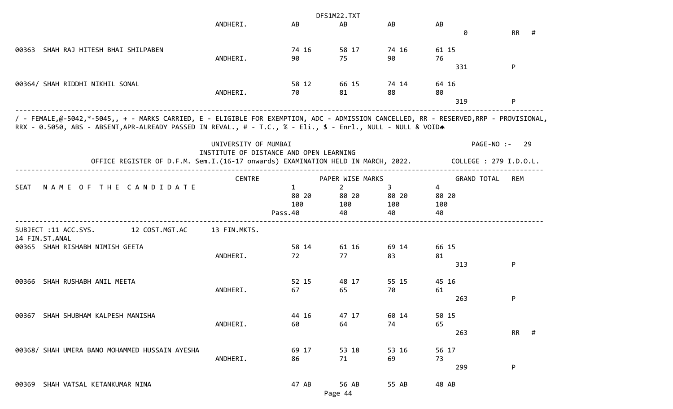|                                                                                                                                                                                                                                                        |                      |                                         | DFS1M22.TXT                                              |                         |                                                            |                                             |
|--------------------------------------------------------------------------------------------------------------------------------------------------------------------------------------------------------------------------------------------------------|----------------------|-----------------------------------------|----------------------------------------------------------|-------------------------|------------------------------------------------------------|---------------------------------------------|
|                                                                                                                                                                                                                                                        | ANDHERI.             | AB                                      | AB                                                       | AB                      | AB<br>0                                                    | <b>RR</b><br>#                              |
| 00363 SHAH RAJ HITESH BHAI SHILPABEN                                                                                                                                                                                                                   | ANDHERI.             | 74 16<br>90                             | 58 17<br>75                                              | 74 16<br>90             | 61 15<br>76<br>331                                         | P                                           |
| 00364/ SHAH RIDDHI NIKHIL SONAL                                                                                                                                                                                                                        | ANDHERI.             | 58 12<br>70                             | 66 15<br>81                                              | 74 14<br>88             | 64 16<br>80<br>319                                         | P                                           |
| / - FEMALE,@-5042,*-5045,, + - MARKS CARRIED, E - ELIGIBLE FOR EXEMPTION, ADC - ADMISSION CANCELLED, RR - RESERVED,RRP - PROVISIONAL,<br>RRX - 0.5050, ABS - ABSENT, APR-ALREADY PASSED IN REVAL., # - T.C., % - Eli., \$ - Enrl., NULL - NULL & VOIDA |                      |                                         |                                                          |                         |                                                            |                                             |
| OFFICE REGISTER OF D.F.M. Sem.I.(16-17 onwards) EXAMINATION HELD IN MARCH, 2022.                                                                                                                                                                       | UNIVERSITY OF MUMBAI | INSTITUTE OF DISTANCE AND OPEN LEARNING |                                                          |                         |                                                            | PAGE-NO :-<br>-29<br>COLLEGE : 279 I.D.O.L. |
| NAME OF THE CANDIDATE<br><b>SEAT</b>                                                                                                                                                                                                                   | <b>CENTRE</b>        | $\mathbf{1}$<br>80 20<br>100<br>Pass.40 | PAPER WISE MARKS<br>$\overline{2}$<br>80 20<br>100<br>40 | 3<br>80 20<br>100<br>40 | <b>GRAND TOTAL</b><br>$\overline{4}$<br>80 20<br>100<br>40 | REM                                         |
| 12 COST.MGT.AC<br>SUBJECT :11 ACC.SYS.<br>14 FIN.ST.ANAL<br>00365 SHAH RISHABH NIMISH GEETA                                                                                                                                                            | 13 FIN.MKTS.         | 58 14                                   | 61 16                                                    | 69 14                   | 66 15                                                      |                                             |
|                                                                                                                                                                                                                                                        | ANDHERI.             | 72                                      | 77                                                       | 83                      | 81<br>313                                                  | P                                           |
| SHAH RUSHABH ANIL MEETA<br>00366                                                                                                                                                                                                                       | ANDHERI.             | 52 15<br>67                             | 48 17<br>65                                              | 55 15<br>70             | 45 16<br>61<br>263                                         | P                                           |
| 00367 SHAH SHUBHAM KALPESH MANISHA                                                                                                                                                                                                                     | ANDHERI.             | 44 16<br>60                             | 47 17<br>64                                              | 60 14<br>74             | 50 15<br>65<br>263                                         | <b>RR</b><br>#                              |
| 00368/ SHAH UMERA BANO MOHAMMED HUSSAIN AYESHA                                                                                                                                                                                                         | ANDHERI.             | 69 17<br>86                             | 53 18<br>71                                              | 53 16<br>69             | 56 17<br>73<br>299                                         | P                                           |
| 00369 SHAH VATSAL KETANKUMAR NINA                                                                                                                                                                                                                      |                      | 47 AB                                   | 56 AB<br>Page 44                                         | 55 AB                   | 48 AB                                                      |                                             |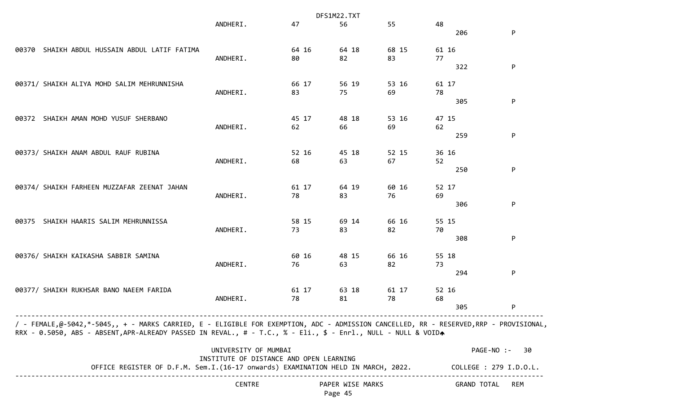|                                                                                                                                                                                                                                                       |                                         |                             | DFS1M22.TXT |       |       |                        |                           |  |  |
|-------------------------------------------------------------------------------------------------------------------------------------------------------------------------------------------------------------------------------------------------------|-----------------------------------------|-----------------------------|-------------|-------|-------|------------------------|---------------------------|--|--|
|                                                                                                                                                                                                                                                       | ANDHERI.                                | 47                          | 56          | 55    | 48    |                        |                           |  |  |
|                                                                                                                                                                                                                                                       |                                         |                             |             |       |       | 206                    | P                         |  |  |
| SHAIKH ABDUL HUSSAIN ABDUL LATIF FATIMA<br>00370                                                                                                                                                                                                      |                                         | 64 16                       | 64 18       | 68 15 | 61 16 |                        |                           |  |  |
|                                                                                                                                                                                                                                                       | ANDHERI.                                | 80                          | 82          | 83    | 77    |                        |                           |  |  |
|                                                                                                                                                                                                                                                       |                                         |                             |             |       |       | 322                    | P                         |  |  |
| 00371/ SHAIKH ALIYA MOHD SALIM MEHRUNNISHA                                                                                                                                                                                                            |                                         | 66 17                       | 56 19       | 53 16 | 61 17 |                        |                           |  |  |
|                                                                                                                                                                                                                                                       | ANDHERI.                                | 83                          | 75          | 69    | 78    |                        |                           |  |  |
|                                                                                                                                                                                                                                                       |                                         |                             |             |       |       | 305                    | P                         |  |  |
| 00372 SHAIKH AMAN MOHD YUSUF SHERBANO                                                                                                                                                                                                                 |                                         | 45 17                       | 48 18       | 53 16 | 47 15 |                        |                           |  |  |
|                                                                                                                                                                                                                                                       | ANDHERI.                                | 62                          | 66          | 69    | 62    |                        |                           |  |  |
|                                                                                                                                                                                                                                                       |                                         |                             |             |       |       | 259                    | P                         |  |  |
| 00373/ SHAIKH ANAM ABDUL RAUF RUBINA                                                                                                                                                                                                                  |                                         | 52 16                       | 45 18       | 52 15 | 36 16 |                        |                           |  |  |
|                                                                                                                                                                                                                                                       | ANDHERI.                                | 68                          | 63          | 67    | 52    |                        |                           |  |  |
|                                                                                                                                                                                                                                                       |                                         |                             |             |       |       | 250                    | P                         |  |  |
| 00374/ SHAIKH FARHEEN MUZZAFAR ZEENAT JAHAN                                                                                                                                                                                                           |                                         | 61 17                       | 64 19       | 60 16 | 52 17 |                        |                           |  |  |
|                                                                                                                                                                                                                                                       | ANDHERI.                                | 78                          | 83          | 76    | 69    |                        |                           |  |  |
|                                                                                                                                                                                                                                                       |                                         |                             |             |       |       | 306                    | P                         |  |  |
| SHAIKH HAARIS SALIM MEHRUNNISSA<br>00375                                                                                                                                                                                                              |                                         | 58 15                       | 69 14       | 66 16 | 55 15 |                        |                           |  |  |
|                                                                                                                                                                                                                                                       | ANDHERI.                                | 73                          | 83          | 82    | 70    |                        |                           |  |  |
|                                                                                                                                                                                                                                                       |                                         |                             |             |       |       | 308                    | P                         |  |  |
| 00376/ SHAIKH KAIKASHA SABBIR SAMINA                                                                                                                                                                                                                  |                                         | 60 16                       | 48 15       | 66 16 | 55 18 |                        |                           |  |  |
|                                                                                                                                                                                                                                                       | ANDHERI.                                | 76                          | 63          | 82    | 73    |                        |                           |  |  |
|                                                                                                                                                                                                                                                       |                                         |                             |             |       |       | 294                    | P                         |  |  |
| 00377/ SHAIKH RUKHSAR BANO NAEEM FARIDA                                                                                                                                                                                                               |                                         | 61 17                       | 63 18       | 61 17 | 52 16 |                        |                           |  |  |
|                                                                                                                                                                                                                                                       | ANDHERI.                                | 78                          | 81          | 78    | 68    |                        |                           |  |  |
|                                                                                                                                                                                                                                                       |                                         |                             |             |       |       | 305                    | P.                        |  |  |
| / - FEMALE,@-5042,*-5045,, + - MARKS CARRIED, E - ELIGIBLE FOR EXEMPTION, ADC - ADMISSION CANCELLED, RR - RESERVED,RRP - PROVISIONAL,<br>RRX - 0.5050, ABS - ABSENT,APR-ALREADY PASSED IN REVAL., # - T.C., % - Eli., \$ - Enrl., NULL - NULL & VOIDA |                                         |                             |             |       |       |                        |                           |  |  |
|                                                                                                                                                                                                                                                       | UNIVERSITY OF MUMBAI                    |                             |             |       |       | PAGE-NO :-             | -30                       |  |  |
|                                                                                                                                                                                                                                                       | INSTITUTE OF DISTANCE AND OPEN LEARNING |                             |             |       |       |                        |                           |  |  |
| OFFICE REGISTER OF D.F.M. Sem.I.(16-17 onwards) EXAMINATION HELD IN MARCH, 2022.                                                                                                                                                                      |                                         |                             |             |       |       | COLLEGE : 279 I.D.O.L. |                           |  |  |
|                                                                                                                                                                                                                                                       | CENTRE                                  | PAPER WISE MARKS<br>Page 45 |             |       |       |                        | <b>GRAND TOTAL</b><br>REM |  |  |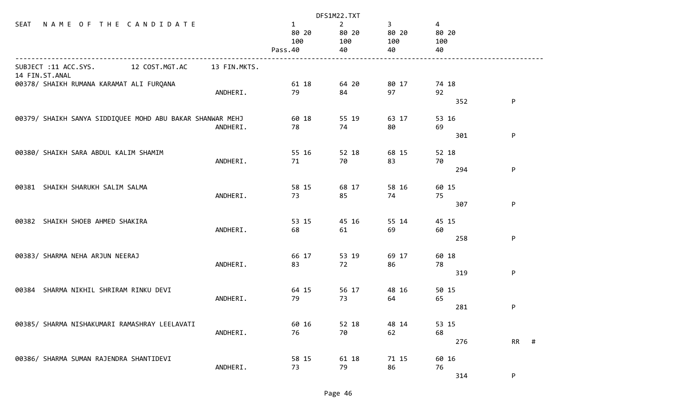|                                                                        | DFS1M22.TXT                  |                                      |                                      |                                      |                     |  |  |
|------------------------------------------------------------------------|------------------------------|--------------------------------------|--------------------------------------|--------------------------------------|---------------------|--|--|
| NAME OF THE CANDIDATE<br>SEAT                                          | 1<br>80 20<br>100<br>Pass.40 | $\overline{2}$<br>80 20<br>100<br>40 | 3 <sup>7</sup><br>80 20<br>100<br>40 | $\overline{4}$<br>80 20<br>100<br>40 |                     |  |  |
| SUBJECT :11 ACC.SYS.<br>12 COST.MGT.AC<br>13 FIN.MKTS.                 |                              |                                      |                                      |                                      |                     |  |  |
| 14 FIN.ST.ANAL<br>00378/ SHAIKH RUMANA KARAMAT ALI FURQANA<br>ANDHERI. | 61 18<br>79                  | 64 20<br>84                          | 80 17<br>97                          | 74 18<br>92<br>352                   | P                   |  |  |
| 00379/ SHAIKH SANYA SIDDIQUEE MOHD ABU BAKAR SHANWAR MEHJ<br>ANDHERI.  | 60 18<br>78                  | 55 19<br>74                          | 63 17<br>80                          | 53 16<br>69<br>301                   | P                   |  |  |
| 00380/ SHAIKH SARA ABDUL KALIM SHAMIM<br>ANDHERI.                      | 55 16<br>71                  | 52 18<br>70                          | 68 15<br>83                          | 52 18<br>70<br>294                   | P                   |  |  |
| 00381 SHAIKH SHARUKH SALIM SALMA<br>ANDHERI.                           | 58 15<br>73                  | 68 17<br>85                          | 58 16<br>74                          | 60 15<br>75                          |                     |  |  |
| 00382 SHAIKH SHOEB AHMED SHAKIRA<br>ANDHERI.                           | 53 15<br>68                  | 45 16<br>61                          | 55 14<br>69                          | 307<br>45 15<br>60                   | P                   |  |  |
| 00383/ SHARMA NEHA ARJUN NEERAJ<br>ANDHERI.                            | 66 17<br>83                  | 53 19<br>72                          | 69 17<br>86                          | 258<br>60 18<br>78                   | P                   |  |  |
| 00384 SHARMA NIKHIL SHRIRAM RINKU DEVI<br>ANDHERI.                     | 64 15<br>79                  | 56 17<br>73                          | 48 16<br>64                          | 319<br>50 15<br>65                   | P                   |  |  |
| 00385/ SHARMA NISHAKUMARI RAMASHRAY LEELAVATI<br>ANDHERI.              | 60 16<br>76                  | 52 18<br>70                          | 48 14<br>62                          | 281<br>53 15<br>68                   | P                   |  |  |
| 00386/ SHARMA SUMAN RAJENDRA SHANTIDEVI<br>ANDHERI.                    | 58 15<br>73                  | 61 18<br>79                          | 71 15<br>86                          | 276<br>60 16<br>76<br>314            | <b>RR</b><br>#<br>P |  |  |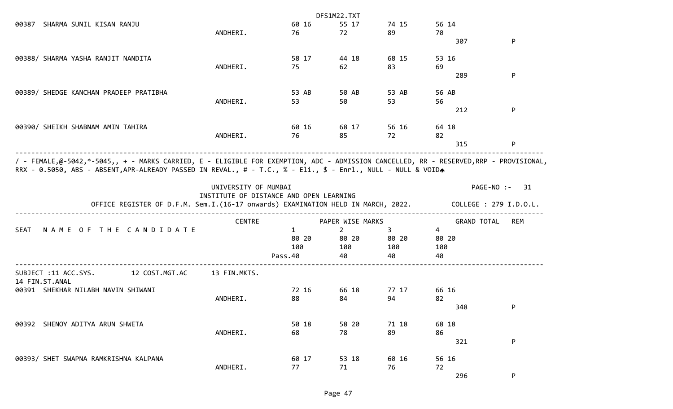|                                                                                                                                                                                                                                                        |                                         |             | DFS1M22.TXT      |       |                    |                        |
|--------------------------------------------------------------------------------------------------------------------------------------------------------------------------------------------------------------------------------------------------------|-----------------------------------------|-------------|------------------|-------|--------------------|------------------------|
| SHARMA SUNIL KISAN RANJU<br>00387                                                                                                                                                                                                                      |                                         | 60 16       | 55 17            | 74 15 | 56 14              |                        |
|                                                                                                                                                                                                                                                        | ANDHERI.                                | 76          | 72               | 89    | 70                 |                        |
|                                                                                                                                                                                                                                                        |                                         |             |                  |       | 307                | P                      |
| 00388/ SHARMA YASHA RANJIT NANDITA                                                                                                                                                                                                                     |                                         | 58 17       | 44 18            | 68 15 | 53 16              |                        |
|                                                                                                                                                                                                                                                        | ANDHERI.                                | 75          | 62               | 83    | 69                 |                        |
|                                                                                                                                                                                                                                                        |                                         |             |                  |       | 289                | P                      |
| 00389/ SHEDGE KANCHAN PRADEEP PRATIBHA                                                                                                                                                                                                                 |                                         | 53 AB       | 50 AB            | 53 AB | 56 AB              |                        |
|                                                                                                                                                                                                                                                        | ANDHERI.                                | 53          | 50               | 53    | 56                 |                        |
|                                                                                                                                                                                                                                                        |                                         |             |                  |       | 212                | P                      |
|                                                                                                                                                                                                                                                        |                                         |             |                  |       |                    |                        |
| 00390/ SHEIKH SHABNAM AMIN TAHIRA                                                                                                                                                                                                                      |                                         | 60 16<br>76 | 68 17            | 56 16 | 64 18              |                        |
|                                                                                                                                                                                                                                                        | ANDHERI.                                |             | 85               | 72    | 82<br>315          | P                      |
|                                                                                                                                                                                                                                                        |                                         |             |                  |       |                    |                        |
| / - FEMALE,@-5042,*-5045,, + - MARKS CARRIED, E - ELIGIBLE FOR EXEMPTION, ADC - ADMISSION CANCELLED, RR - RESERVED,RRP - PROVISIONAL,<br>RRX - 0.5050, ABS - ABSENT, APR-ALREADY PASSED IN REVAL., # - T.C., % - Eli., \$ - Enrl., NULL - NULL & VOIDA |                                         |             |                  |       |                    |                        |
|                                                                                                                                                                                                                                                        | UNIVERSITY OF MUMBAI                    |             |                  |       |                    | PAGE-NO :- 31          |
|                                                                                                                                                                                                                                                        | INSTITUTE OF DISTANCE AND OPEN LEARNING |             |                  |       |                    |                        |
| OFFICE REGISTER OF D.F.M. Sem.I.(16-17 onwards) EXAMINATION HELD IN MARCH, 2022.                                                                                                                                                                       |                                         |             |                  |       |                    | COLLEGE : 279 I.D.O.L. |
|                                                                                                                                                                                                                                                        | <b>CENTRE</b>                           |             | PAPER WISE MARKS |       | <b>GRAND TOTAL</b> | <b>REM</b>             |
| NAME OF THE CANDIDATE<br><b>SEAT</b>                                                                                                                                                                                                                   |                                         | 1           | $\overline{2}$   | 3     | 4                  |                        |
|                                                                                                                                                                                                                                                        |                                         | 80 20       | 80 20            | 80 20 | 80 20              |                        |
|                                                                                                                                                                                                                                                        |                                         | 100         | 100              | 100   | 100                |                        |
|                                                                                                                                                                                                                                                        |                                         | Pass.40     | 40               | 40    | 40                 |                        |
| SUBJECT :11 ACC.SYS.<br>12 COST.MGT.AC<br>14 FIN.ST.ANAL                                                                                                                                                                                               | 13 FIN.MKTS.                            |             |                  |       |                    |                        |
| 00391 SHEKHAR NILABH NAVIN SHIWANI                                                                                                                                                                                                                     |                                         | 72 16       | 66 18            | 77 17 | 66 16              |                        |
|                                                                                                                                                                                                                                                        | ANDHERI.                                | 88          | 84               | 94    | 82                 |                        |
|                                                                                                                                                                                                                                                        |                                         |             |                  |       | 348                | P                      |
| SHENOY ADITYA ARUN SHWETA<br>00392                                                                                                                                                                                                                     |                                         | 50 18       | 58 20            | 71 18 | 68 18              |                        |
|                                                                                                                                                                                                                                                        | ANDHERI.                                | 68          | 78               | 89    | 86                 |                        |
|                                                                                                                                                                                                                                                        |                                         |             |                  |       | 321                | P                      |
| 00393/ SHET SWAPNA RAMKRISHNA KALPANA                                                                                                                                                                                                                  |                                         | 60 17       | 53 18            | 60 16 | 56 16              |                        |
|                                                                                                                                                                                                                                                        | ANDHERI.                                | 77          | 71               | 76    | 72                 |                        |
|                                                                                                                                                                                                                                                        |                                         |             |                  |       | 296                | P                      |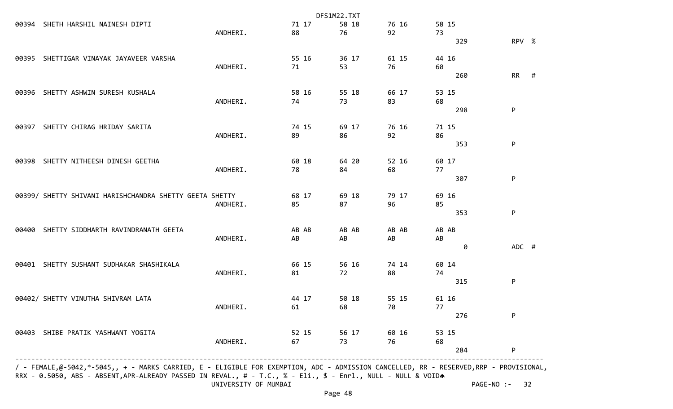|       |                                                         |          |       | DFS1M22.TXT |             |       |       |           |   |
|-------|---------------------------------------------------------|----------|-------|-------------|-------------|-------|-------|-----------|---|
| 00394 | SHETH HARSHIL NAINESH DIPTI                             |          | 71 17 | 58 18       | 76 16       |       | 58 15 |           |   |
|       |                                                         | ANDHERI. | 88    | 76          | 92          | 73    |       |           |   |
|       |                                                         |          |       |             |             |       | 329   | RPV %     |   |
|       | 00395 SHETTIGAR VINAYAK JAYAVEER VARSHA                 |          | 55 16 | 36 17       | 61 15       |       | 44 16 |           |   |
|       |                                                         | ANDHERI. | 71    | 53          | 76          | 60    |       |           |   |
|       |                                                         |          |       |             |             |       | 260   | <b>RR</b> | # |
|       | 00396 SHETTY ASHWIN SURESH KUSHALA                      |          | 58 16 | 55 18       | 66 17       |       | 53 15 |           |   |
|       |                                                         | ANDHERI. | 74    | 73          | 83          | 68    |       |           |   |
|       |                                                         |          |       |             |             |       | 298   | P         |   |
| 00397 | SHETTY CHIRAG HRIDAY SARITA                             |          | 74 15 | 69 17       | 76 16       |       | 71 15 |           |   |
|       |                                                         | ANDHERI. | 89    | 86          | 92          | 86    |       |           |   |
|       |                                                         |          |       |             |             |       | 353   | P         |   |
|       | 00398 SHETTY NITHEESH DINESH GEETHA                     |          | 60 18 | 64 20       | 52 16       | 60 17 |       |           |   |
|       |                                                         | ANDHERI. | 78    | 84          | 68          | 77    |       |           |   |
|       |                                                         |          |       |             |             |       | 307   | P         |   |
|       | 00399/ SHETTY SHIVANI HARISHCHANDRA SHETTY GEETA SHETTY |          | 68 17 | 69 18       | 79 17       |       | 69 16 |           |   |
|       |                                                         | ANDHERI. | 85    | 87          | 96          | 85    |       |           |   |
|       |                                                         |          |       |             |             |       | 353   | P         |   |
| 00400 | SHETTY SIDDHARTH RAVINDRANATH GEETA                     |          | AB AB | AB AB       | AB AB       |       | AB AB |           |   |
|       |                                                         | ANDHERI. | AB    | AB          | AB          | AB    |       |           |   |
|       |                                                         |          |       |             |             |       | 0     | ADC #     |   |
| 00401 | SHETTY SUSHANT SUDHAKAR SHASHIKALA                      |          | 66 15 | 56 16       | 74 14       |       | 60 14 |           |   |
|       |                                                         | ANDHERI. | 81    | 72          | 88          | 74    |       |           |   |
|       |                                                         |          |       |             |             |       | 315   | P         |   |
|       | 00402/ SHETTY VINUTHA SHIVRAM LATA                      |          | 44 17 | 50 18       | 55 15       |       | 61 16 |           |   |
|       |                                                         | ANDHERI. | 61    | 68          | 70          | 77    |       |           |   |
|       |                                                         |          |       |             |             |       | 276   | P         |   |
|       | 00403 SHIBE PRATIK YASHWANT YOGITA                      |          | 52 15 |             | 56 17 60 16 |       | 53 15 |           |   |
|       |                                                         | ANDHERI. | 67    | 73          | 76          | 68    |       |           |   |
|       |                                                         |          |       |             |             |       | 284   | P         |   |
|       |                                                         |          |       |             |             |       |       |           |   |

 / - FEMALE,@-5042,\*-5045,, + - MARKS CARRIED, E - ELIGIBLE FOR EXEMPTION, ADC - ADMISSION CANCELLED, RR - RESERVED,RRP - PROVISIONAL, RRX - 0.5050, ABS - ABSENT,APR-ALREADY PASSED IN REVAL., # - T.C., % - Eli., \$ - Enrl., NULL - NULL & VOIDA UNIVERSITY OF MUMBAI PAGE-NO :- 32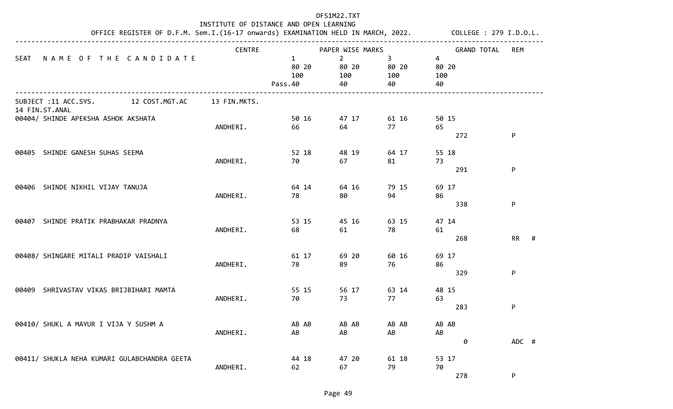| INSTITUTE OF DISTANCE AND OPEN LEARNING<br>OFFICE REGISTER OF D.F.M. Sem.I.(16-17 onwards) EXAMINATION HELD IN MARCH, 2022. COLLEGE : 279 I.D.O.L. |                                                          |               |                                         |                                   |                         |                             |                |
|----------------------------------------------------------------------------------------------------------------------------------------------------|----------------------------------------------------------|---------------|-----------------------------------------|-----------------------------------|-------------------------|-----------------------------|----------------|
|                                                                                                                                                    |                                                          | <b>CENTRE</b> |                                         | PAPER WISE MARKS                  |                         | <b>GRAND TOTAL</b>          | <b>REM</b>     |
| <b>SEAT</b>                                                                                                                                        | NAME OF THE CANDIDATE                                    |               | $\mathbf{1}$<br>80 20<br>100<br>Pass.40 | $2^{\circ}$<br>80 20<br>100<br>40 | 3<br>80 20<br>100<br>40 | 4<br>80 20<br>100<br>40     |                |
|                                                                                                                                                    | 12 COST.MGT.AC<br>SUBJECT :11 ACC.SYS.<br>14 FIN.ST.ANAL | 13 FIN.MKTS.  |                                         |                                   |                         |                             |                |
|                                                                                                                                                    | 00404/ SHINDE APEKSHA ASHOK AKSHATA                      | ANDHERI.      | 50 16<br>66                             | 47 17<br>64                       | 61 16<br>77             | 50 15<br>65<br>272          | P              |
| 00405                                                                                                                                              | SHINDE GANESH SUHAS SEEMA                                | ANDHERI.      | 52 18<br>70                             | 48 19<br>67                       | 64 17<br>81             | 55 18<br>73<br>291          | P              |
|                                                                                                                                                    | 00406 SHINDE NIKHIL VIJAY TANUJA                         | ANDHERI.      | 64 14<br>78                             | 64 16<br>80                       | 79 15<br>94             | 69 17<br>86                 |                |
|                                                                                                                                                    | 00407 SHINDE PRATIK PRABHAKAR PRADNYA                    | ANDHERI.      | 53 15<br>68                             | 45 16<br>61                       | 63 15<br>78             | 338<br>47 14<br>61          | P              |
|                                                                                                                                                    | 00408/ SHINGARE MITALI PRADIP VAISHALI                   | ANDHERI.      | 61 17<br>78                             | 69 20<br>89                       | 60 16<br>76             | 268<br>69 17<br>86          | <b>RR</b><br># |
| 00409                                                                                                                                              | SHRIVASTAV VIKAS BRIJBIHARI MAMTA                        | ANDHERI.      | 55 15<br>70                             | 56 17<br>73                       | 63 14<br>77             | 329<br>48 15<br>63          | P              |
|                                                                                                                                                    | 00410/ SHUKL A MAYUR I VIJA Y SUSHM A                    |               | AB AB                                   | AB AB                             | AB AB                   | 283<br>AB AB                | P              |
|                                                                                                                                                    |                                                          | ANDHERI.      | AB<br>44 18                             | AB                                | AB                      | $\mathsf{A}\mathsf{B}$<br>0 | ADC #          |
|                                                                                                                                                    | 00411/ SHUKLA NEHA KUMARI GULABCHANDRA GEETA             | ANDHERI.      | 62                                      | 47 20<br>67                       | 61 18<br>79             | 53 17<br>70<br>278          | P              |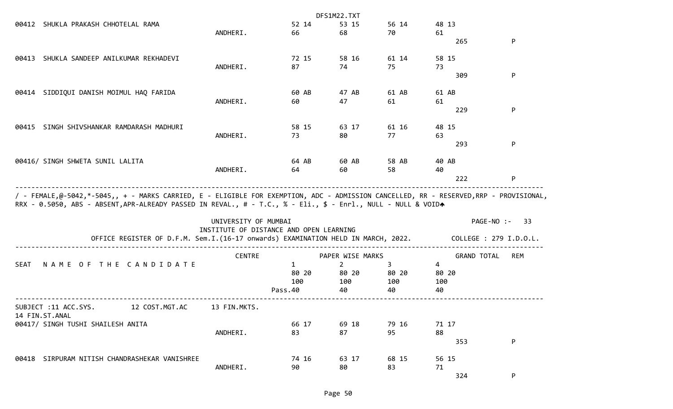|                                        |                                                                                  |                                                                 |              | DFS1M22.TXT      |             |                    |                        |
|----------------------------------------|----------------------------------------------------------------------------------|-----------------------------------------------------------------|--------------|------------------|-------------|--------------------|------------------------|
|                                        | 00412 SHUKLA PRAKASH CHHOTELAL RAMA                                              |                                                                 | 52 14        | 53 15            | 56 14       | 48 13              |                        |
|                                        |                                                                                  | ANDHERI.                                                        | 66           | 68               | 70          | 61                 |                        |
|                                        |                                                                                  |                                                                 |              |                  |             | 265                | P                      |
| 00413                                  | SHUKLA SANDEEP ANILKUMAR REKHADEVI                                               |                                                                 | 72 15        | 58 16            | 61 14       | 58 15              |                        |
|                                        |                                                                                  | ANDHERI.                                                        | 87           | 74               | 75          | 73                 |                        |
|                                        |                                                                                  |                                                                 |              |                  |             | 309                | P                      |
| 00414                                  | SIDDIQUI DANISH MOIMUL HAQ FARIDA                                                |                                                                 | 60 AB        | 47 AB            | 61 AB       | 61 AB              |                        |
|                                        |                                                                                  | ANDHERI.                                                        | 60           | 47               | 61          | 61                 |                        |
|                                        |                                                                                  |                                                                 |              |                  |             | 229                | P                      |
| 00415                                  | SINGH SHIVSHANKAR RAMDARASH MADHURI                                              |                                                                 | 58 15        | 63 17            | 61 16       | 48 15              |                        |
|                                        |                                                                                  | ANDHERI.                                                        | 73           | 80               | 77          | 63                 |                        |
|                                        |                                                                                  |                                                                 |              |                  |             | 293                | P                      |
|                                        | 00416/ SINGH SHWETA SUNIL LALITA                                                 |                                                                 | 64 AB        | 60 AB            | 58 AB       | 40 AB              |                        |
|                                        |                                                                                  | ANDHERI.                                                        | 64           | 60               | 58          | 40                 |                        |
|                                        |                                                                                  |                                                                 |              |                  |             | 222                | P                      |
|                                        |                                                                                  |                                                                 |              |                  |             |                    |                        |
|                                        |                                                                                  | UNIVERSITY OF MUMBAI<br>INSTITUTE OF DISTANCE AND OPEN LEARNING |              |                  |             |                    | PAGE-NO :-<br>-33      |
|                                        | OFFICE REGISTER OF D.F.M. Sem.I.(16-17 onwards) EXAMINATION HELD IN MARCH, 2022. |                                                                 |              |                  |             |                    | COLLEGE : 279 I.D.O.L. |
|                                        |                                                                                  | <b>CENTRE</b>                                                   |              | PAPER WISE MARKS |             | <b>GRAND TOTAL</b> | <b>REM</b>             |
| <b>SEAT</b>                            | NAME OF THE CANDIDATE                                                            |                                                                 | $\mathbf{1}$ | $\overline{2}$   | 3           | $\overline{4}$     |                        |
|                                        |                                                                                  |                                                                 | 80 20        | 80 20            | 80 20       | 80 20              |                        |
|                                        |                                                                                  |                                                                 | 100          | 100              | 100         | 100                |                        |
|                                        |                                                                                  |                                                                 | Pass.40      | 40               | 40          | 40                 |                        |
| SUBJECT :11 ACC.SYS.<br>14 FIN.ST.ANAL | 12 COST.MGT.AC                                                                   | 13 FIN.MKTS.                                                    |              |                  |             |                    |                        |
|                                        | 00417/ SINGH TUSHI SHAILESH ANITA                                                |                                                                 | 66 17        | 69 18            | 79 16       | 71 17              |                        |
|                                        |                                                                                  | ANDHERI.                                                        | 83           | 87               | 95          | 88                 |                        |
|                                        |                                                                                  |                                                                 |              |                  |             | 353                | P                      |
|                                        |                                                                                  |                                                                 |              |                  |             |                    |                        |
|                                        | 00418 SIRPURAM NITISH CHANDRASHEKAR VANISHREE                                    | ANDHERI.                                                        | 74 16<br>90  | 63 17<br>80      | 68 15<br>83 | 56 15<br>71        |                        |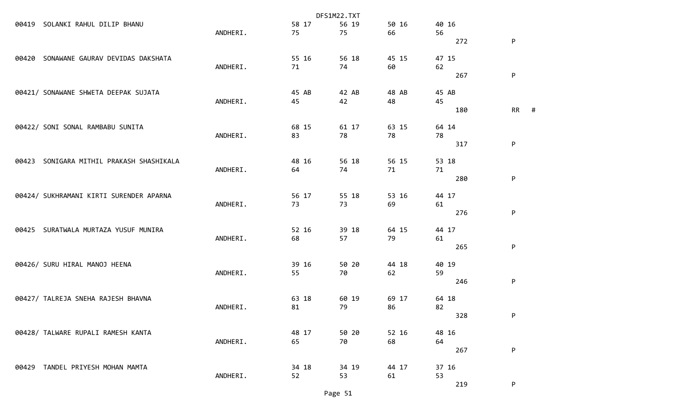|       |                                         | DFS1M22.TXT |       |       |       |       |                |
|-------|-----------------------------------------|-------------|-------|-------|-------|-------|----------------|
| 00419 | SOLANKI RAHUL DILIP BHANU               |             | 58 17 | 56 19 | 50 16 | 40 16 |                |
|       |                                         | ANDHERI.    | 75    | 75    | 66    | 56    |                |
|       |                                         |             |       |       |       | 272   | P              |
| 00420 | SONAWANE GAURAV DEVIDAS DAKSHATA        |             | 55 16 | 56 18 | 45 15 | 47 15 |                |
|       |                                         | ANDHERI.    | 71    | 74    | 60    | 62    |                |
|       |                                         |             |       |       |       | 267   | ${\sf P}$      |
|       | 00421/ SONAWANE SHWETA DEEPAK SUJATA    |             | 45 AB | 42 AB | 48 AB | 45 AB |                |
|       |                                         | ANDHERI.    | 45    | 42    | 48    | 45    |                |
|       |                                         |             |       |       |       | 180   | <b>RR</b><br># |
|       | 00422/ SONI SONAL RAMBABU SUNITA        |             | 68 15 | 61 17 | 63 15 | 64 14 |                |
|       |                                         | ANDHERI.    | 83    | 78    | 78    | 78    |                |
|       |                                         |             |       |       |       | 317   | P              |
| 00423 | SONIGARA MITHIL PRAKASH SHASHIKALA      |             | 48 16 | 56 18 | 56 15 | 53 18 |                |
|       |                                         | ANDHERI.    | 64    | 74    | 71    | 71    |                |
|       |                                         |             |       |       |       | 280   | P              |
|       | 00424/ SUKHRAMANI KIRTI SURENDER APARNA |             | 56 17 | 55 18 | 53 16 | 44 17 |                |
|       |                                         | ANDHERI.    | 73    | 73    | 69    | 61    |                |
|       |                                         |             |       |       |       | 276   | P              |
| 00425 | SURATWALA MURTAZA YUSUF MUNIRA          |             | 52 16 | 39 18 | 64 15 | 44 17 |                |
|       |                                         | ANDHERI.    | 68    | 57    | 79    | 61    |                |
|       |                                         |             |       |       |       | 265   | P              |
|       | 00426/ SURU HIRAL MANOJ HEENA           |             | 39 16 | 50 20 | 44 18 | 40 19 |                |
|       |                                         | ANDHERI.    | 55    | 70    | 62    | 59    |                |
|       |                                         |             |       |       |       | 246   | P              |
|       | 00427/ TALREJA SNEHA RAJESH BHAVNA      |             | 63 18 | 60 19 | 69 17 | 64 18 |                |
|       |                                         | ANDHERI.    | 81    | 79    | 86    | 82    |                |
|       |                                         |             |       |       |       | 328   | P              |
|       | 00428/ TALWARE RUPALI RAMESH KANTA      |             | 48 17 | 50 20 | 52 16 | 48 16 |                |
|       |                                         | ANDHERI.    | 65    | 70    | 68    | 64    |                |
|       |                                         |             |       |       |       | 267   | P              |
|       | 00429 TANDEL PRIYESH MOHAN MAMTA        |             | 34 18 | 34 19 | 44 17 | 37 16 |                |
|       |                                         | ANDHERI.    | 52    | 53    | 61    | 53    |                |
|       |                                         |             |       |       |       | 219   | P              |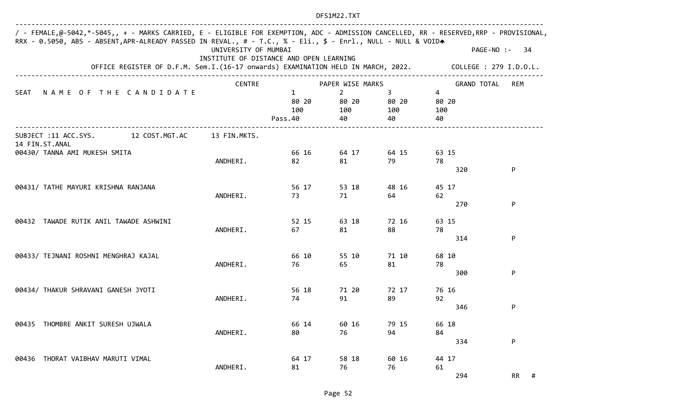| / - FEMALE,@-5042,*-5045,, + - MARKS CARRIED, E - ELIGIBLE FOR EXEMPTION, ADC - ADMISSION CANCELLED, RR - RESERVED,RRP - PROVISIONAL,<br>RRX - 0.5050, ABS - ABSENT, APR-ALREADY PASSED IN REVAL., # - T.C., % - Eli., \$ - Enrl., NULL - NULL & VOIDA | UNIVERSITY OF MUMBAI                    |                                         |                                      |                                    |                                      | PAGE-NO :-<br>-34      |
|--------------------------------------------------------------------------------------------------------------------------------------------------------------------------------------------------------------------------------------------------------|-----------------------------------------|-----------------------------------------|--------------------------------------|------------------------------------|--------------------------------------|------------------------|
| OFFICE REGISTER OF D.F.M. Sem.I.(16-17 onwards) EXAMINATION HELD IN MARCH, 2022.                                                                                                                                                                       | INSTITUTE OF DISTANCE AND OPEN LEARNING |                                         |                                      |                                    |                                      | COLLEGE : 279 I.D.O.L. |
|                                                                                                                                                                                                                                                        | <b>CENTRE</b>                           |                                         | PAPER WISE MARKS                     |                                    | <b>GRAND TOTAL</b>                   | REM                    |
| NAME OF THE CANDIDATE<br><b>SEAT</b>                                                                                                                                                                                                                   |                                         | $\mathbf{1}$<br>80 20<br>100<br>Pass.40 | $\overline{2}$<br>80 20<br>100<br>40 | $\mathbf{3}$<br>80 20<br>100<br>40 | $\overline{4}$<br>80 20<br>100<br>40 |                        |
| SUBJECT :11 ACC.SYS.<br>12 COST.MGT.AC<br>14 FIN.ST.ANAL                                                                                                                                                                                               | 13 FIN.MKTS.                            |                                         |                                      |                                    |                                      |                        |
| 00430/ TANNA AMI MUKESH SMITA                                                                                                                                                                                                                          | ANDHERI.                                | 66 16<br>82                             | 64 17<br>81                          | 64 15<br>79                        | 63 15<br>78<br>320                   | P                      |
| 00431/ TATHE MAYURI KRISHNA RANJANA                                                                                                                                                                                                                    | ANDHERI.                                | 56 17<br>73                             | 53 18<br>71                          | 48 16<br>64                        | 45 17<br>62<br>270                   | P                      |
| 00432 TAWADE RUTIK ANIL TAWADE ASHWINI                                                                                                                                                                                                                 | ANDHERI.                                | 52 15<br>67                             | 63 18<br>81                          | 72 16<br>88                        | 63 15<br>78<br>314                   | P                      |
| 00433/ TEJNANI ROSHNI MENGHRAJ KAJAL                                                                                                                                                                                                                   | ANDHERI.                                | 66 10<br>76                             | 55 10<br>65                          | 71 10<br>81                        | 68 10<br>78<br>300                   | P                      |
| 00434/ THAKUR SHRAVANI GANESH JYOTI                                                                                                                                                                                                                    | ANDHERI.                                | 56 18<br>74                             | 71 20<br>91                          | 72 17<br>89                        | 76 16<br>92<br>346                   | P                      |
| 00435 THOMBRE ANKIT SURESH UJWALA                                                                                                                                                                                                                      | ANDHERI.                                | 66 14<br>80                             | 60 16<br>76                          | 79 15<br>94                        | 66 18<br>84<br>334                   | P                      |
| 00436 THORAT VAIBHAV MARUTI VIMAL                                                                                                                                                                                                                      | ANDHERI.                                | 64 17<br>81                             | 58 18<br>76                          | 60 16<br>76                        | 44 17<br>61<br>294                   | RR<br>#                |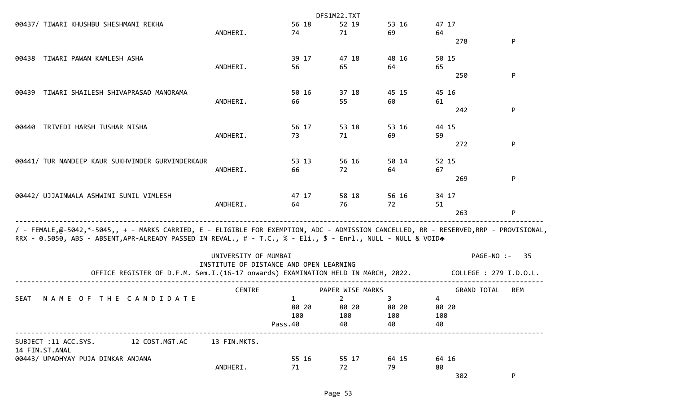|                                                                                                                                                                                                                                                        |                      |                                         | DFS1M22.TXT      |           |                    |                        |
|--------------------------------------------------------------------------------------------------------------------------------------------------------------------------------------------------------------------------------------------------------|----------------------|-----------------------------------------|------------------|-----------|--------------------|------------------------|
| 00437/ TIWARI KHUSHBU SHESHMANI REKHA                                                                                                                                                                                                                  |                      | 56 18                                   | 52 19            | 53 16     | 47 17              |                        |
|                                                                                                                                                                                                                                                        | ANDHERI.             | 74                                      | 71               | 69        | 64                 |                        |
|                                                                                                                                                                                                                                                        |                      |                                         |                  |           | 278                | P                      |
| TIWARI PAWAN KAMLESH ASHA<br>00438                                                                                                                                                                                                                     |                      | 39 17                                   | 47 18            | 48 16     | 50 15              |                        |
|                                                                                                                                                                                                                                                        | ANDHERI.             | 56                                      | 65               | 64        | 65                 |                        |
|                                                                                                                                                                                                                                                        |                      |                                         |                  |           | 250                | P                      |
| TIWARI SHAILESH SHIVAPRASAD MANORAMA<br>00439                                                                                                                                                                                                          |                      | 50 16                                   | 37 18            | 45 15     | 45 16              |                        |
|                                                                                                                                                                                                                                                        | ANDHERI.             | 66                                      | 55               | 60        | 61                 |                        |
|                                                                                                                                                                                                                                                        |                      |                                         |                  |           | 242                | P                      |
| TRIVEDI HARSH TUSHAR NISHA<br>00440                                                                                                                                                                                                                    |                      | 56 17                                   | 53 18            | 53 16     | 44 15              |                        |
|                                                                                                                                                                                                                                                        | ANDHERI.             | 73                                      | 71               | 69        | 59                 |                        |
|                                                                                                                                                                                                                                                        |                      |                                         |                  |           | 272                | P                      |
| 00441/ TUR NANDEEP KAUR SUKHVINDER GURVINDERKAUR                                                                                                                                                                                                       |                      | 53 13                                   | 56 16            | 50 14     | 52 15              |                        |
|                                                                                                                                                                                                                                                        | ANDHERI.             | 66                                      | 72               | 64        | 67                 |                        |
|                                                                                                                                                                                                                                                        |                      |                                         |                  |           | 269                | P                      |
| 00442/ UJJAINWALA ASHWINI SUNIL VIMLESH                                                                                                                                                                                                                |                      | 47 17                                   | 58 18            | 56 16     | 34 17              |                        |
|                                                                                                                                                                                                                                                        | ANDHERI.             | 64                                      | 76               | 72        | 51                 |                        |
|                                                                                                                                                                                                                                                        |                      |                                         |                  |           | 263                | P                      |
| / - FEMALE,@-5042,*-5045,, + - MARKS CARRIED, E - ELIGIBLE FOR EXEMPTION, ADC - ADMISSION CANCELLED, RR - RESERVED,RRP - PROVISIONAL,<br>RRX - 0.5050, ABS - ABSENT, APR-ALREADY PASSED IN REVAL., # - T.C., % - Eli., \$ - Enrl., NULL - NULL & VOIDA |                      |                                         |                  |           |                    |                        |
|                                                                                                                                                                                                                                                        | UNIVERSITY OF MUMBAI |                                         |                  |           |                    | PAGE-NO :-<br>-35      |
| OFFICE REGISTER OF D.F.M. Sem.I.(16-17 onwards) EXAMINATION HELD IN MARCH, 2022.                                                                                                                                                                       |                      | INSTITUTE OF DISTANCE AND OPEN LEARNING |                  |           |                    | COLLEGE : 279 I.D.O.L. |
|                                                                                                                                                                                                                                                        | <b>CENTRE</b>        |                                         | PAPER WISE MARKS |           | <b>GRAND TOTAL</b> | REM                    |
| THE CANDIDATE<br><b>SEAT</b><br>NAME<br>0 F                                                                                                                                                                                                            |                      | 1                                       | $\overline{2}$   | 3         | 4                  |                        |
|                                                                                                                                                                                                                                                        |                      | 80 20                                   | 80 20            | 80 20     | 80 20              |                        |
|                                                                                                                                                                                                                                                        |                      | 100<br>Pass.40                          | 100<br>40        | 100<br>40 | 100<br>40          |                        |
|                                                                                                                                                                                                                                                        |                      |                                         |                  |           |                    |                        |
| SUBJECT :11 ACC.SYS.<br>12 COST.MGT.AC<br>14 FIN.ST.ANAL                                                                                                                                                                                               | 13 FIN.MKTS.         |                                         |                  |           |                    |                        |
| 00443/ UPADHYAY PUJA DINKAR ANJANA                                                                                                                                                                                                                     |                      | 55 16                                   | 55 17            | 64 15     | 64 16              |                        |
|                                                                                                                                                                                                                                                        | ANDHERI.             | 71                                      | 72               | 79        | 80                 |                        |
|                                                                                                                                                                                                                                                        |                      |                                         |                  |           | 302                | P                      |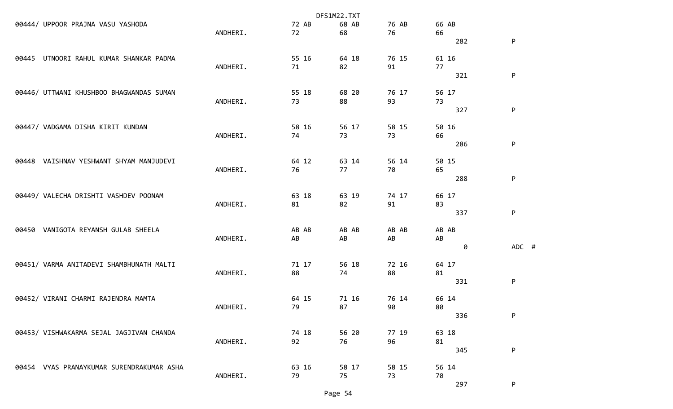|       |                                           | DFS1M22.TXT |       |       |       |           |           |
|-------|-------------------------------------------|-------------|-------|-------|-------|-----------|-----------|
|       | 00444/ UPPOOR PRAJNA VASU YASHODA         |             | 72 AB | 68 AB | 76 AB | 66 AB     |           |
|       |                                           | ANDHERI.    | 72    | 68    | 76    | 66        |           |
|       |                                           |             |       |       |       | 282       | P         |
| 00445 | UTNOORI RAHUL KUMAR SHANKAR PADMA         |             | 55 16 | 64 18 | 76 15 | 61 16     |           |
|       |                                           | ANDHERI.    | 71    | 82    | 91    | 77<br>321 | P         |
|       |                                           |             |       |       |       |           |           |
|       | 00446/ UTTWANI KHUSHBOO BHAGWANDAS SUMAN  |             | 55 18 | 68 20 | 76 17 | 56 17     |           |
|       |                                           | ANDHERI.    | 73    | 88    | 93    | 73        |           |
|       |                                           |             |       |       |       | 327       | P         |
|       | 00447/ VADGAMA DISHA KIRIT KUNDAN         |             | 58 16 | 56 17 | 58 15 | 50 16     |           |
|       |                                           | ANDHERI.    | 74    | 73    | 73    | 66        |           |
|       |                                           |             |       |       |       | 286       | P         |
| 00448 | VAISHNAV YESHWANT SHYAM MANJUDEVI         |             | 64 12 | 63 14 | 56 14 | 50 15     |           |
|       |                                           | ANDHERI.    | 76    | 77    | 70    | 65        |           |
|       |                                           |             |       |       |       | 288       | ${\sf P}$ |
|       | 00449/ VALECHA DRISHTI VASHDEV POONAM     |             | 63 18 | 63 19 | 74 17 | 66 17     |           |
|       |                                           | ANDHERI.    | 81    | 82    | 91    | 83        |           |
|       |                                           |             |       |       |       | 337       | P         |
| 00450 | VANIGOTA REYANSH GULAB SHEELA             |             | AB AB | AB AB | AB AB | AB AB     |           |
|       |                                           | ANDHERI.    | AB    | AB    | AB    | AB        |           |
|       |                                           |             |       |       |       | 0         | ADC #     |
|       | 00451/ VARMA ANITADEVI SHAMBHUNATH MALTI  |             | 71 17 | 56 18 | 72 16 | 64 17     |           |
|       |                                           | ANDHERI.    | 88    | 74    | 88    | 81        |           |
|       |                                           |             |       |       |       | 331       | P         |
|       | 00452/ VIRANI CHARMI RAJENDRA MAMTA       |             | 64 15 | 71 16 | 76 14 | 66 14     |           |
|       |                                           | ANDHERI.    | 79    | 87    | 90    | 80        |           |
|       |                                           |             |       |       |       | 336       | P         |
|       | 00453/ VISHWAKARMA SEJAL JAGJIVAN CHANDA  |             | 74 18 | 56 20 | 77 19 | 63 18     |           |
|       |                                           | ANDHERI.    | 92    | 76    | 96    | 81        |           |
|       |                                           |             |       |       |       | 345       | P         |
|       | 00454 VYAS PRANAYKUMAR SURENDRAKUMAR ASHA |             | 63 16 | 58 17 | 58 15 | 56 14     |           |
|       |                                           | ANDHERI.    | 79    | 75    | 73    | 70        |           |
|       |                                           |             |       |       |       | 297       | P         |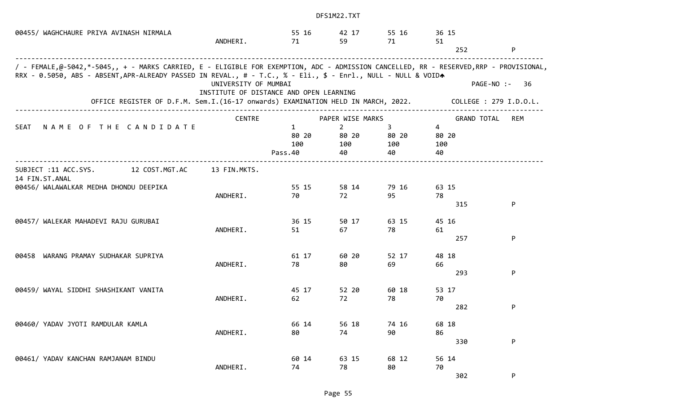| 00455/ WAGHCHAURE PRIYA AVINASH NIRMALA                                                                                                                                                                                                                | ANDHERI.                                                        | 55 16<br>71                             | 42 17<br>59                          | 55 16<br>71                          | 36 15<br>51                          |                        |
|--------------------------------------------------------------------------------------------------------------------------------------------------------------------------------------------------------------------------------------------------------|-----------------------------------------------------------------|-----------------------------------------|--------------------------------------|--------------------------------------|--------------------------------------|------------------------|
|                                                                                                                                                                                                                                                        |                                                                 |                                         |                                      |                                      | 252                                  | P                      |
| / - FEMALE,@-5042,*-5045,, + - MARKS CARRIED, E - ELIGIBLE FOR EXEMPTION, ADC - ADMISSION CANCELLED, RR - RESERVED,RRP - PROVISIONAL,<br>RRX - 0.5050, ABS - ABSENT, APR-ALREADY PASSED IN REVAL., # - T.C., % - Eli., \$ - Enrl., NULL - NULL & VOIDA |                                                                 |                                         |                                      |                                      |                                      |                        |
|                                                                                                                                                                                                                                                        | UNIVERSITY OF MUMBAI<br>INSTITUTE OF DISTANCE AND OPEN LEARNING |                                         |                                      |                                      | PAGE-NO :-                           | 36                     |
| OFFICE REGISTER OF D.F.M. Sem.I.(16-17 onwards) EXAMINATION HELD IN MARCH, 2022.                                                                                                                                                                       |                                                                 |                                         |                                      |                                      |                                      | COLLEGE : 279 I.D.O.L. |
|                                                                                                                                                                                                                                                        | <b>CENTRE</b>                                                   |                                         | PAPER WISE MARKS                     |                                      | <b>GRAND TOTAL</b>                   | <b>REM</b>             |
| NAME OF THE CANDIDATE<br>SEAT                                                                                                                                                                                                                          |                                                                 | $\mathbf{1}$<br>80 20<br>100<br>Pass.40 | $\overline{2}$<br>80 20<br>100<br>40 | $\overline{3}$<br>80 20<br>100<br>40 | $\overline{4}$<br>80 20<br>100<br>40 |                        |
| 12 COST.MGT.AC<br>SUBJECT :11 ACC.SYS.<br>14 FIN.ST.ANAL                                                                                                                                                                                               | 13 FIN.MKTS.                                                    |                                         |                                      |                                      |                                      |                        |
| 00456/ WALAWALKAR MEDHA DHONDU DEEPIKA                                                                                                                                                                                                                 |                                                                 | 55 15                                   | 58 14                                | 79 16                                | 63 15                                |                        |
|                                                                                                                                                                                                                                                        | ANDHERI.                                                        | 70                                      | 72                                   | 95                                   | 78<br>315                            | P                      |
| 00457/ WALEKAR MAHADEVI RAJU GURUBAI                                                                                                                                                                                                                   |                                                                 | 36 15                                   | 50 17                                | 63 15                                | 45 16                                |                        |
|                                                                                                                                                                                                                                                        | ANDHERI.                                                        | 51                                      | 67                                   | 78                                   | 61                                   |                        |
|                                                                                                                                                                                                                                                        |                                                                 |                                         |                                      |                                      | 257                                  | P                      |
| 00458 WARANG PRAMAY SUDHAKAR SUPRIYA                                                                                                                                                                                                                   |                                                                 | 61 17                                   | 60 20                                | 52 17                                | 48 18                                |                        |
|                                                                                                                                                                                                                                                        | ANDHERI.                                                        | 78                                      | 80                                   | 69                                   | 66<br>293                            | P                      |
| 00459/ WAYAL SIDDHI SHASHIKANT VANITA                                                                                                                                                                                                                  |                                                                 | 45 17                                   | 52 20                                | 60 18                                | 53 17                                |                        |
|                                                                                                                                                                                                                                                        | ANDHERI.                                                        | 62                                      | 72                                   | 78                                   | 70                                   |                        |
|                                                                                                                                                                                                                                                        |                                                                 |                                         |                                      |                                      | 282                                  | P                      |
| 00460/ YADAV JYOTI RAMDULAR KAMLA                                                                                                                                                                                                                      |                                                                 | 66 14                                   | 56 18                                | 74 16                                | 68 18                                |                        |
|                                                                                                                                                                                                                                                        | ANDHERI.                                                        | 80                                      | 74                                   | 90                                   | 86                                   |                        |
|                                                                                                                                                                                                                                                        |                                                                 |                                         |                                      |                                      | 330                                  | ${\sf P}$              |
| 00461/ YADAV KANCHAN RAMJANAM BINDU                                                                                                                                                                                                                    |                                                                 | 60 14                                   | 63 15                                | 68 12                                | 56 14                                |                        |
|                                                                                                                                                                                                                                                        | ANDHERI.                                                        | 74                                      | 78                                   | 80                                   | 70<br>302                            | ${\sf P}$              |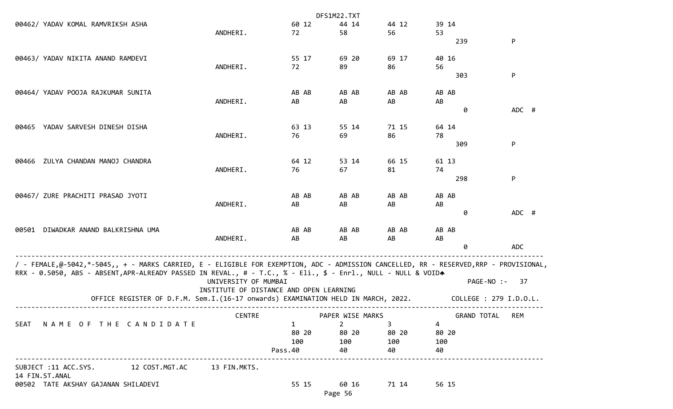|                                                                                                                                       |                                                                                  |                                         |           | DFS1M22.TXT      |             |                 |                        |
|---------------------------------------------------------------------------------------------------------------------------------------|----------------------------------------------------------------------------------|-----------------------------------------|-----------|------------------|-------------|-----------------|------------------------|
| 00462/ YADAV KOMAL RAMVRIKSH ASHA                                                                                                     |                                                                                  |                                         | 60 12     | 44 14            | 44 12       | 39 14           |                        |
|                                                                                                                                       |                                                                                  | ANDHERI.                                | 72        | 58               | 56          | 53              |                        |
|                                                                                                                                       |                                                                                  |                                         |           |                  |             | 239             | P                      |
| 00463/ YADAV NIKITA ANAND RAMDEVI                                                                                                     |                                                                                  |                                         | 55 17     | 69 20            | 69 17       | 40 16           |                        |
|                                                                                                                                       |                                                                                  | ANDHERI.                                | 72        | 89               | 86          | 56              |                        |
|                                                                                                                                       |                                                                                  |                                         |           |                  |             | 303             | P                      |
| 00464/ YADAV POOJA RAJKUMAR SUNITA                                                                                                    |                                                                                  |                                         | AB AB     | AB AB            | AB AB       | AB AB           |                        |
|                                                                                                                                       |                                                                                  | ANDHERI.                                | AB        | AB               | AB          | AB              |                        |
|                                                                                                                                       |                                                                                  |                                         |           |                  |             | 0               | ADC #                  |
| YADAV SARVESH DINESH DISHA                                                                                                            |                                                                                  |                                         | 63 13     | 55 14            | 71 15       | 64 14           |                        |
| 00465                                                                                                                                 |                                                                                  | ANDHERI.                                | 76        | 69               | 86          | 78              |                        |
|                                                                                                                                       |                                                                                  |                                         |           |                  |             | 309             | P                      |
|                                                                                                                                       |                                                                                  |                                         |           |                  |             |                 |                        |
| ZULYA CHANDAN MANOJ CHANDRA<br>00466                                                                                                  |                                                                                  |                                         | 64 12     | 53 14            | 66 15       | 61 13           |                        |
|                                                                                                                                       |                                                                                  | ANDHERI.                                | 76        | 67               | 81          | 74<br>298       | P                      |
|                                                                                                                                       |                                                                                  |                                         |           |                  |             |                 |                        |
| 00467/ ZURE PRACHITI PRASAD JYOTI                                                                                                     |                                                                                  |                                         | AB AB     | AB AB            | AB AB       | AB AB           |                        |
|                                                                                                                                       |                                                                                  | ANDHERI.                                | AB        | AB               | AB          | AB              |                        |
|                                                                                                                                       |                                                                                  |                                         |           |                  |             | 0               | ADC #                  |
| DIWADKAR ANAND BALKRISHNA UMA<br>00501                                                                                                |                                                                                  |                                         | AB AB     | AB AB            | AB AB       | AB AB           |                        |
|                                                                                                                                       |                                                                                  | ANDHERI.                                | AB        | AB               | AB          | AB              |                        |
|                                                                                                                                       |                                                                                  |                                         |           |                  |             | 0               | <b>ADC</b>             |
| / - FEMALE,@-5042,*-5045,, + - MARKS CARRIED, E - ELIGIBLE FOR EXEMPTION, ADC - ADMISSION CANCELLED, RR - RESERVED,RRP - PROVISIONAL, |                                                                                  |                                         |           |                  |             |                 |                        |
| RRX - 0.5050, ABS - ABSENT, APR-ALREADY PASSED IN REVAL., # - T.C., % - Eli., \$ - Enrl., NULL - NULL & VOIDA                         |                                                                                  |                                         |           |                  |             |                 |                        |
|                                                                                                                                       |                                                                                  | UNIVERSITY OF MUMBAI                    |           |                  |             | PAGE-NO :-      | 37                     |
|                                                                                                                                       |                                                                                  | INSTITUTE OF DISTANCE AND OPEN LEARNING |           |                  |             |                 |                        |
|                                                                                                                                       | OFFICE REGISTER OF D.F.M. Sem.I.(16-17 onwards) EXAMINATION HELD IN MARCH, 2022. |                                         |           |                  |             |                 | COLLEGE : 279 I.D.O.L. |
|                                                                                                                                       |                                                                                  | <b>CENTRE</b>                           |           | PAPER WISE MARKS |             | GRAND TOTAL REM |                        |
| SEAT NAME OF THE CANDIDATE                                                                                                            |                                                                                  |                                         | $1 \quad$ | $2^{\circ}$      | $3^{\circ}$ | 4               |                        |
|                                                                                                                                       |                                                                                  |                                         | 80 20     | 80 20            | 80 20       | 80 20           |                        |
|                                                                                                                                       |                                                                                  |                                         | 100       | 100              | 100         | 100             |                        |
| .                                                                                                                                     |                                                                                  |                                         | Pass.40   | 40               | 40          | 40              |                        |
| SUBJECT :11 ACC.SYS. 12 COST.MGT.AC<br>14 FIN.ST.ANAL                                                                                 |                                                                                  | 13 FIN.MKTS.                            |           |                  |             |                 |                        |
| 00502 TATE AKSHAY GAJANAN SHILADEVI                                                                                                   |                                                                                  |                                         | 55 15     | 60 16            | 71 14       | 56 15           |                        |
|                                                                                                                                       |                                                                                  |                                         |           | Page 56          |             |                 |                        |
|                                                                                                                                       |                                                                                  |                                         |           |                  |             |                 |                        |